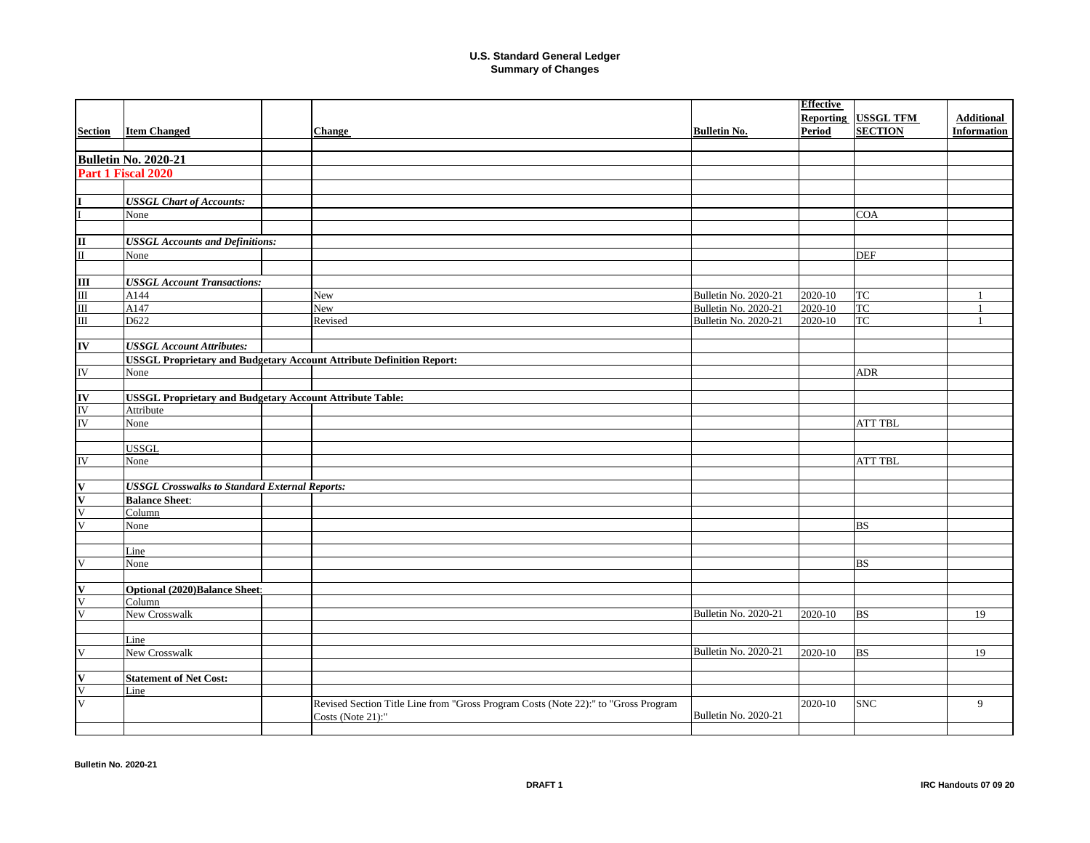|                                 |                                                                 |                                                                                    |                      | <b>Effective</b> |                  |                    |
|---------------------------------|-----------------------------------------------------------------|------------------------------------------------------------------------------------|----------------------|------------------|------------------|--------------------|
|                                 |                                                                 |                                                                                    |                      | <b>Reporting</b> | <b>USSGL TFM</b> | <b>Additional</b>  |
| <b>Section</b>                  | <b>Item Changed</b>                                             | <b>Change</b>                                                                      | <b>Bulletin No.</b>  | Period           | <b>SECTION</b>   | <b>Information</b> |
|                                 |                                                                 |                                                                                    |                      |                  |                  |                    |
|                                 | <b>Bulletin No. 2020-21</b>                                     |                                                                                    |                      |                  |                  |                    |
|                                 | Part 1 Fiscal 2020                                              |                                                                                    |                      |                  |                  |                    |
|                                 |                                                                 |                                                                                    |                      |                  |                  |                    |
|                                 | <b>USSGL Chart of Accounts:</b>                                 |                                                                                    |                      |                  |                  |                    |
|                                 | None                                                            |                                                                                    |                      |                  | <b>COA</b>       |                    |
|                                 |                                                                 |                                                                                    |                      |                  |                  |                    |
|                                 | <b>USSGL Accounts and Definitions:</b>                          |                                                                                    |                      |                  |                  |                    |
| $\frac{\Pi}{\Pi}$               | None                                                            |                                                                                    |                      |                  | <b>DEF</b>       |                    |
|                                 |                                                                 |                                                                                    |                      |                  |                  |                    |
|                                 | <b>USSGL Account Transactions:</b>                              |                                                                                    |                      |                  |                  |                    |
|                                 | A144                                                            | <b>New</b>                                                                         | Bulletin No. 2020-21 | 2020-10          | TC               |                    |
|                                 | A147                                                            | New                                                                                | Bulletin No. 2020-21 | 2020-10          | TC               |                    |
|                                 | D622                                                            | Revised                                                                            | Bulletin No. 2020-21 | 2020-10          | <b>TC</b>        |                    |
|                                 |                                                                 |                                                                                    |                      |                  |                  |                    |
| IV                              | <b>USSGL Account Attributes:</b>                                |                                                                                    |                      |                  |                  |                    |
|                                 |                                                                 | <b>USSGL Proprietary and Budgetary Account Attribute Definition Report:</b>        |                      |                  |                  |                    |
| $\overline{\text{IV}}$          | None                                                            |                                                                                    |                      |                  | <b>ADR</b>       |                    |
|                                 |                                                                 |                                                                                    |                      |                  |                  |                    |
|                                 | <b>USSGL Proprietary and Budgetary Account Attribute Table:</b> |                                                                                    |                      |                  |                  |                    |
|                                 | Attribute                                                       |                                                                                    |                      |                  |                  |                    |
| <b>IV</b><br>IV<br>IV           | None                                                            |                                                                                    |                      |                  | <b>ATT TBL</b>   |                    |
|                                 |                                                                 |                                                                                    |                      |                  |                  |                    |
|                                 | <b>USSGL</b>                                                    |                                                                                    |                      |                  |                  |                    |
| $\overline{\rm I}{\rm V}$       | None                                                            |                                                                                    |                      |                  | <b>ATT TBL</b>   |                    |
|                                 |                                                                 |                                                                                    |                      |                  |                  |                    |
| $\frac{\mathbf{v}}{\mathbf{v}}$ | <b>USSGL Crosswalks to Standard External Reports:</b>           |                                                                                    |                      |                  |                  |                    |
|                                 | <b>Balance Sheet:</b>                                           |                                                                                    |                      |                  |                  |                    |
|                                 | Column                                                          |                                                                                    |                      |                  |                  |                    |
| $\overline{\mathsf{V}}$         | None                                                            |                                                                                    |                      |                  | <b>BS</b>        |                    |
|                                 |                                                                 |                                                                                    |                      |                  |                  |                    |
|                                 | Line                                                            |                                                                                    |                      |                  |                  |                    |
|                                 | None                                                            |                                                                                    |                      |                  | <b>BS</b>        |                    |
|                                 |                                                                 |                                                                                    |                      |                  |                  |                    |
|                                 | <b>Optional (2020)Balance Sheet:</b>                            |                                                                                    |                      |                  |                  |                    |
| $\overline{\mathbf{V}}$         | Column                                                          |                                                                                    |                      |                  |                  |                    |
|                                 | New Crosswalk                                                   |                                                                                    | Bulletin No. 2020-21 | 2020-10          | <b>BS</b>        | 19                 |
|                                 |                                                                 |                                                                                    |                      |                  |                  |                    |
|                                 | Line<br>New Crosswalk                                           |                                                                                    | Bulletin No. 2020-21 | 2020-10          | <b>BS</b>        | 19                 |
| $\mathbf V$                     |                                                                 |                                                                                    |                      |                  |                  |                    |
|                                 | <b>Statement of Net Cost:</b>                                   |                                                                                    |                      |                  |                  |                    |
| $\frac{\mathbf{V}}{\mathbf{V}}$ | Line                                                            |                                                                                    |                      |                  |                  |                    |
|                                 |                                                                 | Revised Section Title Line from "Gross Program Costs (Note 22):" to "Gross Program |                      | 2020-10          | <b>SNC</b>       | 9                  |
|                                 |                                                                 | Costs (Note 21):"                                                                  | Bulletin No. 2020-21 |                  |                  |                    |
|                                 |                                                                 |                                                                                    |                      |                  |                  |                    |
|                                 |                                                                 |                                                                                    |                      |                  |                  |                    |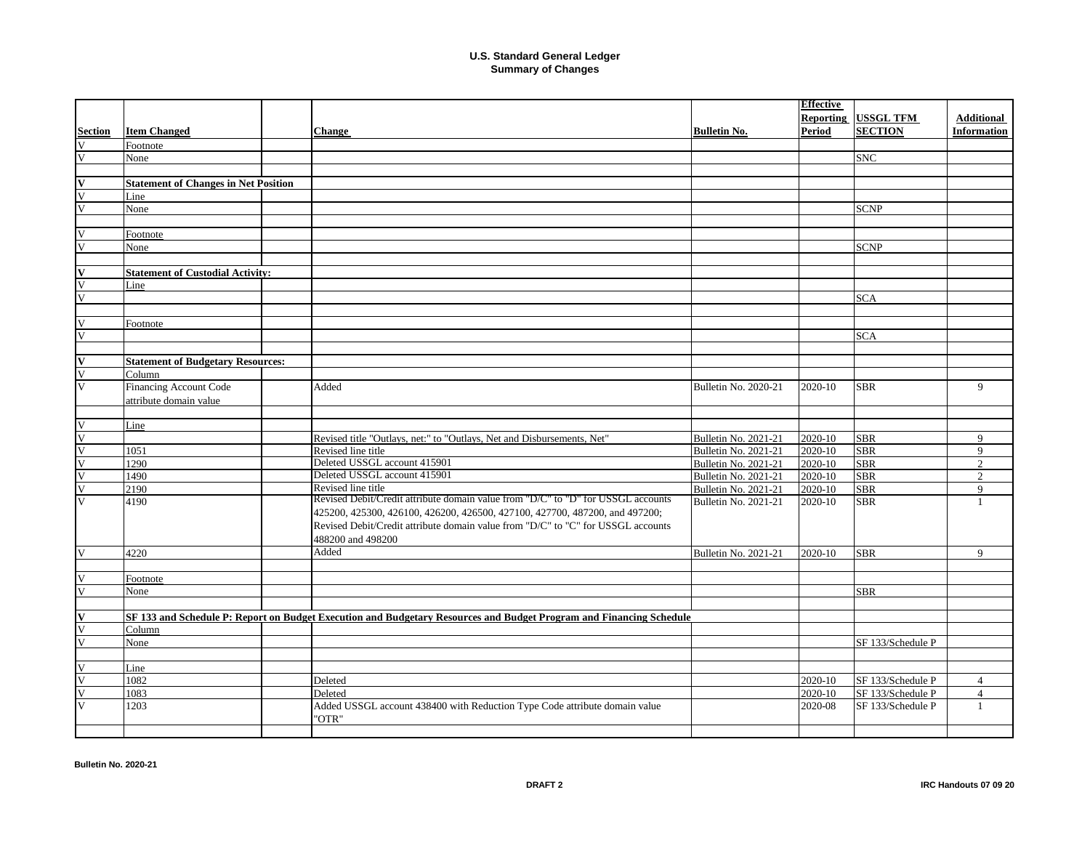|                         |                                             |                                                                                                                     |                             | <b>Effective</b> |                   |                    |
|-------------------------|---------------------------------------------|---------------------------------------------------------------------------------------------------------------------|-----------------------------|------------------|-------------------|--------------------|
|                         |                                             |                                                                                                                     |                             | Reporting        | <b>USSGL TFM</b>  | <b>Additional</b>  |
| <b>Section</b>          | <b>Item Changed</b>                         | <b>Change</b>                                                                                                       | <b>Bulletin No.</b>         | Period           | <b>SECTION</b>    | <b>Information</b> |
| V                       | Footnote                                    |                                                                                                                     |                             |                  |                   |                    |
| V                       | None                                        |                                                                                                                     |                             |                  | <b>SNC</b>        |                    |
|                         |                                             |                                                                                                                     |                             |                  |                   |                    |
| V                       | <b>Statement of Changes in Net Position</b> |                                                                                                                     |                             |                  |                   |                    |
| V                       | Line                                        |                                                                                                                     |                             |                  |                   |                    |
| $\overline{\mathbf{V}}$ | None                                        |                                                                                                                     |                             |                  | <b>SCNP</b>       |                    |
|                         |                                             |                                                                                                                     |                             |                  |                   |                    |
| V                       | Footnote                                    |                                                                                                                     |                             |                  |                   |                    |
| $\overline{\mathbf{V}}$ | None                                        |                                                                                                                     |                             |                  | <b>SCNP</b>       |                    |
|                         |                                             |                                                                                                                     |                             |                  |                   |                    |
| V                       | <b>Statement of Custodial Activity:</b>     |                                                                                                                     |                             |                  |                   |                    |
| $\overline{\mathbf{V}}$ | Line                                        |                                                                                                                     |                             |                  |                   |                    |
| $\overline{\mathbf{V}}$ |                                             |                                                                                                                     |                             |                  | <b>SCA</b>        |                    |
|                         |                                             |                                                                                                                     |                             |                  |                   |                    |
| $\overline{\mathbf{V}}$ | Footnote                                    |                                                                                                                     |                             |                  |                   |                    |
| V                       |                                             |                                                                                                                     |                             |                  | <b>SCA</b>        |                    |
|                         |                                             |                                                                                                                     |                             |                  |                   |                    |
| IV                      | <b>Statement of Budgetary Resources:</b>    |                                                                                                                     |                             |                  |                   |                    |
| $\overline{\mathsf{V}}$ | Column                                      |                                                                                                                     |                             |                  |                   |                    |
| $\overline{\mathsf{V}}$ | Financing Account Code                      | Added                                                                                                               | Bulletin No. 2020-21        | 2020-10          | <b>SBR</b>        | 9                  |
|                         | attribute domain value                      |                                                                                                                     |                             |                  |                   |                    |
|                         |                                             |                                                                                                                     |                             |                  |                   |                    |
| V                       | Line                                        |                                                                                                                     |                             |                  |                   |                    |
| $\overline{\mathsf{V}}$ |                                             | Revised title "Outlays, net:" to "Outlays, Net and Disbursements, Net"                                              | Bulletin No. 2021-21        | 2020-10          | <b>SBR</b>        | 9                  |
| $\overline{\mathsf{V}}$ | 1051                                        | Revised line title                                                                                                  | Bulletin No. 2021-21        | 2020-10          | <b>SBR</b>        | 9                  |
| $\overline{\mathsf{V}}$ | 1290                                        | Deleted USSGL account 415901                                                                                        | Bulletin No. 2021-21        | 2020-10          | <b>SBR</b>        | $\overline{2}$     |
| $\overline{\mathsf{V}}$ | 1490                                        | Deleted USSGL account 415901                                                                                        | <b>Bulletin No. 2021-21</b> | 2020-10          | <b>SBR</b>        | $\overline{2}$     |
| V                       | 2190                                        | Revised line title                                                                                                  | Bulletin No. 2021-21        | 2020-10          | <b>SBR</b>        | 9                  |
| $\overline{\mathbf{V}}$ | 4190                                        | Revised Debit/Credit attribute domain value from "D/C" to "D" for USSGL accounts                                    | <b>Bulletin No. 2021-21</b> | 2020-10          | <b>SBR</b>        | $\mathbf{1}$       |
|                         |                                             | 425200, 425300, 426100, 426200, 426500, 427100, 427700, 487200, and 497200;                                         |                             |                  |                   |                    |
|                         |                                             | Revised Debit/Credit attribute domain value from "D/C" to "C" for USSGL accounts                                    |                             |                  |                   |                    |
|                         |                                             | 488200 and 498200                                                                                                   |                             |                  |                   |                    |
| V                       | 4220                                        | Added                                                                                                               | Bulletin No. 2021-21        | 2020-10          | <b>SBR</b>        | 9                  |
|                         |                                             |                                                                                                                     |                             |                  |                   |                    |
| V                       | Footnote                                    |                                                                                                                     |                             |                  |                   |                    |
| V                       | None                                        |                                                                                                                     |                             |                  | <b>SBR</b>        |                    |
|                         |                                             |                                                                                                                     |                             |                  |                   |                    |
| V                       |                                             | SF 133 and Schedule P: Report on Budget Execution and Budgetary Resources and Budget Program and Financing Schedule |                             |                  |                   |                    |
| V                       | Column                                      |                                                                                                                     |                             |                  |                   |                    |
| $\overline{\mathsf{V}}$ | None                                        |                                                                                                                     |                             |                  | SF 133/Schedule P |                    |
|                         |                                             |                                                                                                                     |                             |                  |                   |                    |
| $\overline{\mathbf{V}}$ | Line                                        |                                                                                                                     |                             |                  |                   |                    |
| V                       | 1082                                        | Deleted                                                                                                             |                             | 2020-10          | SF 133/Schedule P | $\overline{4}$     |
| $\overline{\mathsf{V}}$ | 1083                                        | Deleted                                                                                                             |                             | 2020-10          | SF 133/Schedule P | $\overline{4}$     |
| $\overline{\mathbf{V}}$ | 1203                                        | Added USSGL account 438400 with Reduction Type Code attribute domain value                                          |                             | 2020-08          | SF 133/Schedule P | $\mathbf{1}$       |
|                         |                                             | "OTR"                                                                                                               |                             |                  |                   |                    |
|                         |                                             |                                                                                                                     |                             |                  |                   |                    |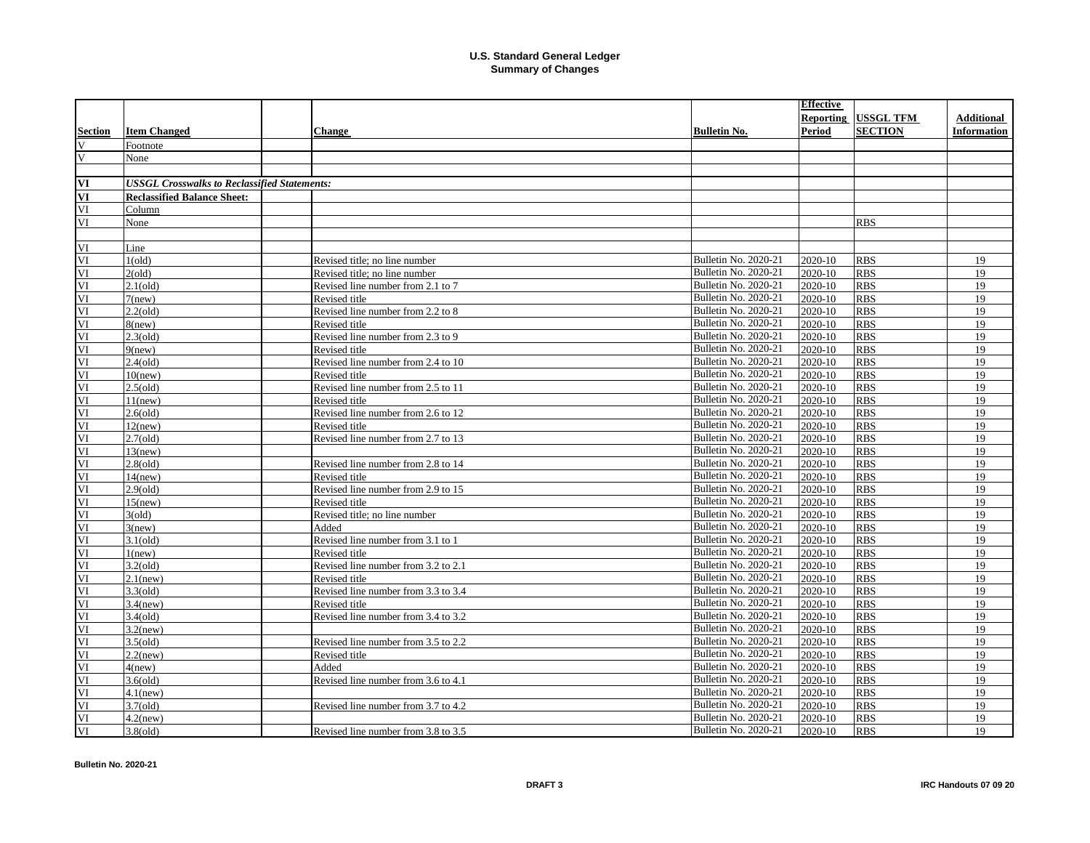| Reporting USSGL TFM<br><b>Additional</b><br><b>SECTION</b><br><b>Item Changed</b><br><b>Period</b><br><b>Information</b><br><b>Bulletin No.</b><br><b>Change</b><br>V<br>Footnote<br>$\mathbf{V}$<br>None<br>VI<br><b>USSGL Crosswalks to Reclassified Statements:</b><br>VI<br><b>Reclassified Balance Sheet:</b><br>VI<br>Column<br>VI<br>None<br><b>RBS</b><br>VI<br>Line<br>Bulletin No. 2020-21<br>VI<br>1(old)<br>2020-10<br><b>RBS</b><br>19<br>Revised title; no line number<br>VI<br>Bulletin No. 2020-21<br>19<br>2(old)<br>Revised title: no line number<br>2020-10<br><b>RBS</b><br>VI<br>Bulletin No. 2020-21<br>19<br>$2.1\text{ (old)}$<br>Revised line number from 2.1 to 7<br>2020-10<br><b>RBS</b><br>VI<br>Bulletin No. 2020-21<br><b>RBS</b><br>19<br>Revised title<br>2020-10<br>$7$ (new)<br>VI<br>$2.2\text{ (old)}$<br>Bulletin No. 2020-21<br><b>RBS</b><br>19<br>Revised line number from 2.2 to 8<br>2020-10<br>VI<br>Bulletin No. 2020-21<br><b>RBS</b><br>19<br>$8$ (new)<br>Revised title<br>2020-10<br>VI<br>Bulletin No. 2020-21<br><b>RBS</b><br>19<br>$2.3\text{ (old)}$<br>Revised line number from 2.3 to 9<br>2020-10<br>VI<br>Bulletin No. 2020-21<br>2020-10<br><b>RBS</b><br>19<br>Revised title<br>$9$ (new)<br>VI<br><b>RBS</b><br>19<br>$2.4\text{ (old)}$<br>Revised line number from 2.4 to 10<br>Bulletin No. 2020-21<br>2020-10<br>VI<br>Bulletin No. 2020-21<br><b>RBS</b><br>2020-10<br>19<br>$10$ (new)<br>Revised title<br>VI<br>Bulletin No. 2020-21<br><b>RBS</b><br>19<br>$2.5\text{ (old)}$<br>Revised line number from 2.5 to 11<br>2020-10<br>VI<br>Bulletin No. 2020-21<br>2020-10<br><b>RBS</b><br>19<br>Revised title<br>$11$ (new)<br>VI<br><b>RBS</b><br>Bulletin No. 2020-21<br>2020-10<br>19<br>$2.6\text{ (old)}$<br>Revised line number from 2.6 to 12<br>VI<br>Bulletin No. 2020-21<br>2020-10<br><b>RBS</b><br>19<br>$12$ (new)<br>Revised title<br>VI<br><b>Bulletin No. 2020-21</b><br><b>RBS</b><br>19<br>$2.7\text{ (old)}$<br>Revised line number from 2.7 to 13<br>2020-10<br>VI<br>Bulletin No. 2020-21<br>2020-10<br><b>RBS</b><br>19<br>$13$ (new)<br>Bulletin No. 2020-21<br>VI<br><b>RBS</b><br>19<br>$2.8\text{ (old)}$<br>2020-10<br>Revised line number from 2.8 to 14<br>VI<br>Bulletin No. 2020-21<br>2020-10<br><b>RBS</b><br>19<br>$14$ (new)<br>Revised title<br>Bulletin No. 2020-21<br>VI<br>Revised line number from 2.9 to 15<br>2020-10<br><b>RBS</b><br>19<br>$2.9\text{ (old)}$<br>Bulletin No. 2020-21<br>2020-10<br><b>RBS</b><br>19<br>VI<br>$15$ (new)<br>Revised title<br><b>Bulletin No. 2020-21</b><br>2020-10<br><b>RBS</b><br>19<br>VI<br>3(old)<br>Revised title: no line number<br>Bulletin No. 2020-21<br>VI<br>2020-10<br><b>RBS</b><br>19<br>Added<br>$3$ (new)<br>Bulletin No. 2020-21<br>19<br>VI<br>2020-10<br><b>RBS</b><br>$3.1$ (old)<br>Revised line number from 3.1 to 1<br>Bulletin No. 2020-21<br>2020-10<br><b>RBS</b><br>19<br>VI<br>1(new)<br>Revised title<br>VI<br>Bulletin No. 2020-21<br>2020-10<br><b>RBS</b><br>19<br>$3.2\text{(old)}$<br>Revised line number from 3.2 to 2.1<br>Bulletin No. 2020-21<br>19<br>VI<br>2020-10<br><b>RBS</b><br>$2.1$ (new)<br>Revised title<br>Bulletin No. 2020-21<br>VI<br>Revised line number from 3.3 to 3.4<br>2020-10<br><b>RBS</b><br>19<br>$3.3\text{ (old)}$<br>Bulletin No. 2020-21<br>VI<br>2020-10<br><b>RBS</b><br>19<br>$3.4$ (new)<br>Revised title<br>Bulletin No. 2020-21<br>VI<br>2020-10<br><b>RBS</b><br>19<br>$3.4\text{ (old)}$<br>Revised line number from 3.4 to 3.2<br>VI<br>Bulletin No. 2020-21<br>2020-10<br><b>RBS</b><br>19<br>$3.2$ (new)<br>VI<br>Bulletin No. 2020-21<br><b>RBS</b><br>$3.5\text{(old)}$<br>2020-10<br>19<br>Revised line number from 3.5 to 2.2<br>Bulletin No. 2020-21<br><b>RBS</b><br>VI<br>2020-10<br>19<br>$2.2$ (new)<br>Revised title<br>VI<br>Bulletin No. 2020-21<br>2020-10<br><b>RBS</b><br>19<br>4(new)<br>Added<br>VI<br>Revised line number from 3.6 to 4.1<br>Bulletin No. 2020-21<br><b>RBS</b><br>2020-10<br>19<br>3.6(old)<br>VI<br>Bulletin No. 2020-21<br>19<br>$4.1$ (new)<br>2020-10<br><b>RBS</b><br>VI<br>Bulletin No. 2020-21<br>$3.7\text{(old)}$<br>2020-10<br><b>RBS</b><br>19<br>Revised line number from 3.7 to 4.2<br>VI<br>Bulletin No. 2020-21<br>19<br>$4.2$ (new)<br>2020-10<br><b>RBS</b><br>$3.8\text{ (old)}$<br>Bulletin No. 2020-21<br>2020-10<br><b>RBS</b><br>19<br>Revised line number from 3.8 to 3.5 |                |  |  | <b>Effective</b> |  |
|--------------------------------------------------------------------------------------------------------------------------------------------------------------------------------------------------------------------------------------------------------------------------------------------------------------------------------------------------------------------------------------------------------------------------------------------------------------------------------------------------------------------------------------------------------------------------------------------------------------------------------------------------------------------------------------------------------------------------------------------------------------------------------------------------------------------------------------------------------------------------------------------------------------------------------------------------------------------------------------------------------------------------------------------------------------------------------------------------------------------------------------------------------------------------------------------------------------------------------------------------------------------------------------------------------------------------------------------------------------------------------------------------------------------------------------------------------------------------------------------------------------------------------------------------------------------------------------------------------------------------------------------------------------------------------------------------------------------------------------------------------------------------------------------------------------------------------------------------------------------------------------------------------------------------------------------------------------------------------------------------------------------------------------------------------------------------------------------------------------------------------------------------------------------------------------------------------------------------------------------------------------------------------------------------------------------------------------------------------------------------------------------------------------------------------------------------------------------------------------------------------------------------------------------------------------------------------------------------------------------------------------------------------------------------------------------------------------------------------------------------------------------------------------------------------------------------------------------------------------------------------------------------------------------------------------------------------------------------------------------------------------------------------------------------------------------------------------------------------------------------------------------------------------------------------------------------------------------------------------------------------------------------------------------------------------------------------------------------------------------------------------------------------------------------------------------------------------------------------------------------------------------------------------------------------------------------------------------------------------------------------------------------------------------------------------------------------------------------------------------------------------------------------------------------------------------------------------------------------------------------------------------------------------------------------------------------------------------------------------------------------------------------------------------------------------------------------------------------------------------------------------------------------------------------------------------------------------------------------------------------------------------------------------------------------------------------------------------------------------------------------------------------------------------------------------------------------------------|----------------|--|--|------------------|--|
|                                                                                                                                                                                                                                                                                                                                                                                                                                                                                                                                                                                                                                                                                                                                                                                                                                                                                                                                                                                                                                                                                                                                                                                                                                                                                                                                                                                                                                                                                                                                                                                                                                                                                                                                                                                                                                                                                                                                                                                                                                                                                                                                                                                                                                                                                                                                                                                                                                                                                                                                                                                                                                                                                                                                                                                                                                                                                                                                                                                                                                                                                                                                                                                                                                                                                                                                                                                                                                                                                                                                                                                                                                                                                                                                                                                                                                                                                                                                                                                                                                                                                                                                                                                                                                                                                                                                                                                                                                                                    |                |  |  |                  |  |
|                                                                                                                                                                                                                                                                                                                                                                                                                                                                                                                                                                                                                                                                                                                                                                                                                                                                                                                                                                                                                                                                                                                                                                                                                                                                                                                                                                                                                                                                                                                                                                                                                                                                                                                                                                                                                                                                                                                                                                                                                                                                                                                                                                                                                                                                                                                                                                                                                                                                                                                                                                                                                                                                                                                                                                                                                                                                                                                                                                                                                                                                                                                                                                                                                                                                                                                                                                                                                                                                                                                                                                                                                                                                                                                                                                                                                                                                                                                                                                                                                                                                                                                                                                                                                                                                                                                                                                                                                                                                    | <b>Section</b> |  |  |                  |  |
|                                                                                                                                                                                                                                                                                                                                                                                                                                                                                                                                                                                                                                                                                                                                                                                                                                                                                                                                                                                                                                                                                                                                                                                                                                                                                                                                                                                                                                                                                                                                                                                                                                                                                                                                                                                                                                                                                                                                                                                                                                                                                                                                                                                                                                                                                                                                                                                                                                                                                                                                                                                                                                                                                                                                                                                                                                                                                                                                                                                                                                                                                                                                                                                                                                                                                                                                                                                                                                                                                                                                                                                                                                                                                                                                                                                                                                                                                                                                                                                                                                                                                                                                                                                                                                                                                                                                                                                                                                                                    |                |  |  |                  |  |
|                                                                                                                                                                                                                                                                                                                                                                                                                                                                                                                                                                                                                                                                                                                                                                                                                                                                                                                                                                                                                                                                                                                                                                                                                                                                                                                                                                                                                                                                                                                                                                                                                                                                                                                                                                                                                                                                                                                                                                                                                                                                                                                                                                                                                                                                                                                                                                                                                                                                                                                                                                                                                                                                                                                                                                                                                                                                                                                                                                                                                                                                                                                                                                                                                                                                                                                                                                                                                                                                                                                                                                                                                                                                                                                                                                                                                                                                                                                                                                                                                                                                                                                                                                                                                                                                                                                                                                                                                                                                    |                |  |  |                  |  |
|                                                                                                                                                                                                                                                                                                                                                                                                                                                                                                                                                                                                                                                                                                                                                                                                                                                                                                                                                                                                                                                                                                                                                                                                                                                                                                                                                                                                                                                                                                                                                                                                                                                                                                                                                                                                                                                                                                                                                                                                                                                                                                                                                                                                                                                                                                                                                                                                                                                                                                                                                                                                                                                                                                                                                                                                                                                                                                                                                                                                                                                                                                                                                                                                                                                                                                                                                                                                                                                                                                                                                                                                                                                                                                                                                                                                                                                                                                                                                                                                                                                                                                                                                                                                                                                                                                                                                                                                                                                                    |                |  |  |                  |  |
|                                                                                                                                                                                                                                                                                                                                                                                                                                                                                                                                                                                                                                                                                                                                                                                                                                                                                                                                                                                                                                                                                                                                                                                                                                                                                                                                                                                                                                                                                                                                                                                                                                                                                                                                                                                                                                                                                                                                                                                                                                                                                                                                                                                                                                                                                                                                                                                                                                                                                                                                                                                                                                                                                                                                                                                                                                                                                                                                                                                                                                                                                                                                                                                                                                                                                                                                                                                                                                                                                                                                                                                                                                                                                                                                                                                                                                                                                                                                                                                                                                                                                                                                                                                                                                                                                                                                                                                                                                                                    |                |  |  |                  |  |
|                                                                                                                                                                                                                                                                                                                                                                                                                                                                                                                                                                                                                                                                                                                                                                                                                                                                                                                                                                                                                                                                                                                                                                                                                                                                                                                                                                                                                                                                                                                                                                                                                                                                                                                                                                                                                                                                                                                                                                                                                                                                                                                                                                                                                                                                                                                                                                                                                                                                                                                                                                                                                                                                                                                                                                                                                                                                                                                                                                                                                                                                                                                                                                                                                                                                                                                                                                                                                                                                                                                                                                                                                                                                                                                                                                                                                                                                                                                                                                                                                                                                                                                                                                                                                                                                                                                                                                                                                                                                    |                |  |  |                  |  |
|                                                                                                                                                                                                                                                                                                                                                                                                                                                                                                                                                                                                                                                                                                                                                                                                                                                                                                                                                                                                                                                                                                                                                                                                                                                                                                                                                                                                                                                                                                                                                                                                                                                                                                                                                                                                                                                                                                                                                                                                                                                                                                                                                                                                                                                                                                                                                                                                                                                                                                                                                                                                                                                                                                                                                                                                                                                                                                                                                                                                                                                                                                                                                                                                                                                                                                                                                                                                                                                                                                                                                                                                                                                                                                                                                                                                                                                                                                                                                                                                                                                                                                                                                                                                                                                                                                                                                                                                                                                                    |                |  |  |                  |  |
|                                                                                                                                                                                                                                                                                                                                                                                                                                                                                                                                                                                                                                                                                                                                                                                                                                                                                                                                                                                                                                                                                                                                                                                                                                                                                                                                                                                                                                                                                                                                                                                                                                                                                                                                                                                                                                                                                                                                                                                                                                                                                                                                                                                                                                                                                                                                                                                                                                                                                                                                                                                                                                                                                                                                                                                                                                                                                                                                                                                                                                                                                                                                                                                                                                                                                                                                                                                                                                                                                                                                                                                                                                                                                                                                                                                                                                                                                                                                                                                                                                                                                                                                                                                                                                                                                                                                                                                                                                                                    |                |  |  |                  |  |
|                                                                                                                                                                                                                                                                                                                                                                                                                                                                                                                                                                                                                                                                                                                                                                                                                                                                                                                                                                                                                                                                                                                                                                                                                                                                                                                                                                                                                                                                                                                                                                                                                                                                                                                                                                                                                                                                                                                                                                                                                                                                                                                                                                                                                                                                                                                                                                                                                                                                                                                                                                                                                                                                                                                                                                                                                                                                                                                                                                                                                                                                                                                                                                                                                                                                                                                                                                                                                                                                                                                                                                                                                                                                                                                                                                                                                                                                                                                                                                                                                                                                                                                                                                                                                                                                                                                                                                                                                                                                    |                |  |  |                  |  |
|                                                                                                                                                                                                                                                                                                                                                                                                                                                                                                                                                                                                                                                                                                                                                                                                                                                                                                                                                                                                                                                                                                                                                                                                                                                                                                                                                                                                                                                                                                                                                                                                                                                                                                                                                                                                                                                                                                                                                                                                                                                                                                                                                                                                                                                                                                                                                                                                                                                                                                                                                                                                                                                                                                                                                                                                                                                                                                                                                                                                                                                                                                                                                                                                                                                                                                                                                                                                                                                                                                                                                                                                                                                                                                                                                                                                                                                                                                                                                                                                                                                                                                                                                                                                                                                                                                                                                                                                                                                                    |                |  |  |                  |  |
|                                                                                                                                                                                                                                                                                                                                                                                                                                                                                                                                                                                                                                                                                                                                                                                                                                                                                                                                                                                                                                                                                                                                                                                                                                                                                                                                                                                                                                                                                                                                                                                                                                                                                                                                                                                                                                                                                                                                                                                                                                                                                                                                                                                                                                                                                                                                                                                                                                                                                                                                                                                                                                                                                                                                                                                                                                                                                                                                                                                                                                                                                                                                                                                                                                                                                                                                                                                                                                                                                                                                                                                                                                                                                                                                                                                                                                                                                                                                                                                                                                                                                                                                                                                                                                                                                                                                                                                                                                                                    |                |  |  |                  |  |
|                                                                                                                                                                                                                                                                                                                                                                                                                                                                                                                                                                                                                                                                                                                                                                                                                                                                                                                                                                                                                                                                                                                                                                                                                                                                                                                                                                                                                                                                                                                                                                                                                                                                                                                                                                                                                                                                                                                                                                                                                                                                                                                                                                                                                                                                                                                                                                                                                                                                                                                                                                                                                                                                                                                                                                                                                                                                                                                                                                                                                                                                                                                                                                                                                                                                                                                                                                                                                                                                                                                                                                                                                                                                                                                                                                                                                                                                                                                                                                                                                                                                                                                                                                                                                                                                                                                                                                                                                                                                    |                |  |  |                  |  |
|                                                                                                                                                                                                                                                                                                                                                                                                                                                                                                                                                                                                                                                                                                                                                                                                                                                                                                                                                                                                                                                                                                                                                                                                                                                                                                                                                                                                                                                                                                                                                                                                                                                                                                                                                                                                                                                                                                                                                                                                                                                                                                                                                                                                                                                                                                                                                                                                                                                                                                                                                                                                                                                                                                                                                                                                                                                                                                                                                                                                                                                                                                                                                                                                                                                                                                                                                                                                                                                                                                                                                                                                                                                                                                                                                                                                                                                                                                                                                                                                                                                                                                                                                                                                                                                                                                                                                                                                                                                                    |                |  |  |                  |  |
|                                                                                                                                                                                                                                                                                                                                                                                                                                                                                                                                                                                                                                                                                                                                                                                                                                                                                                                                                                                                                                                                                                                                                                                                                                                                                                                                                                                                                                                                                                                                                                                                                                                                                                                                                                                                                                                                                                                                                                                                                                                                                                                                                                                                                                                                                                                                                                                                                                                                                                                                                                                                                                                                                                                                                                                                                                                                                                                                                                                                                                                                                                                                                                                                                                                                                                                                                                                                                                                                                                                                                                                                                                                                                                                                                                                                                                                                                                                                                                                                                                                                                                                                                                                                                                                                                                                                                                                                                                                                    |                |  |  |                  |  |
|                                                                                                                                                                                                                                                                                                                                                                                                                                                                                                                                                                                                                                                                                                                                                                                                                                                                                                                                                                                                                                                                                                                                                                                                                                                                                                                                                                                                                                                                                                                                                                                                                                                                                                                                                                                                                                                                                                                                                                                                                                                                                                                                                                                                                                                                                                                                                                                                                                                                                                                                                                                                                                                                                                                                                                                                                                                                                                                                                                                                                                                                                                                                                                                                                                                                                                                                                                                                                                                                                                                                                                                                                                                                                                                                                                                                                                                                                                                                                                                                                                                                                                                                                                                                                                                                                                                                                                                                                                                                    |                |  |  |                  |  |
|                                                                                                                                                                                                                                                                                                                                                                                                                                                                                                                                                                                                                                                                                                                                                                                                                                                                                                                                                                                                                                                                                                                                                                                                                                                                                                                                                                                                                                                                                                                                                                                                                                                                                                                                                                                                                                                                                                                                                                                                                                                                                                                                                                                                                                                                                                                                                                                                                                                                                                                                                                                                                                                                                                                                                                                                                                                                                                                                                                                                                                                                                                                                                                                                                                                                                                                                                                                                                                                                                                                                                                                                                                                                                                                                                                                                                                                                                                                                                                                                                                                                                                                                                                                                                                                                                                                                                                                                                                                                    |                |  |  |                  |  |
|                                                                                                                                                                                                                                                                                                                                                                                                                                                                                                                                                                                                                                                                                                                                                                                                                                                                                                                                                                                                                                                                                                                                                                                                                                                                                                                                                                                                                                                                                                                                                                                                                                                                                                                                                                                                                                                                                                                                                                                                                                                                                                                                                                                                                                                                                                                                                                                                                                                                                                                                                                                                                                                                                                                                                                                                                                                                                                                                                                                                                                                                                                                                                                                                                                                                                                                                                                                                                                                                                                                                                                                                                                                                                                                                                                                                                                                                                                                                                                                                                                                                                                                                                                                                                                                                                                                                                                                                                                                                    |                |  |  |                  |  |
|                                                                                                                                                                                                                                                                                                                                                                                                                                                                                                                                                                                                                                                                                                                                                                                                                                                                                                                                                                                                                                                                                                                                                                                                                                                                                                                                                                                                                                                                                                                                                                                                                                                                                                                                                                                                                                                                                                                                                                                                                                                                                                                                                                                                                                                                                                                                                                                                                                                                                                                                                                                                                                                                                                                                                                                                                                                                                                                                                                                                                                                                                                                                                                                                                                                                                                                                                                                                                                                                                                                                                                                                                                                                                                                                                                                                                                                                                                                                                                                                                                                                                                                                                                                                                                                                                                                                                                                                                                                                    |                |  |  |                  |  |
|                                                                                                                                                                                                                                                                                                                                                                                                                                                                                                                                                                                                                                                                                                                                                                                                                                                                                                                                                                                                                                                                                                                                                                                                                                                                                                                                                                                                                                                                                                                                                                                                                                                                                                                                                                                                                                                                                                                                                                                                                                                                                                                                                                                                                                                                                                                                                                                                                                                                                                                                                                                                                                                                                                                                                                                                                                                                                                                                                                                                                                                                                                                                                                                                                                                                                                                                                                                                                                                                                                                                                                                                                                                                                                                                                                                                                                                                                                                                                                                                                                                                                                                                                                                                                                                                                                                                                                                                                                                                    |                |  |  |                  |  |
|                                                                                                                                                                                                                                                                                                                                                                                                                                                                                                                                                                                                                                                                                                                                                                                                                                                                                                                                                                                                                                                                                                                                                                                                                                                                                                                                                                                                                                                                                                                                                                                                                                                                                                                                                                                                                                                                                                                                                                                                                                                                                                                                                                                                                                                                                                                                                                                                                                                                                                                                                                                                                                                                                                                                                                                                                                                                                                                                                                                                                                                                                                                                                                                                                                                                                                                                                                                                                                                                                                                                                                                                                                                                                                                                                                                                                                                                                                                                                                                                                                                                                                                                                                                                                                                                                                                                                                                                                                                                    |                |  |  |                  |  |
|                                                                                                                                                                                                                                                                                                                                                                                                                                                                                                                                                                                                                                                                                                                                                                                                                                                                                                                                                                                                                                                                                                                                                                                                                                                                                                                                                                                                                                                                                                                                                                                                                                                                                                                                                                                                                                                                                                                                                                                                                                                                                                                                                                                                                                                                                                                                                                                                                                                                                                                                                                                                                                                                                                                                                                                                                                                                                                                                                                                                                                                                                                                                                                                                                                                                                                                                                                                                                                                                                                                                                                                                                                                                                                                                                                                                                                                                                                                                                                                                                                                                                                                                                                                                                                                                                                                                                                                                                                                                    |                |  |  |                  |  |
|                                                                                                                                                                                                                                                                                                                                                                                                                                                                                                                                                                                                                                                                                                                                                                                                                                                                                                                                                                                                                                                                                                                                                                                                                                                                                                                                                                                                                                                                                                                                                                                                                                                                                                                                                                                                                                                                                                                                                                                                                                                                                                                                                                                                                                                                                                                                                                                                                                                                                                                                                                                                                                                                                                                                                                                                                                                                                                                                                                                                                                                                                                                                                                                                                                                                                                                                                                                                                                                                                                                                                                                                                                                                                                                                                                                                                                                                                                                                                                                                                                                                                                                                                                                                                                                                                                                                                                                                                                                                    |                |  |  |                  |  |
|                                                                                                                                                                                                                                                                                                                                                                                                                                                                                                                                                                                                                                                                                                                                                                                                                                                                                                                                                                                                                                                                                                                                                                                                                                                                                                                                                                                                                                                                                                                                                                                                                                                                                                                                                                                                                                                                                                                                                                                                                                                                                                                                                                                                                                                                                                                                                                                                                                                                                                                                                                                                                                                                                                                                                                                                                                                                                                                                                                                                                                                                                                                                                                                                                                                                                                                                                                                                                                                                                                                                                                                                                                                                                                                                                                                                                                                                                                                                                                                                                                                                                                                                                                                                                                                                                                                                                                                                                                                                    |                |  |  |                  |  |
|                                                                                                                                                                                                                                                                                                                                                                                                                                                                                                                                                                                                                                                                                                                                                                                                                                                                                                                                                                                                                                                                                                                                                                                                                                                                                                                                                                                                                                                                                                                                                                                                                                                                                                                                                                                                                                                                                                                                                                                                                                                                                                                                                                                                                                                                                                                                                                                                                                                                                                                                                                                                                                                                                                                                                                                                                                                                                                                                                                                                                                                                                                                                                                                                                                                                                                                                                                                                                                                                                                                                                                                                                                                                                                                                                                                                                                                                                                                                                                                                                                                                                                                                                                                                                                                                                                                                                                                                                                                                    |                |  |  |                  |  |
|                                                                                                                                                                                                                                                                                                                                                                                                                                                                                                                                                                                                                                                                                                                                                                                                                                                                                                                                                                                                                                                                                                                                                                                                                                                                                                                                                                                                                                                                                                                                                                                                                                                                                                                                                                                                                                                                                                                                                                                                                                                                                                                                                                                                                                                                                                                                                                                                                                                                                                                                                                                                                                                                                                                                                                                                                                                                                                                                                                                                                                                                                                                                                                                                                                                                                                                                                                                                                                                                                                                                                                                                                                                                                                                                                                                                                                                                                                                                                                                                                                                                                                                                                                                                                                                                                                                                                                                                                                                                    |                |  |  |                  |  |
|                                                                                                                                                                                                                                                                                                                                                                                                                                                                                                                                                                                                                                                                                                                                                                                                                                                                                                                                                                                                                                                                                                                                                                                                                                                                                                                                                                                                                                                                                                                                                                                                                                                                                                                                                                                                                                                                                                                                                                                                                                                                                                                                                                                                                                                                                                                                                                                                                                                                                                                                                                                                                                                                                                                                                                                                                                                                                                                                                                                                                                                                                                                                                                                                                                                                                                                                                                                                                                                                                                                                                                                                                                                                                                                                                                                                                                                                                                                                                                                                                                                                                                                                                                                                                                                                                                                                                                                                                                                                    |                |  |  |                  |  |
|                                                                                                                                                                                                                                                                                                                                                                                                                                                                                                                                                                                                                                                                                                                                                                                                                                                                                                                                                                                                                                                                                                                                                                                                                                                                                                                                                                                                                                                                                                                                                                                                                                                                                                                                                                                                                                                                                                                                                                                                                                                                                                                                                                                                                                                                                                                                                                                                                                                                                                                                                                                                                                                                                                                                                                                                                                                                                                                                                                                                                                                                                                                                                                                                                                                                                                                                                                                                                                                                                                                                                                                                                                                                                                                                                                                                                                                                                                                                                                                                                                                                                                                                                                                                                                                                                                                                                                                                                                                                    |                |  |  |                  |  |
|                                                                                                                                                                                                                                                                                                                                                                                                                                                                                                                                                                                                                                                                                                                                                                                                                                                                                                                                                                                                                                                                                                                                                                                                                                                                                                                                                                                                                                                                                                                                                                                                                                                                                                                                                                                                                                                                                                                                                                                                                                                                                                                                                                                                                                                                                                                                                                                                                                                                                                                                                                                                                                                                                                                                                                                                                                                                                                                                                                                                                                                                                                                                                                                                                                                                                                                                                                                                                                                                                                                                                                                                                                                                                                                                                                                                                                                                                                                                                                                                                                                                                                                                                                                                                                                                                                                                                                                                                                                                    |                |  |  |                  |  |
|                                                                                                                                                                                                                                                                                                                                                                                                                                                                                                                                                                                                                                                                                                                                                                                                                                                                                                                                                                                                                                                                                                                                                                                                                                                                                                                                                                                                                                                                                                                                                                                                                                                                                                                                                                                                                                                                                                                                                                                                                                                                                                                                                                                                                                                                                                                                                                                                                                                                                                                                                                                                                                                                                                                                                                                                                                                                                                                                                                                                                                                                                                                                                                                                                                                                                                                                                                                                                                                                                                                                                                                                                                                                                                                                                                                                                                                                                                                                                                                                                                                                                                                                                                                                                                                                                                                                                                                                                                                                    |                |  |  |                  |  |
|                                                                                                                                                                                                                                                                                                                                                                                                                                                                                                                                                                                                                                                                                                                                                                                                                                                                                                                                                                                                                                                                                                                                                                                                                                                                                                                                                                                                                                                                                                                                                                                                                                                                                                                                                                                                                                                                                                                                                                                                                                                                                                                                                                                                                                                                                                                                                                                                                                                                                                                                                                                                                                                                                                                                                                                                                                                                                                                                                                                                                                                                                                                                                                                                                                                                                                                                                                                                                                                                                                                                                                                                                                                                                                                                                                                                                                                                                                                                                                                                                                                                                                                                                                                                                                                                                                                                                                                                                                                                    |                |  |  |                  |  |
|                                                                                                                                                                                                                                                                                                                                                                                                                                                                                                                                                                                                                                                                                                                                                                                                                                                                                                                                                                                                                                                                                                                                                                                                                                                                                                                                                                                                                                                                                                                                                                                                                                                                                                                                                                                                                                                                                                                                                                                                                                                                                                                                                                                                                                                                                                                                                                                                                                                                                                                                                                                                                                                                                                                                                                                                                                                                                                                                                                                                                                                                                                                                                                                                                                                                                                                                                                                                                                                                                                                                                                                                                                                                                                                                                                                                                                                                                                                                                                                                                                                                                                                                                                                                                                                                                                                                                                                                                                                                    |                |  |  |                  |  |
|                                                                                                                                                                                                                                                                                                                                                                                                                                                                                                                                                                                                                                                                                                                                                                                                                                                                                                                                                                                                                                                                                                                                                                                                                                                                                                                                                                                                                                                                                                                                                                                                                                                                                                                                                                                                                                                                                                                                                                                                                                                                                                                                                                                                                                                                                                                                                                                                                                                                                                                                                                                                                                                                                                                                                                                                                                                                                                                                                                                                                                                                                                                                                                                                                                                                                                                                                                                                                                                                                                                                                                                                                                                                                                                                                                                                                                                                                                                                                                                                                                                                                                                                                                                                                                                                                                                                                                                                                                                                    |                |  |  |                  |  |
|                                                                                                                                                                                                                                                                                                                                                                                                                                                                                                                                                                                                                                                                                                                                                                                                                                                                                                                                                                                                                                                                                                                                                                                                                                                                                                                                                                                                                                                                                                                                                                                                                                                                                                                                                                                                                                                                                                                                                                                                                                                                                                                                                                                                                                                                                                                                                                                                                                                                                                                                                                                                                                                                                                                                                                                                                                                                                                                                                                                                                                                                                                                                                                                                                                                                                                                                                                                                                                                                                                                                                                                                                                                                                                                                                                                                                                                                                                                                                                                                                                                                                                                                                                                                                                                                                                                                                                                                                                                                    |                |  |  |                  |  |
|                                                                                                                                                                                                                                                                                                                                                                                                                                                                                                                                                                                                                                                                                                                                                                                                                                                                                                                                                                                                                                                                                                                                                                                                                                                                                                                                                                                                                                                                                                                                                                                                                                                                                                                                                                                                                                                                                                                                                                                                                                                                                                                                                                                                                                                                                                                                                                                                                                                                                                                                                                                                                                                                                                                                                                                                                                                                                                                                                                                                                                                                                                                                                                                                                                                                                                                                                                                                                                                                                                                                                                                                                                                                                                                                                                                                                                                                                                                                                                                                                                                                                                                                                                                                                                                                                                                                                                                                                                                                    |                |  |  |                  |  |
|                                                                                                                                                                                                                                                                                                                                                                                                                                                                                                                                                                                                                                                                                                                                                                                                                                                                                                                                                                                                                                                                                                                                                                                                                                                                                                                                                                                                                                                                                                                                                                                                                                                                                                                                                                                                                                                                                                                                                                                                                                                                                                                                                                                                                                                                                                                                                                                                                                                                                                                                                                                                                                                                                                                                                                                                                                                                                                                                                                                                                                                                                                                                                                                                                                                                                                                                                                                                                                                                                                                                                                                                                                                                                                                                                                                                                                                                                                                                                                                                                                                                                                                                                                                                                                                                                                                                                                                                                                                                    |                |  |  |                  |  |
|                                                                                                                                                                                                                                                                                                                                                                                                                                                                                                                                                                                                                                                                                                                                                                                                                                                                                                                                                                                                                                                                                                                                                                                                                                                                                                                                                                                                                                                                                                                                                                                                                                                                                                                                                                                                                                                                                                                                                                                                                                                                                                                                                                                                                                                                                                                                                                                                                                                                                                                                                                                                                                                                                                                                                                                                                                                                                                                                                                                                                                                                                                                                                                                                                                                                                                                                                                                                                                                                                                                                                                                                                                                                                                                                                                                                                                                                                                                                                                                                                                                                                                                                                                                                                                                                                                                                                                                                                                                                    |                |  |  |                  |  |
|                                                                                                                                                                                                                                                                                                                                                                                                                                                                                                                                                                                                                                                                                                                                                                                                                                                                                                                                                                                                                                                                                                                                                                                                                                                                                                                                                                                                                                                                                                                                                                                                                                                                                                                                                                                                                                                                                                                                                                                                                                                                                                                                                                                                                                                                                                                                                                                                                                                                                                                                                                                                                                                                                                                                                                                                                                                                                                                                                                                                                                                                                                                                                                                                                                                                                                                                                                                                                                                                                                                                                                                                                                                                                                                                                                                                                                                                                                                                                                                                                                                                                                                                                                                                                                                                                                                                                                                                                                                                    |                |  |  |                  |  |
|                                                                                                                                                                                                                                                                                                                                                                                                                                                                                                                                                                                                                                                                                                                                                                                                                                                                                                                                                                                                                                                                                                                                                                                                                                                                                                                                                                                                                                                                                                                                                                                                                                                                                                                                                                                                                                                                                                                                                                                                                                                                                                                                                                                                                                                                                                                                                                                                                                                                                                                                                                                                                                                                                                                                                                                                                                                                                                                                                                                                                                                                                                                                                                                                                                                                                                                                                                                                                                                                                                                                                                                                                                                                                                                                                                                                                                                                                                                                                                                                                                                                                                                                                                                                                                                                                                                                                                                                                                                                    |                |  |  |                  |  |
|                                                                                                                                                                                                                                                                                                                                                                                                                                                                                                                                                                                                                                                                                                                                                                                                                                                                                                                                                                                                                                                                                                                                                                                                                                                                                                                                                                                                                                                                                                                                                                                                                                                                                                                                                                                                                                                                                                                                                                                                                                                                                                                                                                                                                                                                                                                                                                                                                                                                                                                                                                                                                                                                                                                                                                                                                                                                                                                                                                                                                                                                                                                                                                                                                                                                                                                                                                                                                                                                                                                                                                                                                                                                                                                                                                                                                                                                                                                                                                                                                                                                                                                                                                                                                                                                                                                                                                                                                                                                    |                |  |  |                  |  |
|                                                                                                                                                                                                                                                                                                                                                                                                                                                                                                                                                                                                                                                                                                                                                                                                                                                                                                                                                                                                                                                                                                                                                                                                                                                                                                                                                                                                                                                                                                                                                                                                                                                                                                                                                                                                                                                                                                                                                                                                                                                                                                                                                                                                                                                                                                                                                                                                                                                                                                                                                                                                                                                                                                                                                                                                                                                                                                                                                                                                                                                                                                                                                                                                                                                                                                                                                                                                                                                                                                                                                                                                                                                                                                                                                                                                                                                                                                                                                                                                                                                                                                                                                                                                                                                                                                                                                                                                                                                                    |                |  |  |                  |  |
|                                                                                                                                                                                                                                                                                                                                                                                                                                                                                                                                                                                                                                                                                                                                                                                                                                                                                                                                                                                                                                                                                                                                                                                                                                                                                                                                                                                                                                                                                                                                                                                                                                                                                                                                                                                                                                                                                                                                                                                                                                                                                                                                                                                                                                                                                                                                                                                                                                                                                                                                                                                                                                                                                                                                                                                                                                                                                                                                                                                                                                                                                                                                                                                                                                                                                                                                                                                                                                                                                                                                                                                                                                                                                                                                                                                                                                                                                                                                                                                                                                                                                                                                                                                                                                                                                                                                                                                                                                                                    |                |  |  |                  |  |
|                                                                                                                                                                                                                                                                                                                                                                                                                                                                                                                                                                                                                                                                                                                                                                                                                                                                                                                                                                                                                                                                                                                                                                                                                                                                                                                                                                                                                                                                                                                                                                                                                                                                                                                                                                                                                                                                                                                                                                                                                                                                                                                                                                                                                                                                                                                                                                                                                                                                                                                                                                                                                                                                                                                                                                                                                                                                                                                                                                                                                                                                                                                                                                                                                                                                                                                                                                                                                                                                                                                                                                                                                                                                                                                                                                                                                                                                                                                                                                                                                                                                                                                                                                                                                                                                                                                                                                                                                                                                    |                |  |  |                  |  |
|                                                                                                                                                                                                                                                                                                                                                                                                                                                                                                                                                                                                                                                                                                                                                                                                                                                                                                                                                                                                                                                                                                                                                                                                                                                                                                                                                                                                                                                                                                                                                                                                                                                                                                                                                                                                                                                                                                                                                                                                                                                                                                                                                                                                                                                                                                                                                                                                                                                                                                                                                                                                                                                                                                                                                                                                                                                                                                                                                                                                                                                                                                                                                                                                                                                                                                                                                                                                                                                                                                                                                                                                                                                                                                                                                                                                                                                                                                                                                                                                                                                                                                                                                                                                                                                                                                                                                                                                                                                                    |                |  |  |                  |  |
|                                                                                                                                                                                                                                                                                                                                                                                                                                                                                                                                                                                                                                                                                                                                                                                                                                                                                                                                                                                                                                                                                                                                                                                                                                                                                                                                                                                                                                                                                                                                                                                                                                                                                                                                                                                                                                                                                                                                                                                                                                                                                                                                                                                                                                                                                                                                                                                                                                                                                                                                                                                                                                                                                                                                                                                                                                                                                                                                                                                                                                                                                                                                                                                                                                                                                                                                                                                                                                                                                                                                                                                                                                                                                                                                                                                                                                                                                                                                                                                                                                                                                                                                                                                                                                                                                                                                                                                                                                                                    |                |  |  |                  |  |
|                                                                                                                                                                                                                                                                                                                                                                                                                                                                                                                                                                                                                                                                                                                                                                                                                                                                                                                                                                                                                                                                                                                                                                                                                                                                                                                                                                                                                                                                                                                                                                                                                                                                                                                                                                                                                                                                                                                                                                                                                                                                                                                                                                                                                                                                                                                                                                                                                                                                                                                                                                                                                                                                                                                                                                                                                                                                                                                                                                                                                                                                                                                                                                                                                                                                                                                                                                                                                                                                                                                                                                                                                                                                                                                                                                                                                                                                                                                                                                                                                                                                                                                                                                                                                                                                                                                                                                                                                                                                    |                |  |  |                  |  |
|                                                                                                                                                                                                                                                                                                                                                                                                                                                                                                                                                                                                                                                                                                                                                                                                                                                                                                                                                                                                                                                                                                                                                                                                                                                                                                                                                                                                                                                                                                                                                                                                                                                                                                                                                                                                                                                                                                                                                                                                                                                                                                                                                                                                                                                                                                                                                                                                                                                                                                                                                                                                                                                                                                                                                                                                                                                                                                                                                                                                                                                                                                                                                                                                                                                                                                                                                                                                                                                                                                                                                                                                                                                                                                                                                                                                                                                                                                                                                                                                                                                                                                                                                                                                                                                                                                                                                                                                                                                                    |                |  |  |                  |  |
|                                                                                                                                                                                                                                                                                                                                                                                                                                                                                                                                                                                                                                                                                                                                                                                                                                                                                                                                                                                                                                                                                                                                                                                                                                                                                                                                                                                                                                                                                                                                                                                                                                                                                                                                                                                                                                                                                                                                                                                                                                                                                                                                                                                                                                                                                                                                                                                                                                                                                                                                                                                                                                                                                                                                                                                                                                                                                                                                                                                                                                                                                                                                                                                                                                                                                                                                                                                                                                                                                                                                                                                                                                                                                                                                                                                                                                                                                                                                                                                                                                                                                                                                                                                                                                                                                                                                                                                                                                                                    |                |  |  |                  |  |
|                                                                                                                                                                                                                                                                                                                                                                                                                                                                                                                                                                                                                                                                                                                                                                                                                                                                                                                                                                                                                                                                                                                                                                                                                                                                                                                                                                                                                                                                                                                                                                                                                                                                                                                                                                                                                                                                                                                                                                                                                                                                                                                                                                                                                                                                                                                                                                                                                                                                                                                                                                                                                                                                                                                                                                                                                                                                                                                                                                                                                                                                                                                                                                                                                                                                                                                                                                                                                                                                                                                                                                                                                                                                                                                                                                                                                                                                                                                                                                                                                                                                                                                                                                                                                                                                                                                                                                                                                                                                    | VI             |  |  |                  |  |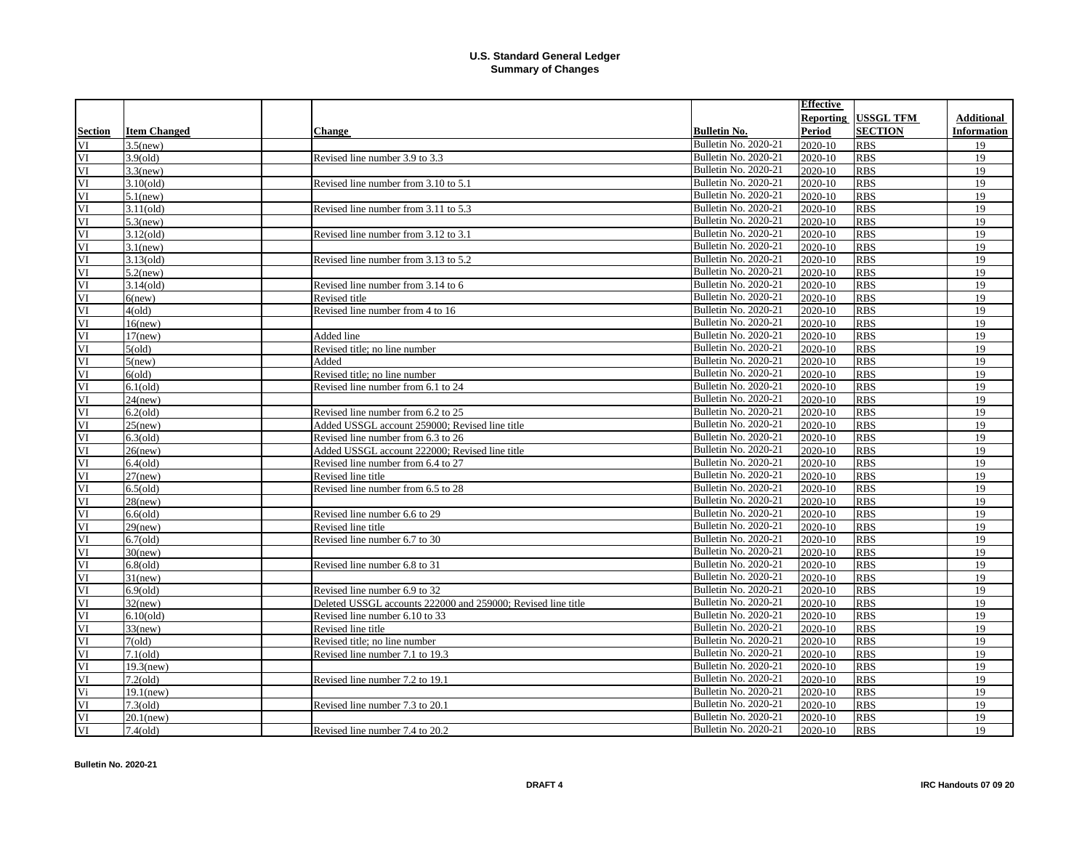|                        |                     |                                                              |                             | <b>Effective</b> |                  |             |
|------------------------|---------------------|--------------------------------------------------------------|-----------------------------|------------------|------------------|-------------|
|                        |                     |                                                              |                             | <b>Reporting</b> | <b>USSGL TFM</b> | Additional  |
| <b>Section</b>         | <b>Item Changed</b> | <b>Change</b>                                                | <b>Bulletin No.</b>         | <b>Period</b>    | <b>SECTION</b>   | Information |
| VI                     | $3.5$ (new)         |                                                              | Bulletin No. 2020-21        | 2020-10          | <b>RBS</b>       | 19          |
| VI                     | $3.9\text{o}$ ld)   | Revised line number 3.9 to 3.3                               | Bulletin No. 2020-21        | 2020-10          | <b>RBS</b>       | 19          |
| $\overline{\rm VI}$    | $3.3$ (new)         |                                                              | Bulletin No. 2020-21        | 2020-10          | <b>RBS</b>       | 19          |
| VI                     | $3.10\text{(old)}$  | Revised line number from 3.10 to 5.1                         | Bulletin No. 2020-21        | 2020-10          | <b>RBS</b>       | 19          |
| VI                     | $5.1$ (new)         |                                                              | Bulletin No. 2020-21        | 2020-10          | <b>RBS</b>       | 19          |
| VI                     | $3.11\text{(old)}$  | Revised line number from 3.11 to 5.3                         | Bulletin No. 2020-21        | 2020-10          | <b>RBS</b>       | 19          |
| VI                     | $5.3$ (new)         |                                                              | Bulletin No. 2020-21        | 2020-10          | <b>RBS</b>       | 19          |
| VI                     | $3.12\text{(old)}$  | Revised line number from 3.12 to 3.1                         | Bulletin No. 2020-21        | 2020-10          | <b>RBS</b>       | 19          |
| $\overline{\rm VI}$    | $3.1$ (new)         |                                                              | Bulletin No. 2020-21        | 2020-10          | <b>RBS</b>       | 19          |
| VI                     | $3.13\text{(old)}$  | Revised line number from 3.13 to 5.2                         | Bulletin No. 2020-21        | 2020-10          | <b>RBS</b>       | 19          |
| VI                     | $5.2$ (new)         |                                                              | Bulletin No. 2020-21        | 2020-10          | <b>RBS</b>       | 19          |
| VI                     | $3.14\text{ (old)}$ | Revised line number from 3.14 to 6                           | Bulletin No. 2020-21        | 2020-10          | <b>RBS</b>       | 19          |
| VI                     | $6$ (new)           | Revised title                                                | Bulletin No. 2020-21        | 2020-10          | <b>RBS</b>       | 19          |
| VI                     | 4(old)              | Revised line number from 4 to 16                             | Bulletin No. 2020-21        | $2020 - 10$      | <b>RBS</b>       | 19          |
| VI                     | $16$ (new)          |                                                              | Bulletin No. 2020-21        | 2020-10          | <b>RBS</b>       | 19          |
| VI                     | $17$ (new)          | Added line                                                   | Bulletin No. 2020-21        | 2020-10          | <b>RBS</b>       | 19          |
| VI                     | 5(old)              | Revised title; no line number                                | Bulletin No. 2020-21        | 2020-10          | <b>RBS</b>       | 19          |
| VI                     | $5$ (new)           | Added                                                        | Bulletin No. 2020-21        | 2020-10          | <b>RBS</b>       | 19          |
| VI                     | 6(old)              | Revised title; no line number                                | Bulletin No. 2020-21        | 2020-10          | <b>RBS</b>       | 19          |
| VI                     | $6.1$ (old)         | Revised line number from 6.1 to 24                           | Bulletin No. 2020-21        | $2020 - 10$      | <b>RBS</b>       | 19          |
| VI                     | $24$ (new)          |                                                              | Bulletin No. 2020-21        | 2020-10          | <b>RBS</b>       | 19          |
| VI                     | $6.2\text{(old)}$   | Revised line number from 6.2 to 25                           | Bulletin No. 2020-21        | 2020-10          | <b>RBS</b>       | 19          |
| VI                     | $25$ (new)          | Added USSGL account 259000; Revised line title               | Bulletin No. 2020-21        | 2020-10          | <b>RBS</b>       | 19          |
| VI                     | $6.3\text{(old)}$   | Revised line number from 6.3 to 26                           | Bulletin No. 2020-21        | 2020-10          | <b>RBS</b>       | 19          |
| $\overline{\text{VI}}$ | $26$ (new)          | Added USSGL account 222000: Revised line title               | Bulletin No. 2020-21        | 2020-10          | <b>RBS</b>       | 19          |
| VI                     | $6.4\text{(old)}$   | Revised line number from 6.4 to 27                           | Bulletin No. 2020-21        | 2020-10          | <b>RBS</b>       | 19          |
| VI                     | $27$ (new)          | Revised line title                                           | Bulletin No. 2020-21        | 2020-10          | <b>RBS</b>       | 19          |
| VI                     | $6.5\text{(old)}$   | Revised line number from 6.5 to 28                           | Bulletin No. 2020-21        | 2020-10          | <b>RBS</b>       | 19          |
| VI                     | $28$ (new)          |                                                              | Bulletin No. 2020-21        | 2020-10          | <b>RBS</b>       | 19          |
| VI                     | $6.6\text{(old)}$   | Revised line number 6.6 to 29                                | Bulletin No. 2020-21        | 2020-10          | <b>RBS</b>       | 19          |
| VI                     | $29$ (new)          | Revised line title                                           | Bulletin No. 2020-21        | 2020-10          | <b>RBS</b>       | 19          |
| VI                     | $6.7\text{(old)}$   | Revised line number 6.7 to 30                                | Bulletin No. 2020-21        | 2020-10          | <b>RBS</b>       | 19          |
| VI                     | $30$ (new)          |                                                              | Bulletin No. 2020-21        | 2020-10          | <b>RBS</b>       | 19          |
| VI                     | $6.8$ (old)         | Revised line number 6.8 to 31                                | Bulletin No. 2020-21        | 2020-10          | <b>RBS</b>       | 19          |
| VI                     | $31$ (new)          |                                                              | Bulletin No. 2020-21        | 2020-10          | <b>RBS</b>       | 19          |
| VI                     | $6.9$ (old)         | Revised line number 6.9 to 32                                | <b>Bulletin No. 2020-21</b> | 2020-10          | <b>RBS</b>       | 19          |
| VI                     | $32$ (new)          | Deleted USSGL accounts 222000 and 259000; Revised line title | Bulletin No. 2020-21        | 2020-10          | <b>RBS</b>       | 19          |
| VI                     | $6.10\text{(old)}$  | Revised line number 6.10 to 33                               | Bulletin No. 2020-21        | 2020-10          | <b>RBS</b>       | 19          |
| VI                     | $33$ (new)          | Revised line title                                           | Bulletin No. 2020-21        | 2020-10          | <b>RBS</b>       | 19          |
| VI                     | 7(old)              | Revised title; no line number                                | Bulletin No. 2020-21        | 2020-10          | <b>RBS</b>       | 19          |
| VI                     | $7.1\text{(old)}$   | Revised line number 7.1 to 19.3                              | Bulletin No. 2020-21        | 2020-10          | <b>RBS</b>       | 19          |
| VI                     | $19.3$ (new)        |                                                              | Bulletin No. 2020-21        | 2020-10          | <b>RBS</b>       | 19          |
| VI                     | $7.2\text{(old)}$   | Revised line number 7.2 to 19.1                              | Bulletin No. 2020-21        | 2020-10          | <b>RBS</b>       | 19          |
| Vi                     | $19.1$ (new)        |                                                              | Bulletin No. 2020-21        | 2020-10          | <b>RBS</b>       | 19          |
| VI                     | $7.3\text{ (old)}$  | Revised line number 7.3 to 20.1                              | Bulletin No. 2020-21        | 2020-10          | <b>RBS</b>       | 19          |
| VI                     | $20.1$ (new)        |                                                              | <b>Bulletin No. 2020-21</b> | 2020-10          | <b>RBS</b>       | 19          |
| VI                     | $7.4\text{ (old)}$  | Revised line number 7.4 to 20.2                              | Bulletin No. 2020-21        | 2020-10          | <b>RBS</b>       | 19          |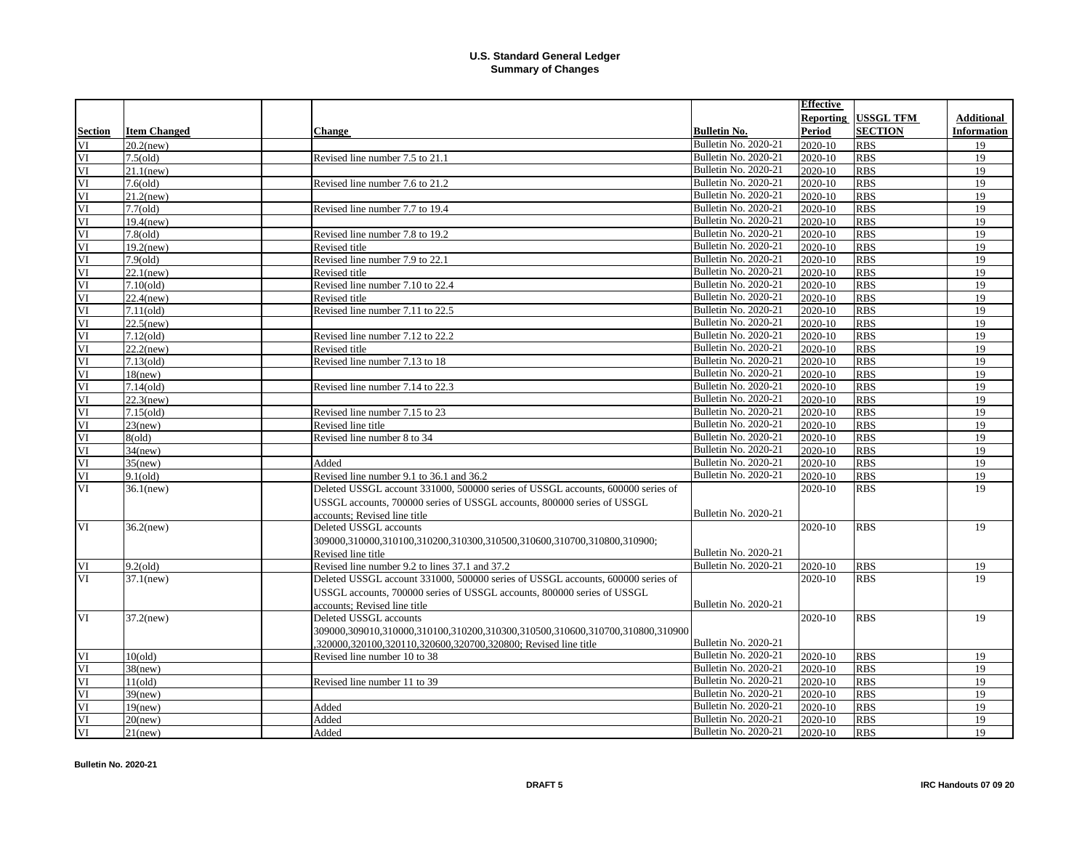|                |                     |                                                                                 |                             | <b>Effective</b> |                  |                    |
|----------------|---------------------|---------------------------------------------------------------------------------|-----------------------------|------------------|------------------|--------------------|
|                |                     |                                                                                 |                             | Reporting        | <b>USSGL TFM</b> | <b>Additional</b>  |
| <b>Section</b> | <b>Item Changed</b> | <b>Change</b>                                                                   | <b>Bulletin No.</b>         | Period           | <b>SECTION</b>   | <b>Information</b> |
| VI             | $20.2$ (new)        |                                                                                 | Bulletin No. 2020-21        | 2020-10          | <b>RBS</b>       | 19                 |
| VI             | $7.5\text{ (old)}$  | Revised line number 7.5 to 21.1                                                 | Bulletin No. 2020-21        | 2020-10          | <b>RBS</b>       | 19                 |
| VI             | $21.1$ (new)        |                                                                                 | <b>Bulletin No. 2020-21</b> | 2020-10          | <b>RBS</b>       | 19                 |
| VI             | $7.6\text{ (old)}$  | Revised line number 7.6 to 21.2                                                 | Bulletin No. 2020-21        | 2020-10          | <b>RBS</b>       | 19                 |
| VI             | $21.2$ (new)        |                                                                                 | Bulletin No. 2020-21        | 2020-10          | <b>RBS</b>       | 19                 |
| VI             | $7.7\text{ (old)}$  | Revised line number 7.7 to 19.4                                                 | Bulletin No. 2020-21        | 2020-10          | <b>RBS</b>       | 19                 |
| VI             | $19.4$ (new)        |                                                                                 | Bulletin No. 2020-21        | 2020-10          | <b>RBS</b>       | 19                 |
| VI             | $7.8\text{ (old)}$  | Revised line number 7.8 to 19.2                                                 | Bulletin No. 2020-21        | 2020-10          | <b>RBS</b>       | 19                 |
| VI             | $19.2$ (new)        | Revised title                                                                   | <b>Bulletin No. 2020-21</b> | 2020-10          | <b>RBS</b>       | 19                 |
| VI             | $7.9\text{o}$ ld)   | Revised line number 7.9 to 22.1                                                 | Bulletin No. 2020-21        | 2020-10          | <b>RBS</b>       | 19                 |
| VI             | $22.1$ (new)        | Revised title                                                                   | Bulletin No. 2020-21        | 2020-10          | <b>RBS</b>       | 19                 |
| VI             | $7.10\text{(old)}$  | Revised line number 7.10 to 22.4                                                | Bulletin No. 2020-21        | 2020-10          | <b>RBS</b>       | 19                 |
| VI             | $22.4$ (new)        | Revised title                                                                   | Bulletin No. 2020-21        | 2020-10          | <b>RBS</b>       | 19                 |
| VI             | $7.11\text{ (old)}$ | Revised line number 7.11 to 22.5                                                | Bulletin No. 2020-21        | 2020-10          | <b>RBS</b>       | 19                 |
| VI             | $22.5$ (new)        |                                                                                 | Bulletin No. 2020-21        | 2020-10          | <b>RBS</b>       | 19                 |
| VI             | $7.12\text{(old)}$  | Revised line number 7.12 to 22.2                                                | <b>Bulletin No. 2020-21</b> | 2020-10          | <b>RBS</b>       | 19                 |
| VI             | $22.2$ (new)        | Revised title                                                                   | <b>Bulletin No. 2020-21</b> | 2020-10          | <b>RBS</b>       | 19                 |
| VI             | $7.13\text{ (old)}$ | Revised line number 7.13 to 18                                                  | <b>Bulletin No. 2020-21</b> | 2020-10          | <b>RBS</b>       | 19                 |
| VI             | $18$ (new)          |                                                                                 | <b>Bulletin No. 2020-21</b> | 2020-10          | <b>RBS</b>       | 19                 |
| VI             | $7.14\text{ (old)}$ | Revised line number 7.14 to 22.3                                                | Bulletin No. 2020-21        | 2020-10          | <b>RBS</b>       | 19                 |
| VI             | $22.3$ (new)        |                                                                                 | Bulletin No. 2020-21        | 2020-10          | <b>RBS</b>       | 19                 |
| VI             | $7.15\text{(old)}$  | Revised line number 7.15 to 23                                                  | Bulletin No. 2020-21        | 2020-10          | <b>RBS</b>       | 19                 |
| VI             | $23$ (new)          | Revised line title                                                              | Bulletin No. 2020-21        | 2020-10          | <b>RBS</b>       | 19                 |
| VI             | 8(old)              | Revised line number 8 to 34                                                     | Bulletin No. 2020-21        | 2020-10          | <b>RBS</b>       | 19                 |
| VI             | $34$ (new)          |                                                                                 | Bulletin No. 2020-21        | 2020-10          | <b>RBS</b>       | 19                 |
| VI             | $35$ (new)          | Added                                                                           | Bulletin No. 2020-21        | 2020-10          | <b>RBS</b>       | 19                 |
| VI             | $9.1\text{(old)}$   | Revised line number 9.1 to 36.1 and 36.2                                        | Bulletin No. 2020-21        | 2020-10          | <b>RBS</b>       | 19                 |
| VI             | $36.1$ (new)        | Deleted USSGL account 331000, 500000 series of USSGL accounts, 600000 series of |                             | 2020-10          | <b>RBS</b>       | 19                 |
|                |                     | USSGL accounts, 700000 series of USSGL accounts, 800000 series of USSGL         |                             |                  |                  |                    |
|                |                     | accounts: Revised line title                                                    | <b>Bulletin No. 2020-21</b> |                  |                  |                    |
| VI             | $36.2$ (new)        | Deleted USSGL accounts                                                          |                             | 2020-10          | <b>RBS</b>       | 19                 |
|                |                     | 309000.310000.310100.310200.310300.310500.310600.310700.310800.310900;          |                             |                  |                  |                    |
|                |                     | Revised line title                                                              | Bulletin No. 2020-21        |                  |                  |                    |
| VI             | $9.2\mathrm{(old)}$ | Revised line number 9.2 to lines 37.1 and 37.2                                  | Bulletin No. 2020-21        | 2020-10          | <b>RBS</b>       | 19                 |
| VI             | $37.1$ (new)        | Deleted USSGL account 331000, 500000 series of USSGL accounts, 600000 series of |                             | 2020-10          | <b>RBS</b>       | 19                 |
|                |                     | USSGL accounts, 700000 series of USSGL accounts, 800000 series of USSGL         |                             |                  |                  |                    |
|                |                     | accounts: Revised line title                                                    | Bulletin No. 2020-21        |                  |                  |                    |
| VI             | $37.2$ (new)        | Deleted USSGL accounts                                                          |                             | 2020-10          | <b>RBS</b>       | 19                 |
|                |                     | 309000.309010.310000.310100.310200.310300.310500.310600.310700.310800.310900    |                             |                  |                  |                    |
|                |                     | ,320000,320100,320110,320600,320700,320800; Revised line title                  | Bulletin No. 2020-21        |                  |                  |                    |
| VI             | 10(old)             | Revised line number 10 to 38                                                    | <b>Bulletin No. 2020-21</b> | 2020-10          | <b>RBS</b>       | 19                 |
| VI             | $38$ (new)          |                                                                                 | Bulletin No. 2020-21        | 2020-10          | <b>RBS</b>       | 19                 |
| VI             | 11(old)             | Revised line number 11 to 39                                                    | Bulletin No. 2020-21        | 2020-10          | <b>RBS</b>       | 19                 |
| VI             | $39$ (new)          |                                                                                 | Bulletin No. 2020-21        | 2020-10          | <b>RBS</b>       | 19                 |
| VI             | $19$ (new)          | Added                                                                           | Bulletin No. 2020-21        | 2020-10          | <b>RBS</b>       | 19                 |
| VI             | $20$ (new)          | Added                                                                           | Bulletin No. 2020-21        | 2020-10          | <b>RBS</b>       | 19                 |
| VI             | $21$ (new)          | Added                                                                           | Bulletin No. 2020-21        | 2020-10          | <b>RBS</b>       | 19                 |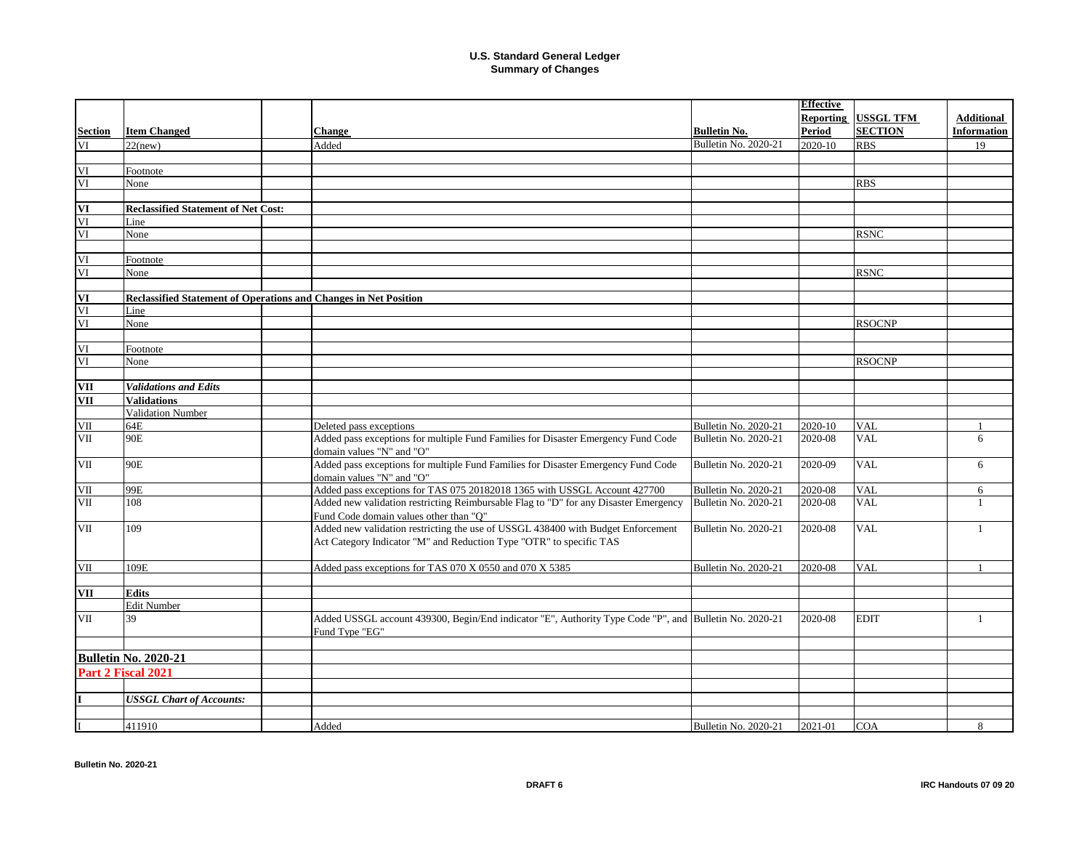|                |                                                                  |                                                                                                                                                         |                      | <b>Effective</b> |                  |                    |
|----------------|------------------------------------------------------------------|---------------------------------------------------------------------------------------------------------------------------------------------------------|----------------------|------------------|------------------|--------------------|
|                |                                                                  |                                                                                                                                                         |                      | Reporting        | <b>USSGL TFM</b> | <b>Additional</b>  |
| <b>Section</b> | <b>Item Changed</b>                                              | <b>Change</b>                                                                                                                                           | <b>Bulletin No.</b>  | Period           | <b>SECTION</b>   | <b>Information</b> |
| VI             | $22$ (new)                                                       | Added                                                                                                                                                   | Bulletin No. 2020-21 | 2020-10          | <b>RBS</b>       | 19                 |
|                |                                                                  |                                                                                                                                                         |                      |                  |                  |                    |
| VI             | Footnote                                                         |                                                                                                                                                         |                      |                  |                  |                    |
| VI             | None                                                             |                                                                                                                                                         |                      |                  | <b>RBS</b>       |                    |
|                |                                                                  |                                                                                                                                                         |                      |                  |                  |                    |
| VI             | <b>Reclassified Statement of Net Cost:</b>                       |                                                                                                                                                         |                      |                  |                  |                    |
| VI             | Line                                                             |                                                                                                                                                         |                      |                  |                  |                    |
| VI             | None                                                             |                                                                                                                                                         |                      |                  | <b>RSNC</b>      |                    |
|                |                                                                  |                                                                                                                                                         |                      |                  |                  |                    |
| VI             | Footnote                                                         |                                                                                                                                                         |                      |                  |                  |                    |
| VI             | None                                                             |                                                                                                                                                         |                      |                  | <b>RSNC</b>      |                    |
|                |                                                                  |                                                                                                                                                         |                      |                  |                  |                    |
| VI             | Reclassified Statement of Operations and Changes in Net Position |                                                                                                                                                         |                      |                  |                  |                    |
| VI             | Line                                                             |                                                                                                                                                         |                      |                  |                  |                    |
| VI             | None                                                             |                                                                                                                                                         |                      |                  | <b>RSOCNP</b>    |                    |
|                |                                                                  |                                                                                                                                                         |                      |                  |                  |                    |
|                |                                                                  |                                                                                                                                                         |                      |                  |                  |                    |
| $\mathbf{VI}$  | Footnote                                                         |                                                                                                                                                         |                      |                  |                  |                    |
| VI             | None                                                             |                                                                                                                                                         |                      |                  | <b>RSOCNP</b>    |                    |
|                |                                                                  |                                                                                                                                                         |                      |                  |                  |                    |
| VII            | <b>Validations and Edits</b>                                     |                                                                                                                                                         |                      |                  |                  |                    |
| VII            | <b>Validations</b>                                               |                                                                                                                                                         |                      |                  |                  |                    |
|                | <b>Validation Number</b>                                         |                                                                                                                                                         |                      |                  |                  |                    |
| VII            | 64E                                                              | Deleted pass exceptions                                                                                                                                 | Bulletin No. 2020-21 | 2020-10          | <b>VAL</b>       | $\mathbf{1}$       |
| VII            | 90E                                                              | Added pass exceptions for multiple Fund Families for Disaster Emergency Fund Code<br>domain values "N" and "O"                                          | Bulletin No. 2020-21 | 2020-08          | <b>VAL</b>       | 6                  |
| VII            | 90E                                                              | Added pass exceptions for multiple Fund Families for Disaster Emergency Fund Code<br>domain values "N" and "O"                                          | Bulletin No. 2020-21 | 2020-09          | <b>VAL</b>       | 6                  |
| VII            | 99E                                                              | Added pass exceptions for TAS 075 20182018 1365 with USSGL Account 427700                                                                               | Bulletin No. 2020-21 | 2020-08          | <b>VAL</b>       | 6                  |
| VII            | 108                                                              | Added new validation restricting Reimbursable Flag to "D" for any Disaster Emergency<br>Fund Code domain values other than "O"                          | Bulletin No. 2020-21 | 2020-08          | <b>VAL</b>       | $\mathbf{1}$       |
| VII            | 109                                                              | Added new validation restricting the use of USSGL 438400 with Budget Enforcement<br>Act Category Indicator "M" and Reduction Type "OTR" to specific TAS | Bulletin No. 2020-21 | 2020-08          | <b>VAL</b>       | $\mathbf{1}$       |
| VII            | 109E                                                             | Added pass exceptions for TAS 070 X 0550 and 070 X 5385                                                                                                 | Bulletin No. 2020-21 | 2020-08          | <b>VAL</b>       |                    |
| VII            | <b>Edits</b>                                                     |                                                                                                                                                         |                      |                  |                  |                    |
|                | <b>Edit Number</b>                                               |                                                                                                                                                         |                      |                  |                  |                    |
| VII            | 39                                                               | Added USSGL account 439300, Begin/End indicator "E", Authority Type Code "P", and Bulletin No. 2020-21<br>Fund Type "EG"                                |                      | 2020-08          | <b>EDIT</b>      | 1                  |
|                |                                                                  |                                                                                                                                                         |                      |                  |                  |                    |
|                | <b>Bulletin No. 2020-21</b>                                      |                                                                                                                                                         |                      |                  |                  |                    |
|                | Part 2 Fiscal 2021                                               |                                                                                                                                                         |                      |                  |                  |                    |
|                |                                                                  |                                                                                                                                                         |                      |                  |                  |                    |
|                | <b>USSGL Chart of Accounts:</b>                                  |                                                                                                                                                         |                      |                  |                  |                    |
|                |                                                                  |                                                                                                                                                         |                      |                  |                  |                    |
|                | 411910                                                           | Added                                                                                                                                                   | Bulletin No. 2020-21 | 2021-01          | <b>COA</b>       | 8                  |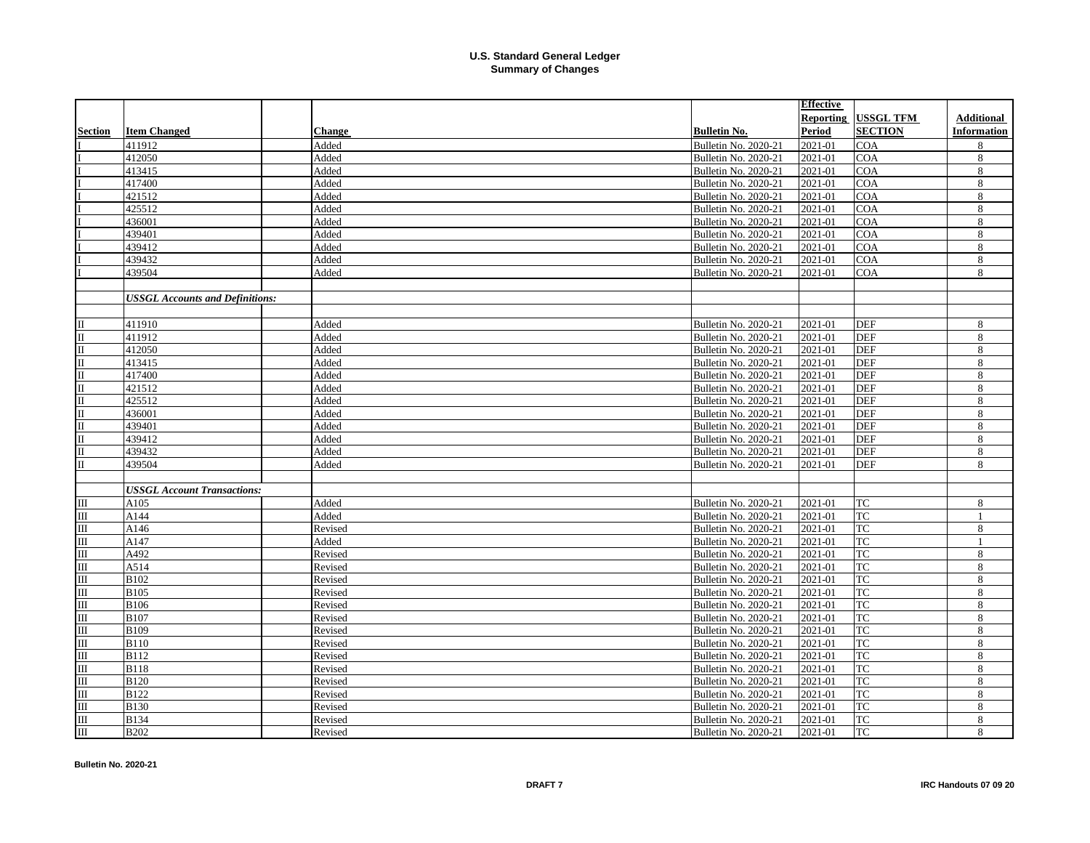|                         |                                        |               |                      | <b>Effective</b> |                  |                    |
|-------------------------|----------------------------------------|---------------|----------------------|------------------|------------------|--------------------|
|                         |                                        |               |                      | <b>Reporting</b> | <b>USSGL TFM</b> | <b>Additional</b>  |
| <b>Section</b>          | <b>Item Changed</b>                    | <b>Change</b> | <b>Bulletin No.</b>  | Period           | <b>SECTION</b>   | <b>Information</b> |
|                         | 411912                                 | Added         | Bulletin No. 2020-21 | 2021-01          | <b>COA</b>       | 8                  |
|                         | 412050                                 | Added         | Bulletin No. 2020-21 | 2021-01          | <b>COA</b>       | 8                  |
|                         | 413415                                 | Added         | Bulletin No. 2020-21 | 2021-01          | <b>COA</b>       | 8                  |
|                         | 417400                                 | Added         | Bulletin No. 2020-21 | 2021-01          | <b>COA</b>       | 8                  |
|                         | 421512                                 | Added         | Bulletin No. 2020-21 | 2021-01          | <b>COA</b>       | 8                  |
|                         | 425512                                 | Added         | Bulletin No. 2020-21 | 2021-01          | <b>COA</b>       | 8                  |
|                         | 436001                                 | Added         | Bulletin No. 2020-21 | 2021-01          | <b>COA</b>       | $8\,$              |
|                         | 439401                                 | Added         | Bulletin No. 2020-21 | 2021-01          | <b>COA</b>       | $8\,$              |
|                         | 439412                                 | Added         | Bulletin No. 2020-21 | 2021-01          | <b>COA</b>       | 8                  |
|                         | 439432                                 | Added         | Bulletin No. 2020-21 | 2021-01          | <b>COA</b>       | 8                  |
|                         | 439504                                 | Added         | Bulletin No. 2020-21 | 2021-01          | <b>COA</b>       | 8                  |
|                         |                                        |               |                      |                  |                  |                    |
|                         | <b>USSGL Accounts and Definitions:</b> |               |                      |                  |                  |                    |
|                         |                                        |               |                      |                  |                  |                    |
| $\Pi$                   | 411910                                 | Added         | Bulletin No. 2020-21 | 2021-01          | <b>DEF</b>       | 8                  |
| $\mathbf{I}$            | 411912                                 | Added         | Bulletin No. 2020-21 | 2021-01          | <b>DEF</b>       | 8                  |
| $\mathbf{I}$            | 412050                                 | Added         | Bulletin No. 2020-21 | 2021-01          | <b>DEF</b>       | $\,8\,$            |
| $\Pi$                   | 413415                                 | Added         | Bulletin No. 2020-21 | 2021-01          | <b>DEF</b>       | 8                  |
| $\mathbf{I}$            | 417400                                 | Added         | Bulletin No. 2020-21 | 2021-01          | <b>DEF</b>       | 8                  |
| $\mathbf{I}$            | 421512                                 | Added         | Bulletin No. 2020-21 | 2021-01          | <b>DEF</b>       | 8                  |
| $\mathbf{u}$            | 425512                                 | Added         | Bulletin No. 2020-21 | 2021-01          | <b>DEF</b>       | $8\,$              |
| $\mathbf{I}$            | 436001                                 | Added         | Bulletin No. 2020-21 | 2021-01          | <b>DEF</b>       | 8                  |
| $\mathbf{I}$            | 439401                                 | Added         | Bulletin No. 2020-21 | 2021-01          | <b>DEF</b>       | 8                  |
| $\mathbf{I}$            | 439412                                 | Added         | Bulletin No. 2020-21 | 2021-01          | <b>DEF</b>       | 8                  |
| $\Pi$                   | 439432                                 | Added         | Bulletin No. 2020-21 | 2021-01          | <b>DEF</b>       | 8                  |
| $\mathbf{I}$            | 439504                                 | Added         | Bulletin No. 2020-21 | 2021-01          | <b>DEF</b>       | 8                  |
|                         |                                        |               |                      |                  |                  |                    |
|                         | <b>USSGL Account Transactions:</b>     |               |                      |                  |                  |                    |
| $\overline{\mathbf{m}}$ | A105                                   | Added         | Bulletin No. 2020-21 | 2021-01          | <b>TC</b>        | 8                  |
| III                     | A144                                   | Added         | Bulletin No. 2020-21 | 2021-01          | <b>TC</b>        | $\mathbf{1}$       |
| $\mathbf{m}$            | A146                                   | Revised       | Bulletin No. 2020-21 | 2021-01          | TC               | 8                  |
| $\mathbf{I}$            | A147                                   | Added         | Bulletin No. 2020-21 | 2021-01          | TC               | $\mathbf{1}$       |
| $\mathbf{I}$            | A492                                   | Revised       | Bulletin No. 2020-21 | 2021-01          | TC               | 8                  |
| $\mathbf{I}$            | A514                                   | Revised       | Bulletin No. 2020-21 | 2021-01          | TC               | 8                  |
| III                     | <b>B102</b>                            | Revised       | Bulletin No. 2020-21 | 2021-01          | <b>TC</b>        | 8                  |
| III                     | <b>B105</b>                            | Revised       | Bulletin No. 2020-21 | 2021-01          | <b>TC</b>        | 8                  |
| Ш                       | <b>B106</b>                            | Revised       | Bulletin No. 2020-21 | 2021-01          | <b>TC</b>        | 8                  |
| III                     | <b>B107</b>                            | Revised       | Bulletin No. 2020-21 | 2021-01          | <b>TC</b>        | $\bf 8$            |
| III                     | <b>B109</b>                            | Revised       | Bulletin No. 2020-21 | 2021-01          | TC               | 8                  |
| Ш                       | <b>B110</b>                            | Revised       | Bulletin No. 2020-21 | 2021-01          | TC               | 8                  |
| Ш                       | <b>B112</b>                            | Revised       | Bulletin No. 2020-21 | 2021-01          | <b>TC</b>        | 8                  |
| $\mathbf{I}$            | <b>B118</b>                            | Revised       | Bulletin No. 2020-21 | 2021-01          | <b>TC</b>        | 8                  |
| Ш                       | <b>B120</b>                            | Revised       | Bulletin No. 2020-21 | 2021-01          | TC               | 8                  |
| $\mathbf{I}$            | <b>B122</b>                            | Revised       | Bulletin No. 2020-21 | 2021-01          | <b>TC</b>        | $\,8\,$            |
| Ш                       | <b>B130</b>                            | Revised       | Bulletin No. 2020-21 | 2021-01          | TC               | 8                  |
| III                     | <b>B134</b>                            | Revised       | Bulletin No. 2020-21 | 2021-01          | TC               | 8                  |
| $\mathbf{m}$            | <b>B202</b>                            | Revised       | Bulletin No. 2020-21 | 2021-01          | <b>TC</b>        | 8                  |
|                         |                                        |               |                      |                  |                  |                    |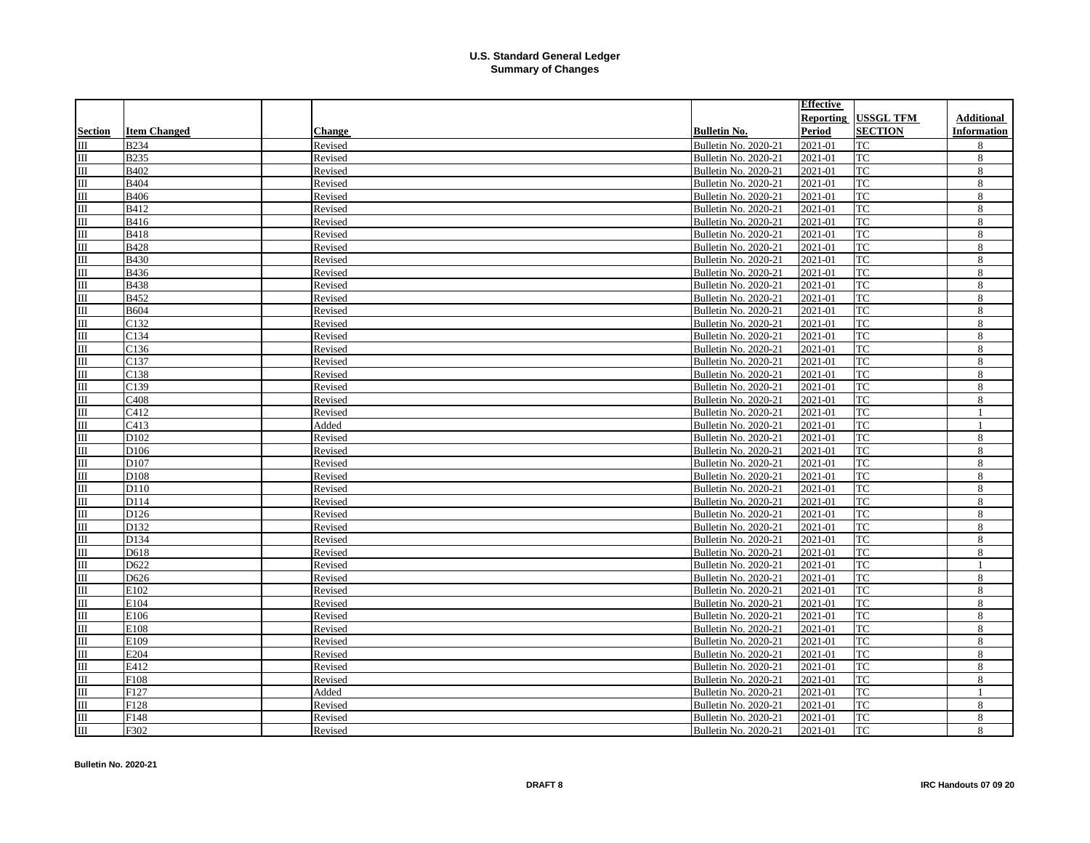|                                  |                     |         |                      | <b>Effective</b> |                  |                    |
|----------------------------------|---------------------|---------|----------------------|------------------|------------------|--------------------|
|                                  |                     |         |                      | Reporting        | <b>USSGL TFM</b> | <b>Additional</b>  |
| <b>Section</b>                   | <b>Item Changed</b> | Change  | <b>Bulletin No.</b>  | Period           | <b>SECTION</b>   | <b>Information</b> |
| IШ                               | <b>B234</b>         | Revised | Bulletin No. 2020-21 | 2021-01          | TC               | 8                  |
| III                              | <b>B235</b>         | Revised | Bulletin No. 2020-21 | 2021-01          | <b>TC</b>        | 8                  |
| 皿                                | B402                | Revised | Bulletin No. 2020-21 | 2021-01          | <b>TC</b>        | 8                  |
| $\overline{\mathbf{m}}$          | <b>B404</b>         | Revised | Bulletin No. 2020-21 | 2021-01          | <b>TC</b>        | 8                  |
| III                              | <b>B406</b>         | Revised | Bulletin No. 2020-21 | 2021-01          | <b>TC</b>        | 8                  |
| $\rm III$                        | B412                | Revised | Bulletin No. 2020-21 | 2021-01          | <b>TC</b>        | 8                  |
| $\overline{\mathbf{m}}$          | B416                | Revised | Bulletin No. 2020-21 | 2021-01          | <b>TC</b>        | 8                  |
| $\overline{\mathbf{m}}$          | <b>B418</b>         | Revised | Bulletin No. 2020-21 | 2021-01          | <b>TC</b>        | 8                  |
| $\overline{\mathbb{H}}$          | <b>B428</b>         | Revised | Bulletin No. 2020-21 | 2021-01          | TC               | 8                  |
| $\overline{\mathbf{m}}$          | <b>B430</b>         | Revised | Bulletin No. 2020-21 | 2021-01          | <b>TC</b>        | 8                  |
| $\overline{\mathbf{m}}$          | <b>B436</b>         | Revised | Bulletin No. 2020-21 | 2021-01          | <b>TC</b>        | 8                  |
| $\overline{\mathbf{m}}$          | <b>B438</b>         | Revised | Bulletin No. 2020-21 | 2021-01          | TC               | 8                  |
| $\overline{\mathbf{m}}$          | <b>B452</b>         | Revised | Bulletin No. 2020-21 | 2021-01          | <b>TC</b>        | 8                  |
| $\overline{\mathbf{m}}$          | <b>B604</b>         | Revised | Bulletin No. 2020-21 | 2021-01          | TC               | 8                  |
| $\overline{\mathbf{m}}$          | C132                | Revised | Bulletin No. 2020-21 | 2021-01          | <b>TC</b>        | 8                  |
| $\overline{m}$                   | C134                | Revised | Bulletin No. 2020-21 | 2021-01          | <b>TC</b>        | 8                  |
| $\overline{\mathbf{m}}$          | C136                | Revised | Bulletin No. 2020-21 | 2021-01          | <b>TC</b>        | 8                  |
| $\overline{\mathbf{m}}$          | C137                | Revised | Bulletin No. 2020-21 | 2021-01          | TC               | 8                  |
| $\overline{\mathbf{m}}$          | C138                | Revised | Bulletin No. 2020-21 | 2021-01          | <b>TC</b>        | 8                  |
| $\overline{m}$                   | C139                | Revised | Bulletin No. 2020-21 | 2021-01          | <b>TC</b>        | 8                  |
| $\overline{\mathbf{m}}$          | C <sub>408</sub>    | Revised | Bulletin No. 2020-21 | 2021-01          | <b>TC</b>        | 8                  |
| $\overline{\mathbf{m}}$          | C412                | Revised | Bulletin No. 2020-21 | 2021-01          | <b>TC</b>        | $\mathbf{1}$       |
| $\overline{\mathbf{m}}$          | C413                | Added   | Bulletin No. 2020-21 | 2021-01          | <b>TC</b>        | $\mathbf{1}$       |
| $\overline{m}$                   | D102                | Revised | Bulletin No. 2020-21 | 2021-01          | TC               | 8                  |
| III                              | D106                | Revised | Bulletin No. 2020-21 | 2021-01          | <b>TC</b>        | 8                  |
| $\overline{\mathbf{m}}$          | D107                | Revised | Bulletin No. 2020-21 | 2021-01          | TC               | 8                  |
| $\overline{\mathbf{m}}$          | D108                | Revised | Bulletin No. 2020-21 | 2021-01          | <b>TC</b>        | 8                  |
| $\overline{m}$                   | D110                | Revised | Bulletin No. 2020-21 | 2021-01          | TC               | 8                  |
| $\overline{\mathbb{H}}$          | D114                | Revised | Bulletin No. 2020-21 | 2021-01          | TC               | 8                  |
| $\overline{\mathbf{m}}$          | D126                | Revised | Bulletin No. 2020-21 | 2021-01          | TC               | 8                  |
| $\overline{\mathbf{m}}$          | D132                | Revised | Bulletin No. 2020-21 | 2021-01          | <b>TC</b>        | 8                  |
| Ш                                | D134                | Revised | Bulletin No. 2020-21 | 2021-01          | TC               | 8                  |
| III                              | D618                | Revised | Bulletin No. 2020-21 | 2021-01          | TC               | 8                  |
| $\mathop{\mathrm{III}}\nolimits$ | D622                | Revised | Bulletin No. 2020-21 | 2021-01          | <b>TC</b>        | $\mathbf{1}$       |
| $\overline{\mathbf{m}}$          | D626                | Revised | Bulletin No. 2020-21 | 2021-01          | TC               | 8                  |
| Ш                                | E102                | Revised | Bulletin No. 2020-21 | 2021-01          | TC               | 8                  |
| III                              | E104                | Revised | Bulletin No. 2020-21 | 2021-01          | TC               | 8                  |
| Ш                                | E106                | Revised | Bulletin No. 2020-21 | 2021-01          | TC               | 8                  |
| $\overline{\mathbf{m}}$          | E108                | Revised | Bulletin No. 2020-21 | 2021-01          | <b>TC</b>        | 8                  |
| Ш                                | E109                | Revised | Bulletin No. 2020-21 | 2021-01          | TC               | 8                  |
| $\overline{\mathbf{m}}$          | E204                | Revised | Bulletin No. 2020-21 | 2021-01          | <b>TC</b>        | 8                  |
| Ш                                | E412                | Revised | Bulletin No. 2020-21 | 2021-01          | TC               | 8                  |
| III                              | F108                | Revised | Bulletin No. 2020-21 | 2021-01          | TC               | 8                  |
| Ш                                | F127                | Added   | Bulletin No. 2020-21 | 2021-01          | TC               | $\mathbf{1}$       |
| Ш                                | F128                | Revised | Bulletin No. 2020-21 | 2021-01          | TC               | 8                  |
| Ш                                | F148                | Revised | Bulletin No. 2020-21 | 2021-01          | TC               | 8                  |
| $\overline{m}$                   | F302                | Revised | Bulletin No. 2020-21 | 2021-01          | TC               | 8                  |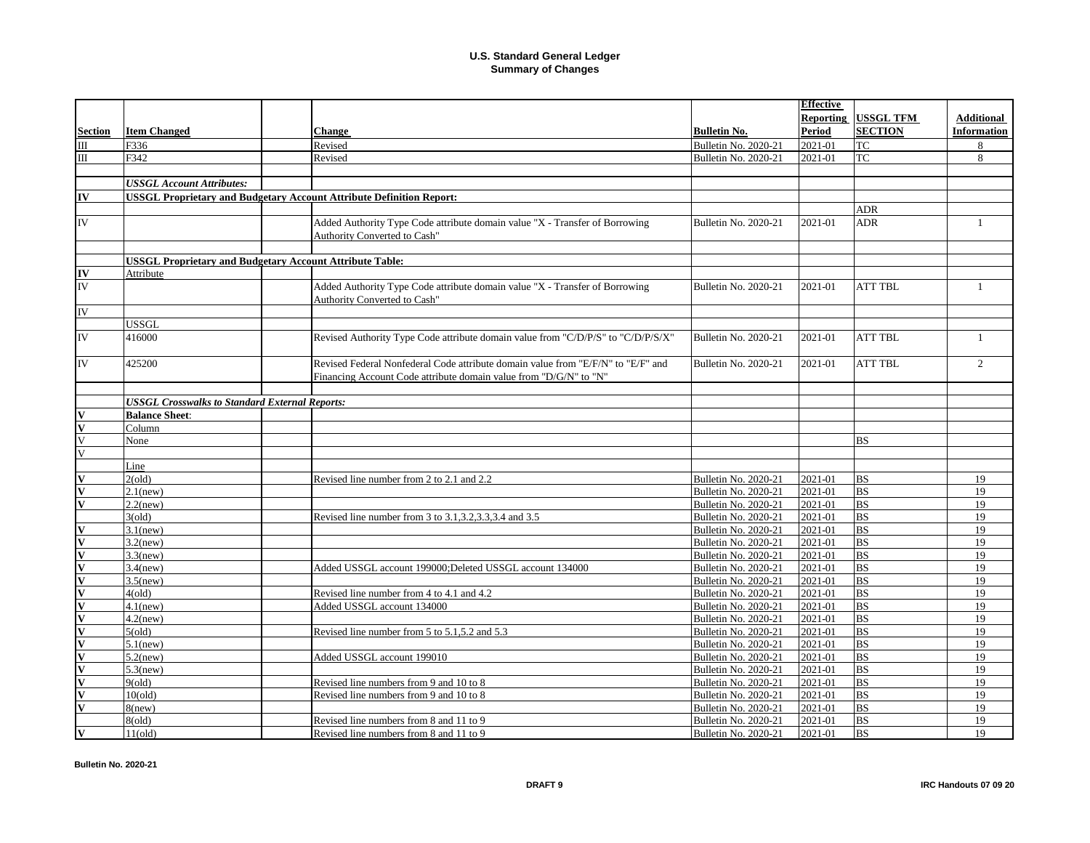|                         |                                                                 |                                                                                  |                      | <b>Effective</b> |                        |                    |
|-------------------------|-----------------------------------------------------------------|----------------------------------------------------------------------------------|----------------------|------------------|------------------------|--------------------|
|                         |                                                                 |                                                                                  |                      | Reporting        | <b>USSGL TFM</b>       | <b>Additional</b>  |
| <b>Section</b>          | <b>Item Changed</b>                                             | <b>Change</b>                                                                    | <b>Bulletin No.</b>  | Period           | <b>SECTION</b>         | <b>Information</b> |
| $\mathbf{m}$            | F336                                                            | Revised                                                                          | Bulletin No. 2020-21 | 2021-01          | <b>TC</b>              | 8                  |
| $\mathbf{I}$            | F342                                                            | Revised                                                                          | Bulletin No. 2020-21 | 2021-01          | TC                     | 8                  |
|                         |                                                                 |                                                                                  |                      |                  |                        |                    |
|                         | <b>USSGL Account Attributes:</b>                                |                                                                                  |                      |                  |                        |                    |
| IV                      |                                                                 | <b>USSGL Proprietary and Budgetary Account Attribute Definition Report:</b>      |                      |                  |                        |                    |
|                         |                                                                 |                                                                                  |                      |                  | <b>ADR</b>             |                    |
| IV                      |                                                                 | Added Authority Type Code attribute domain value "X - Transfer of Borrowing      | Bulletin No. 2020-21 | 2021-01          | <b>ADR</b>             | $\mathbf{1}$       |
|                         |                                                                 | Authority Converted to Cash"                                                     |                      |                  |                        |                    |
|                         |                                                                 |                                                                                  |                      |                  |                        |                    |
|                         | <b>USSGL Proprietary and Budgetary Account Attribute Table:</b> |                                                                                  |                      |                  |                        |                    |
| IV                      | Attribute                                                       |                                                                                  |                      |                  |                        |                    |
| <b>IV</b>               |                                                                 | Added Authority Type Code attribute domain value "X - Transfer of Borrowing      | Bulletin No. 2020-21 | 2021-01          | <b>ATT TBL</b>         | $\mathbf{1}$       |
|                         |                                                                 | Authority Converted to Cash"                                                     |                      |                  |                        |                    |
| <b>IV</b>               |                                                                 |                                                                                  |                      |                  |                        |                    |
|                         | USSGL                                                           |                                                                                  |                      |                  |                        |                    |
| IV                      | 416000                                                          | Revised Authority Type Code attribute domain value from "C/D/P/S" to "C/D/P/S/X" | Bulletin No. 2020-21 | 2021-01          | <b>ATT TBL</b>         | $\mathbf{1}$       |
|                         |                                                                 |                                                                                  |                      |                  |                        |                    |
| IV                      | 425200                                                          | Revised Federal Nonfederal Code attribute domain value from "E/F/N" to "E/F" and | Bulletin No. 2020-21 | 2021-01          | <b>ATT TBL</b>         | $\overline{2}$     |
|                         |                                                                 | Financing Account Code attribute domain value from "D/G/N" to "N"                |                      |                  |                        |                    |
|                         |                                                                 |                                                                                  |                      |                  |                        |                    |
|                         | <b>USSGL Crosswalks to Standard External Reports:</b>           |                                                                                  |                      |                  |                        |                    |
| $\overline{\mathbf{V}}$ | <b>Balance Sheet:</b>                                           |                                                                                  |                      |                  |                        |                    |
| $\overline{\mathbf{v}}$ | Column                                                          |                                                                                  |                      |                  |                        |                    |
| $\overline{V}$          | None                                                            |                                                                                  |                      |                  | <b>BS</b>              |                    |
| $\overline{\mathbf{V}}$ |                                                                 |                                                                                  |                      |                  |                        |                    |
|                         | Line                                                            |                                                                                  |                      |                  |                        |                    |
|                         | 2(old)                                                          | Revised line number from 2 to 2.1 and 2.2                                        | Bulletin No. 2020-21 | 2021-01          | <b>BS</b>              | 19                 |
| $\overline{\mathbf{V}}$ | $2.1$ (new)                                                     |                                                                                  | Bulletin No. 2020-21 | 2021-01          | BS                     | 19                 |
| $\overline{\mathbf{v}}$ | $2.2$ (new)                                                     |                                                                                  | Bulletin No. 2020-21 | 2021-01          | <b>BS</b>              | 19                 |
|                         | 3(old)                                                          | Revised line number from 3 to 3.1, 3.2, 3.3, 3.4 and 3.5                         | Bulletin No. 2020-21 | 2021-01          | <b>BS</b>              | 19                 |
| $\overline{\mathbf{V}}$ | $3.1$ (new)                                                     |                                                                                  | Bulletin No. 2020-21 | 2021-01          | <b>BS</b>              | $\overline{19}$    |
| $\overline{\mathbf{V}}$ | $3.2$ (new)                                                     |                                                                                  | Bulletin No. 2020-21 | 2021-01          | <b>BS</b>              | 19                 |
| $\overline{\mathbf{v}}$ | $3.3$ (new)                                                     |                                                                                  | Bulletin No. 2020-21 | 2021-01          | BS                     | 19                 |
| $\overline{\mathbf{V}}$ | $3.4$ (new)                                                     | Added USSGL account 199000;Deleted USSGL account 134000                          | Bulletin No. 2020-21 | 2021-01          | <b>BS</b>              | 19                 |
| $\overline{\mathbf{v}}$ | $3.5$ (new)                                                     |                                                                                  | Bulletin No. 2020-21 | 2021-01          | <b>BS</b>              | 19                 |
| $\overline{\mathbf{V}}$ | 4(old)                                                          | Revised line number from 4 to 4.1 and 4.2                                        | Bulletin No. 2020-21 | 2021-01          | BS                     | 19                 |
| $\overline{\mathbf{V}}$ | $4.1$ (new)                                                     | Added USSGL account 134000                                                       | Bulletin No. 2020-21 | 2021-01          | <b>BS</b>              | 19                 |
| $\overline{\mathbf{V}}$ | $4.2$ (new)                                                     |                                                                                  | Bulletin No. 2020-21 | 2021-01          | $\overline{\text{BS}}$ | 19                 |
| $\overline{\mathbf{v}}$ | 5(old)                                                          | Revised line number from 5 to 5.1,5.2 and 5.3                                    | Bulletin No. 2020-21 | 2021-01          | <b>BS</b>              | 19                 |
| $\overline{\mathbf{V}}$ | $5.1$ (new)                                                     |                                                                                  | Bulletin No. 2020-21 | 2021-01          | <b>BS</b>              | 19                 |
| $\overline{\mathbf{V}}$ | $5.2$ (new)                                                     | Added USSGL account 199010                                                       | Bulletin No. 2020-21 | 2021-01          | <b>BS</b>              | 19                 |
|                         | $5.3$ (new)                                                     |                                                                                  | Bulletin No. 2020-21 | 2021-01          | <b>BS</b>              | 19                 |
| $\overline{\mathbf{V}}$ | 9(old)                                                          | Revised line numbers from 9 and 10 to 8                                          | Bulletin No. 2020-21 | 2021-01          | <b>BS</b>              | 19                 |
| $\overline{\mathbf{V}}$ | 10(old)                                                         | Revised line numbers from 9 and 10 to 8                                          | Bulletin No. 2020-21 | 2021-01          | <b>BS</b>              | 19                 |
| $\overline{\mathbf{V}}$ | $8$ (new)                                                       |                                                                                  | Bulletin No. 2020-21 | 2021-01          | BS                     | 19                 |
|                         | 8(old)                                                          | Revised line numbers from 8 and 11 to 9                                          | Bulletin No. 2020-21 | 2021-01          | <b>BS</b>              | 19                 |
| $\mathbf v$             | 11(old)                                                         | Revised line numbers from 8 and 11 to 9                                          | Bulletin No. 2020-21 | 2021-01          | <b>BS</b>              | 19                 |
|                         |                                                                 |                                                                                  |                      |                  |                        |                    |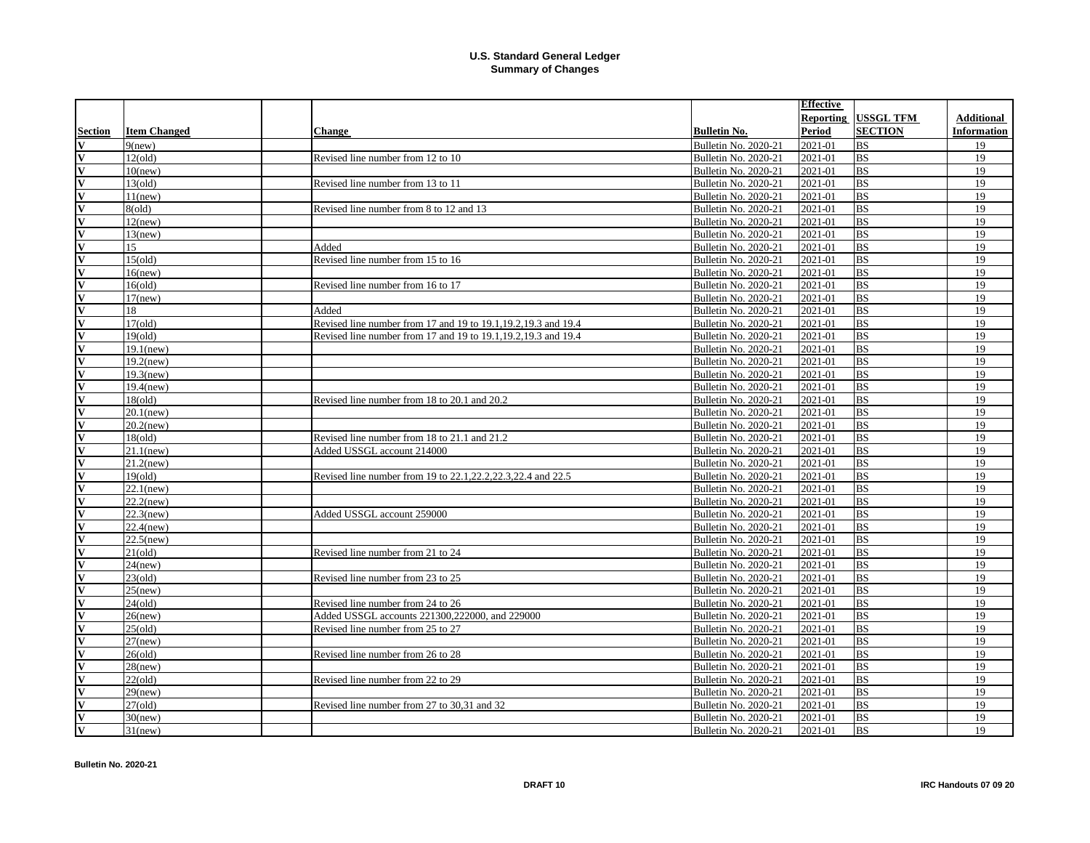|                         |                     |                                                                 |                     | Effective                       |                  |                    |
|-------------------------|---------------------|-----------------------------------------------------------------|---------------------|---------------------------------|------------------|--------------------|
|                         |                     |                                                                 |                     | Reporting                       | <b>USSGL TFM</b> | <b>Additional</b>  |
| <b>Section</b>          | <b>Item Changed</b> | <b>Change</b>                                                   | <b>Bulletin No.</b> | Period                          | <b>SECTION</b>   | <b>Information</b> |
| V                       | $9$ (new)           |                                                                 |                     | Bulletin No. 2020-21<br>2021-01 | <b>BS</b>        | 19                 |
| V                       | 12(old)             | Revised line number from 12 to 10                               |                     | 2021-01<br>Bulletin No. 2020-21 | <b>BS</b>        | 19                 |
| $\overline{\mathbf{V}}$ | $10$ (new)          |                                                                 |                     | Bulletin No. 2020-21<br>2021-01 | BS               | 19                 |
| $\overline{\mathbf{V}}$ | 13(old)             | Revised line number from 13 to 11                               |                     | 2021-01<br>Bulletin No. 2020-21 | <b>BS</b>        | 19                 |
| $\overline{\mathbf{V}}$ | 11(new)             |                                                                 |                     | Bulletin No. 2020-21<br>2021-01 | <b>BS</b>        | 19                 |
| $\overline{\mathbf{V}}$ | 8(old)              | Revised line number from 8 to 12 and 13                         |                     | 2021-01<br>Bulletin No. 2020-21 | <b>BS</b>        | 19                 |
| $\overline{\mathbf{v}}$ | $12$ (new)          |                                                                 |                     | 2021-01<br>Bulletin No. 2020-21 | <b>BS</b>        | 19                 |
| $\overline{\mathbf{V}}$ | $13$ (new)          |                                                                 |                     | 2021-01<br>Bulletin No. 2020-21 | <b>BS</b>        | 19                 |
| $\overline{\mathbf{v}}$ | 15                  | Added                                                           |                     | Bulletin No. 2020-21<br>2021-01 | <b>BS</b>        | 19                 |
| $\overline{\mathbf{v}}$ | 15(old)             | Revised line number from 15 to 16                               |                     | Bulletin No. 2020-21<br>2021-01 | <b>BS</b>        | 19                 |
| $\overline{\mathbf{v}}$ | $16$ (new)          |                                                                 |                     | 2021-01<br>Bulletin No. 2020-21 | <b>BS</b>        | 19                 |
| V                       | 16(old)             | Revised line number from 16 to 17                               |                     | 2021-01<br>Bulletin No. 2020-21 | BS               | 19                 |
| $\overline{\mathbf{v}}$ | $17$ (new)          |                                                                 |                     | Bulletin No. 2020-21<br>2021-01 | <b>BS</b>        | 19                 |
| $\overline{\mathbf{v}}$ | 18                  | Added                                                           |                     | 2021-01<br>Bulletin No. 2020-21 | <b>BS</b>        | 19                 |
| $\overline{\mathbf{V}}$ | 17(old)             | Revised line number from 17 and 19 to 19.1, 19.2, 19.3 and 19.4 |                     | Bulletin No. 2020-21<br>2021-01 | BS               | 19                 |
| $\overline{\mathbf{V}}$ | 19(old)             | Revised line number from 17 and 19 to 19.1, 19.2, 19.3 and 19.4 |                     | 2021-01<br>Bulletin No. 2020-21 | <b>BS</b>        | 19                 |
| $\overline{\mathbf{V}}$ | $19.1$ (new)        |                                                                 |                     | Bulletin No. 2020-21<br>2021-01 | <b>BS</b>        | 19                 |
| $\overline{\mathbf{V}}$ | $19.2$ (new)        |                                                                 |                     | 2021-01<br>Bulletin No. 2020-21 | BS               | 19                 |
| $\overline{\mathbf{V}}$ | $19.3$ (new)        |                                                                 |                     | Bulletin No. 2020-21<br>2021-01 | <b>BS</b>        | 19                 |
| $\overline{\mathbf{V}}$ | $19.4$ (new)        |                                                                 |                     | 2021-01<br>Bulletin No. 2020-21 | <b>BS</b>        | 19                 |
| $\overline{\mathbf{V}}$ | 18(old)             | Revised line number from 18 to 20.1 and 20.2                    |                     | Bulletin No. 2020-21<br>2021-01 | BS               | 19                 |
| $\overline{\mathbf{V}}$ | $20.1$ (new)        |                                                                 |                     | 2021-01<br>Bulletin No. 2020-21 | <b>BS</b>        | 19                 |
| $\overline{\mathbf{v}}$ | $20.2$ (new)        |                                                                 |                     | 2021-01<br>Bulletin No. 2020-21 | <b>BS</b>        | 19                 |
| V                       | 18(old)             | Revised line number from 18 to 21.1 and 21.2                    |                     | Bulletin No. 2020-21<br>2021-01 | <b>BS</b>        | 19                 |
| $\overline{\mathbf{V}}$ | $21.1$ (new)        | Added USSGL account 214000                                      |                     | Bulletin No. 2020-21<br>2021-01 | <b>BS</b>        | 19                 |
| $\overline{\mathbf{V}}$ | $21.2$ (new)        |                                                                 |                     | 2021-01<br>Bulletin No. 2020-21 | <b>BS</b>        | 19                 |
| V                       | 19(old)             | Revised line number from 19 to 22.1, 22.2, 22.3, 22.4 and 22.5  |                     | Bulletin No. 2020-21<br>2021-01 | <b>BS</b>        | 19                 |
| $\overline{\mathbf{V}}$ | $22.1$ (new)        |                                                                 |                     | 2021-01<br>Bulletin No. 2020-21 | <b>BS</b>        | 19                 |
| $\overline{\mathbf{V}}$ | $22.2$ (new)        |                                                                 |                     | Bulletin No. 2020-21<br>2021-01 | <b>BS</b>        | 19                 |
| V                       | $22.3$ (new)        | Added USSGL account 259000                                      |                     | 2021-01<br>Bulletin No. 2020-21 | <b>BS</b>        | 19                 |
| IV                      | $22.4$ (new)        |                                                                 |                     | Bulletin No. 2020-21<br>2021-01 | <b>BS</b>        | 19                 |
| $\overline{\mathbf{V}}$ | $22.5$ (new)        |                                                                 |                     | 2021-01<br>Bulletin No. 2020-21 | BS               | 19                 |
| $\overline{\mathbf{V}}$ | $21\text{(old)}$    | Revised line number from 21 to 24                               |                     | Bulletin No. 2020-21<br>2021-01 | <b>BS</b>        | 19                 |
| $\overline{\mathbf{V}}$ | $24$ (new)          |                                                                 |                     | 2021-01<br>Bulletin No. 2020-21 | <b>BS</b>        | 19                 |
| IV                      | 23(old)             | Revised line number from 23 to 25                               |                     | Bulletin No. 2020-21<br>2021-01 | <b>BS</b>        | 19                 |
| $\overline{\mathbf{V}}$ | $25$ (new)          |                                                                 |                     | 2021-01<br>Bulletin No. 2020-21 | <b>BS</b>        | 19                 |
| V                       | $24\text{ (old)}$   | Revised line number from 24 to 26                               |                     | Bulletin No. 2020-21<br>2021-01 | <b>BS</b>        | 19                 |
| $\overline{\mathbf{V}}$ | $26$ (new)          | Added USSGL accounts 221300,222000, and 229000                  |                     | 2021-01<br>Bulletin No. 2020-21 | <b>BS</b>        | 19                 |
| IV                      | 25(old)             | Revised line number from 25 to 27                               |                     | 2021-01<br>Bulletin No. 2020-21 | <b>BS</b>        | 19                 |
| $\overline{\mathbf{V}}$ | $27$ (new)          |                                                                 |                     | 2021-01<br>Bulletin No. 2020-21 | <b>BS</b>        | 19                 |
| $\overline{\mathbf{V}}$ | $26\text{(old)}$    | Revised line number from 26 to 28                               |                     | Bulletin No. 2020-21<br>2021-01 | <b>BS</b>        | 19                 |
| V                       | $28$ (new)          |                                                                 |                     | 2021-01<br>Bulletin No. 2020-21 | <b>BS</b>        | 19                 |
| IV                      | 22(old)             | Revised line number from 22 to 29                               |                     | 2021-01<br>Bulletin No. 2020-21 | <b>BS</b>        | 19                 |
| V                       | $29$ (new)          |                                                                 |                     | 2021-01<br>Bulletin No. 2020-21 | <b>BS</b>        | 19                 |
| $\overline{\mathbf{V}}$ | 27(old)             | Revised line number from 27 to 30,31 and 32                     |                     | Bulletin No. 2020-21<br>2021-01 | <b>BS</b>        | 19                 |
| V                       | $30$ (new)          |                                                                 |                     | 2021-01<br>Bulletin No. 2020-21 | <b>BS</b>        | 19                 |
| IV                      | $31$ (new)          |                                                                 |                     | Bulletin No. 2020-21<br>2021-01 | <b>BS</b>        | 19                 |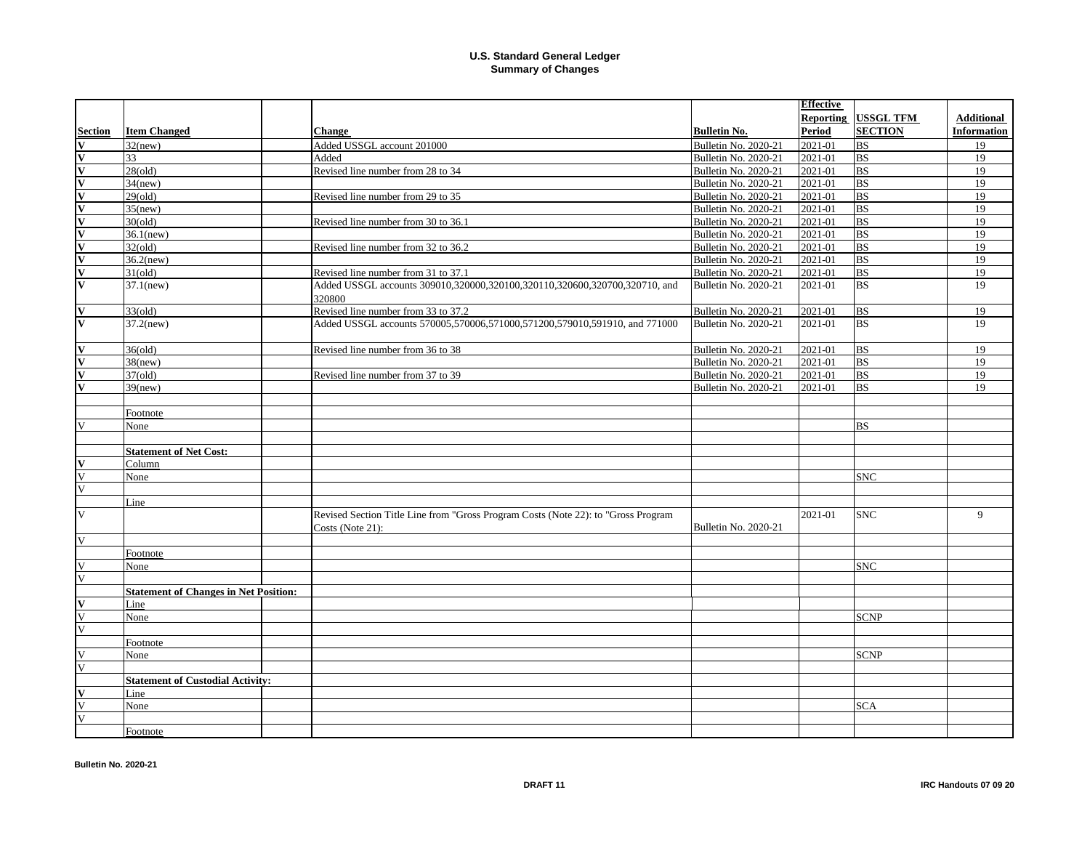|                         |                                              |                                                                                                       |                             | <b>Effective</b> |                  |                    |
|-------------------------|----------------------------------------------|-------------------------------------------------------------------------------------------------------|-----------------------------|------------------|------------------|--------------------|
|                         |                                              |                                                                                                       |                             | Reporting        | <b>USSGL TFM</b> | <b>Additional</b>  |
| <b>Section</b>          | <b>Item Changed</b>                          | Change                                                                                                | <b>Bulletin No.</b>         | Period           | <b>SECTION</b>   | <b>Information</b> |
| $\overline{\mathbf{V}}$ | $32$ (new)                                   | Added USSGL account 201000                                                                            | <b>Bulletin No. 2020-21</b> | 2021-01          | <b>BS</b>        | 19                 |
| $\overline{\mathbf{V}}$ | 33                                           | Added                                                                                                 | Bulletin No. 2020-21        | 2021-01          | <b>BS</b>        | 19                 |
| $\overline{\mathbf{v}}$ | 28(old)                                      | Revised line number from 28 to 34                                                                     | <b>Bulletin No. 2020-21</b> | 2021-01          | <b>BS</b>        | 19                 |
| $\overline{\mathbf{V}}$ | $34$ (new)                                   |                                                                                                       | Bulletin No. 2020-21        | 2021-01          | <b>BS</b>        | 19                 |
| $\overline{\mathbf{V}}$ | 29(old)                                      | Revised line number from 29 to 35                                                                     | <b>Bulletin No. 2020-21</b> | 2021-01          | <b>BS</b>        | 19                 |
| $\overline{\mathbf{V}}$ | $35$ (new)                                   |                                                                                                       | Bulletin No. 2020-21        | 2021-01          | <b>BS</b>        | 19                 |
| $\overline{\mathbf{v}}$ | 30(old)                                      | Revised line number from 30 to 36.1                                                                   | Bulletin No. 2020-21        | 2021-01          | <b>BS</b>        | 19                 |
| $\overline{\mathbf{V}}$ | $36.1$ (new)                                 |                                                                                                       | Bulletin No. 2020-21        | $2021 - 01$      | <b>BS</b>        | 19                 |
| $\overline{\mathbf{V}}$ | 32(old)                                      | Revised line number from 32 to 36.2                                                                   | <b>Bulletin No. 2020-21</b> | 2021-01          | <b>BS</b>        | 19                 |
| $\overline{\mathbf{V}}$ | $36.2$ (new)                                 |                                                                                                       | Bulletin No. 2020-21        | 2021-01          | <b>BS</b>        | 19                 |
| $\overline{\mathbf{v}}$ | 31(old)                                      | Revised line number from 31 to 37.1                                                                   | <b>Bulletin No. 2020-21</b> | 2021-01          | <b>BS</b>        | 19                 |
| $\overline{\mathbf{v}}$ | $37.1$ (new)                                 | Added USSGL accounts 309010,320000,320100,320110,320600,320700,320710, and<br>320800                  | Bulletin No. 2020-21        | 2021-01          | <b>BS</b>        | 19                 |
| $\overline{\mathbf{V}}$ | 33(old)                                      | Revised line number from 33 to 37.2                                                                   | Bulletin No. 2020-21        | 2021-01          | <b>BS</b>        | 19                 |
| $\overline{\mathbf{V}}$ | $\overline{37.2}$ (new)                      | Added USSGL accounts 570005,570006,571000,571200,579010,591910, and 771000                            | Bulletin No. 2020-21        | 2021-01          | <b>BS</b>        | 19                 |
| $\overline{\mathbf{v}}$ | 36(old)                                      | Revised line number from 36 to 38                                                                     | Bulletin No. 2020-21        | 2021-01          | <b>BS</b>        | 19                 |
| $\overline{\mathbf{V}}$ | $38$ (new)                                   |                                                                                                       | Bulletin No. 2020-21        | 2021-01          | <b>BS</b>        | 19                 |
| $\overline{\mathbf{v}}$ | 37(old)                                      | Revised line number from 37 to 39                                                                     | <b>Bulletin No. 2020-21</b> | 2021-01          | <b>BS</b>        | 19                 |
| $\overline{\mathbf{V}}$ | $39$ (new)                                   |                                                                                                       | <b>Bulletin No. 2020-21</b> | 2021-01          | <b>BS</b>        | 19                 |
|                         |                                              |                                                                                                       |                             |                  |                  |                    |
|                         | Footnote                                     |                                                                                                       |                             |                  |                  |                    |
| $\overline{V}$          | None                                         |                                                                                                       |                             |                  | <b>BS</b>        |                    |
|                         |                                              |                                                                                                       |                             |                  |                  |                    |
|                         | <b>Statement of Net Cost:</b>                |                                                                                                       |                             |                  |                  |                    |
| $\mathbf{v}$            | Column                                       |                                                                                                       |                             |                  |                  |                    |
| V                       | None                                         |                                                                                                       |                             |                  | <b>SNC</b>       |                    |
| $\overline{\mathsf{V}}$ |                                              |                                                                                                       |                             |                  |                  |                    |
|                         | Line                                         |                                                                                                       |                             |                  |                  |                    |
| V                       |                                              | Revised Section Title Line from "Gross Program Costs (Note 22): to "Gross Program<br>Costs (Note 21): | Bulletin No. 2020-21        | 2021-01          | <b>SNC</b>       | $\mathbf{Q}$       |
| V                       |                                              |                                                                                                       |                             |                  |                  |                    |
|                         | Footnote                                     |                                                                                                       |                             |                  |                  |                    |
| $\overline{\mathsf{V}}$ | None                                         |                                                                                                       |                             |                  | <b>SNC</b>       |                    |
| $\overline{\mathsf{v}}$ |                                              |                                                                                                       |                             |                  |                  |                    |
|                         | <b>Statement of Changes in Net Position:</b> |                                                                                                       |                             |                  |                  |                    |
| $\overline{\mathbf{V}}$ | Line                                         |                                                                                                       |                             |                  |                  |                    |
| $\overline{\mathsf{V}}$ | None                                         |                                                                                                       |                             |                  | <b>SCNP</b>      |                    |
| $\overline{\mathsf{V}}$ |                                              |                                                                                                       |                             |                  |                  |                    |
|                         | Footnote                                     |                                                                                                       |                             |                  |                  |                    |
| V                       | None                                         |                                                                                                       |                             |                  | <b>SCNP</b>      |                    |
| $\overline{\mathsf{V}}$ |                                              |                                                                                                       |                             |                  |                  |                    |
|                         | <b>Statement of Custodial Activity:</b>      |                                                                                                       |                             |                  |                  |                    |
| $\overline{\mathbf{V}}$ | Line                                         |                                                                                                       |                             |                  |                  |                    |
| V                       | None                                         |                                                                                                       |                             |                  | <b>SCA</b>       |                    |
| V                       |                                              |                                                                                                       |                             |                  |                  |                    |
|                         | Footnote                                     |                                                                                                       |                             |                  |                  |                    |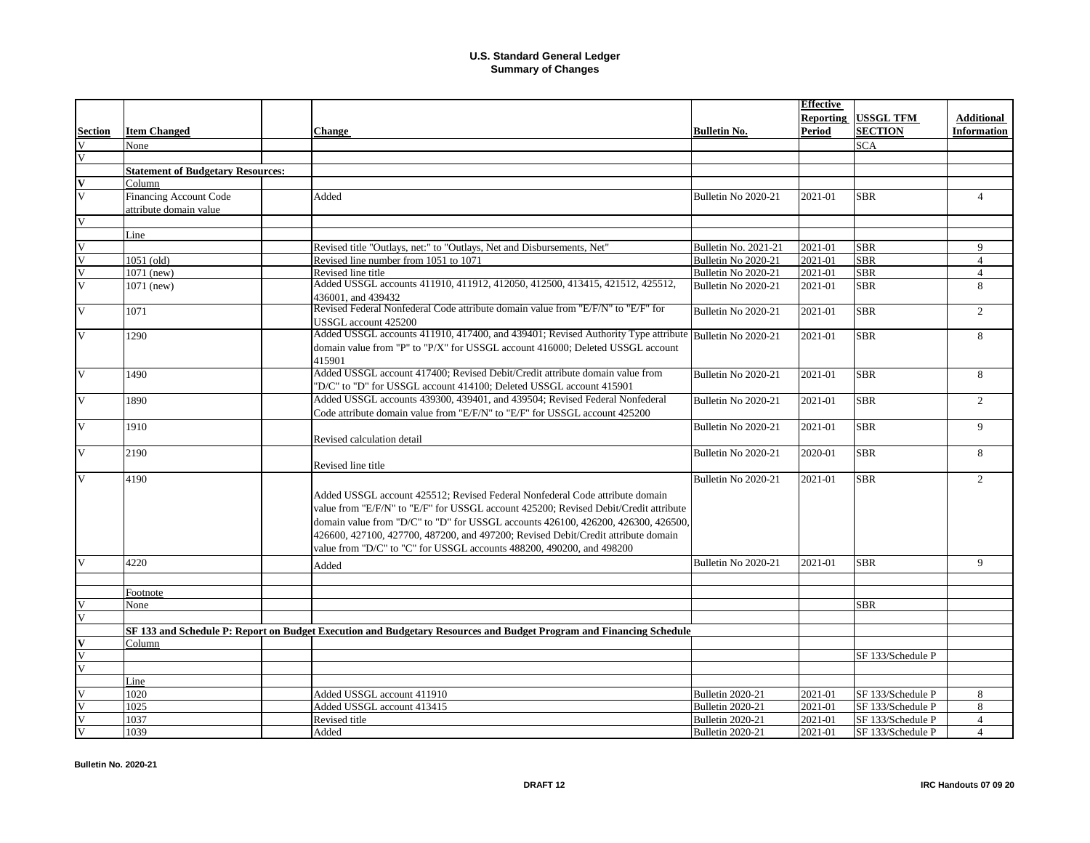|                         |                                          |                                                                                                                     |                         | <b>Effective</b> |                     |                    |
|-------------------------|------------------------------------------|---------------------------------------------------------------------------------------------------------------------|-------------------------|------------------|---------------------|--------------------|
|                         |                                          |                                                                                                                     |                         |                  | Reporting USSGL TFM | <b>Additional</b>  |
| <b>Section</b>          | <b>Item Changed</b>                      | <b>Change</b>                                                                                                       | <b>Bulletin No.</b>     | <b>Period</b>    | <b>SECTION</b>      | <b>Information</b> |
| V                       | None                                     |                                                                                                                     |                         |                  | <b>SCA</b>          |                    |
| $\overline{\mathbf{V}}$ |                                          |                                                                                                                     |                         |                  |                     |                    |
|                         | <b>Statement of Budgetary Resources:</b> |                                                                                                                     |                         |                  |                     |                    |
| $\mathbf{V}$            | Column                                   |                                                                                                                     |                         |                  |                     |                    |
| $\overline{V}$          | Financing Account Code                   | Added                                                                                                               | Bulletin No 2020-21     | 2021-01          | <b>SBR</b>          | $\overline{4}$     |
|                         | attribute domain value                   |                                                                                                                     |                         |                  |                     |                    |
| $\overline{V}$          |                                          |                                                                                                                     |                         |                  |                     |                    |
|                         | Line                                     |                                                                                                                     |                         |                  |                     |                    |
| V                       |                                          | Revised title "Outlays, net:" to "Outlays, Net and Disbursements, Net"                                              | Bulletin No. 2021-21    | 2021-01          | <b>SBR</b>          | $\mathbf Q$        |
| $\overline{\mathbf{V}}$ | 1051 (old)                               | Revised line number from 1051 to 1071                                                                               | Bulletin No 2020-21     | 2021-01          | <b>SBR</b>          | $\overline{4}$     |
| $\overline{\mathsf{V}}$ | 1071 (new)                               | Revised line title                                                                                                  | Bulletin No 2020-21     | 2021-01          | <b>SBR</b>          | $\overline{4}$     |
| $\overline{\mathbf{V}}$ | 1071 (new)                               | Added USSGL accounts 411910, 411912, 412050, 412500, 413415, 421512, 425512,                                        | Bulletin No 2020-21     | 2021-01          | <b>SBR</b>          | 8                  |
|                         |                                          | 436001, and 439432                                                                                                  |                         |                  |                     |                    |
| V                       | 1071                                     | Revised Federal Nonfederal Code attribute domain value from "E/F/N" to "E/F" for                                    | Bulletin No 2020-21     | 2021-01          | <b>SBR</b>          | 2                  |
|                         |                                          | USSGL account 425200                                                                                                |                         |                  |                     |                    |
| V                       | 1290                                     | Added USSGL accounts 411910, 417400, and 439401; Revised Authority Type attribute Bulletin No 2020-21               |                         | 2021-01          | <b>SBR</b>          | 8                  |
|                         |                                          | domain value from "P" to "P/X" for USSGL account 416000; Deleted USSGL account                                      |                         |                  |                     |                    |
|                         |                                          | 415901                                                                                                              |                         |                  |                     |                    |
| V                       | 1490                                     | Added USSGL account 417400; Revised Debit/Credit attribute domain value from                                        | Bulletin No 2020-21     | 2021-01          | <b>SBR</b>          | 8                  |
|                         |                                          | "D/C" to "D" for USSGL account 414100; Deleted USSGL account 415901                                                 |                         |                  |                     |                    |
| $\overline{\mathsf{V}}$ | 1890                                     | Added USSGL accounts 439300, 439401, and 439504; Revised Federal Nonfederal                                         | Bulletin No 2020-21     |                  | <b>SBR</b>          | $\overline{2}$     |
|                         |                                          | Code attribute domain value from "E/F/N" to "E/F" for USSGL account 425200                                          |                         | 2021-01          |                     |                    |
|                         |                                          |                                                                                                                     |                         |                  |                     |                    |
| V                       | 1910                                     |                                                                                                                     | Bulletin No 2020-21     | 2021-01          | <b>SBR</b>          | 9                  |
|                         |                                          | Revised calculation detail                                                                                          |                         |                  |                     |                    |
| $\overline{\mathbf{V}}$ | 2190                                     |                                                                                                                     | Bulletin No 2020-21     | 2020-01          | <b>SBR</b>          | 8                  |
|                         |                                          | Revised line title                                                                                                  |                         |                  |                     |                    |
| V                       | 4190                                     |                                                                                                                     | Bulletin No 2020-21     | 2021-01          | <b>SBR</b>          | $\overline{2}$     |
|                         |                                          | Added USSGL account 425512; Revised Federal Nonfederal Code attribute domain                                        |                         |                  |                     |                    |
|                         |                                          | value from "E/F/N" to "E/F" for USSGL account 425200; Revised Debit/Credit attribute                                |                         |                  |                     |                    |
|                         |                                          | domain value from "D/C" to "D" for USSGL accounts 426100, 426200, 426300, 426500,                                   |                         |                  |                     |                    |
|                         |                                          | 426600, 427100, 427700, 487200, and 497200; Revised Debit/Credit attribute domain                                   |                         |                  |                     |                    |
|                         |                                          | value from "D/C" to "C" for USSGL accounts 488200, 490200, and 498200                                               |                         |                  |                     |                    |
| $\overline{\mathbf{V}}$ | 4220                                     |                                                                                                                     | Bulletin No 2020-21     | 2021-01          | <b>SBR</b>          | 9                  |
|                         |                                          | Added                                                                                                               |                         |                  |                     |                    |
|                         |                                          |                                                                                                                     |                         |                  |                     |                    |
|                         | Footnote                                 |                                                                                                                     |                         |                  |                     |                    |
|                         | None                                     |                                                                                                                     |                         |                  | <b>SBR</b>          |                    |
|                         |                                          |                                                                                                                     |                         |                  |                     |                    |
|                         |                                          | SF 133 and Schedule P: Report on Budget Execution and Budgetary Resources and Budget Program and Financing Schedule |                         |                  |                     |                    |
|                         | Column                                   |                                                                                                                     |                         |                  |                     |                    |
| $\overline{V}$          |                                          |                                                                                                                     |                         |                  | SF 133/Schedule P   |                    |
|                         |                                          |                                                                                                                     |                         |                  |                     |                    |
|                         | Line                                     |                                                                                                                     |                         |                  |                     |                    |
|                         | 1020                                     | Added USSGL account 411910                                                                                          | <b>Bulletin 2020-21</b> | 2021-01          | SF 133/Schedule P   | 8                  |
|                         | 1025                                     | Added USSGL account 413415                                                                                          | <b>Bulletin 2020-21</b> | 2021-01          | SF 133/Schedule P   | 8                  |
|                         | 1037                                     | Revised title                                                                                                       | <b>Bulletin 2020-21</b> | 2021-01          | SF 133/Schedule P   | $\overline{4}$     |
|                         | 1039                                     | Added                                                                                                               | <b>Bulletin 2020-21</b> | 2021-01          | SF 133/Schedule P   | $\overline{4}$     |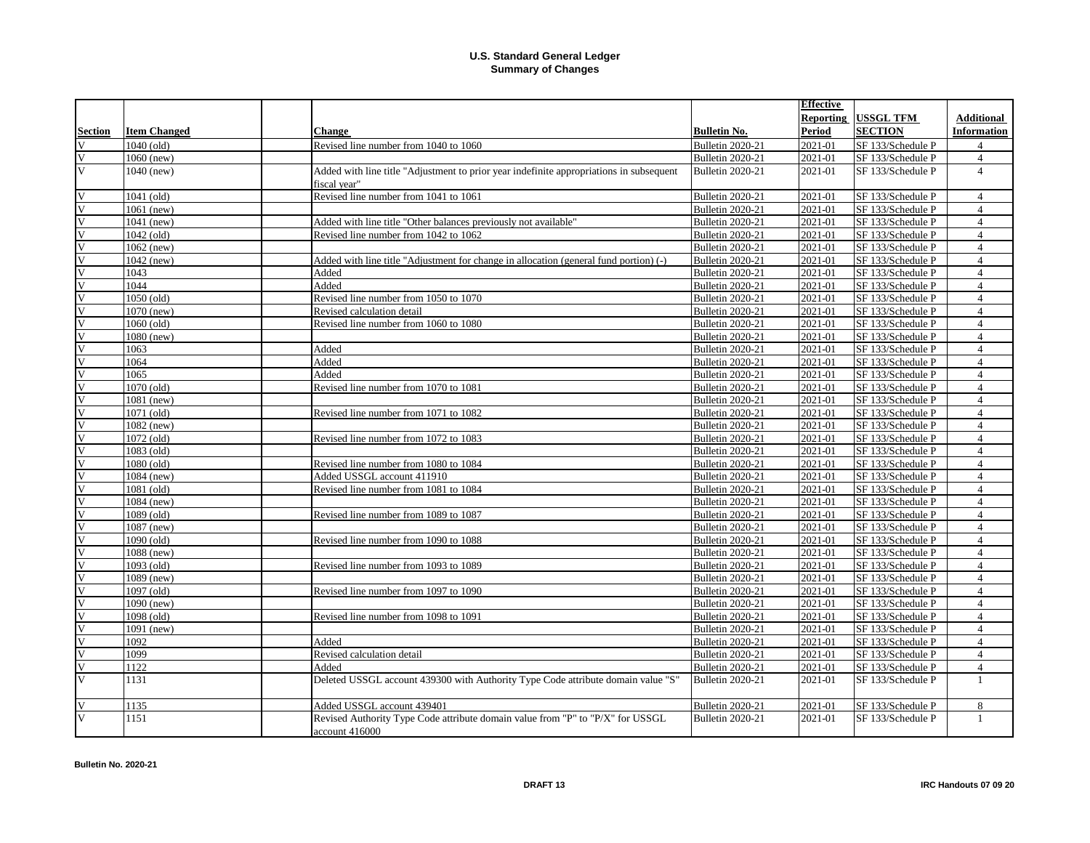|                         |                         |                                                                                         |                         | <b>Effective</b> |                   |                    |
|-------------------------|-------------------------|-----------------------------------------------------------------------------------------|-------------------------|------------------|-------------------|--------------------|
|                         |                         |                                                                                         |                         | Reporting        | <b>USSGL TFM</b>  | <b>Additional</b>  |
| <b>Section</b>          | <b>Item Changed</b>     | <b>Change</b>                                                                           | <b>Bulletin No.</b>     | Period           | <b>SECTION</b>    | <b>Information</b> |
|                         | $\overline{1040}$ (old) | Revised line number from 1040 to 1060                                                   | <b>Bulletin 2020-21</b> | 2021-01          | SF 133/Schedule P | $\overline{4}$     |
|                         | $1060$ (new)            |                                                                                         | Bulletin 2020-21        | 2021-01          | SF 133/Schedule P | $\overline{4}$     |
| $\overline{\mathsf{v}}$ | 1040 (new)              | Added with line title "Adjustment to prior year indefinite appropriations in subsequent | <b>Bulletin 2020-21</b> | 2021-01          | SF 133/Schedule P | $\overline{4}$     |
|                         |                         | fiscal year"                                                                            |                         |                  |                   |                    |
| V                       | 1041 (old)              | Revised line number from 1041 to 1061                                                   | <b>Bulletin 2020-21</b> | 2021-01          | SF 133/Schedule P | $\overline{4}$     |
| $\overline{\mathsf{V}}$ | $1061$ (new)            |                                                                                         | Bulletin 2020-21        | 2021-01          | SF 133/Schedule P | $\overline{4}$     |
| $\overline{\mathsf{V}}$ | 1041 (new)              | Added with line title "Other balances previously not available"                         | <b>Bulletin 2020-21</b> | 2021-01          | SF 133/Schedule P | $\overline{4}$     |
| V                       | 1042 (old)              | Revised line number from 1042 to 1062                                                   | Bulletin 2020-21        | 2021-01          | SF 133/Schedule P | $\overline{4}$     |
| V                       | 1062 (new)              |                                                                                         | Bulletin 2020-21        | 2021-01          | SF 133/Schedule P | $\overline{4}$     |
|                         | 1042 (new)              | Added with line title "Adjustment for change in allocation (general fund portion) (-)   | <b>Bulletin 2020-21</b> | 2021-01          | SF 133/Schedule P | $\overline{4}$     |
| V                       | 1043                    | Added                                                                                   | <b>Bulletin 2020-21</b> | 2021-01          | SF 133/Schedule P | $\overline{4}$     |
| $\overline{\mathsf{V}}$ | 1044                    | Added                                                                                   | <b>Bulletin 2020-21</b> | 2021-01          | SF 133/Schedule P | $\overline{4}$     |
| V                       | 1050 (old)              | Revised line number from 1050 to 1070                                                   | <b>Bulletin 2020-21</b> | 2021-01          | SF 133/Schedule P | $\overline{4}$     |
| V                       | 1070 (new)              | Revised calculation detail                                                              | Bulletin 2020-21        | 2021-01          | SF 133/Schedule P | $\overline{4}$     |
| V                       | 1060 (old)              | Revised line number from 1060 to 1080                                                   | <b>Bulletin 2020-21</b> | 2021-01          | SF 133/Schedule P | $\overline{4}$     |
| $\overline{\mathbf{V}}$ | 1080 (new)              |                                                                                         | <b>Bulletin 2020-21</b> | 2021-01          | SF 133/Schedule P | $\overline{4}$     |
| $\overline{\mathbf{V}}$ | 1063                    | Added                                                                                   | <b>Bulletin 2020-21</b> | 2021-01          | SF 133/Schedule P | $\overline{4}$     |
| V                       | 1064                    | Added                                                                                   | <b>Bulletin 2020-21</b> | 2021-01          | SF 133/Schedule P | $\overline{4}$     |
| $\overline{\mathbf{V}}$ | 1065                    | Added                                                                                   | Bulletin 2020-21        | 2021-01          | SF 133/Schedule P | $\overline{4}$     |
| $\overline{\mathbf{V}}$ | 1070 (old)              | Revised line number from 1070 to 1081                                                   | Bulletin 2020-21        | 2021-01          | SF 133/Schedule P | $\overline{4}$     |
| $\overline{\mathsf{V}}$ | 1081 (new)              |                                                                                         | Bulletin 2020-21        | 2021-01          | SF 133/Schedule P | $\overline{4}$     |
| $\overline{\mathbf{V}}$ | $1071$ (old)            | Revised line number from 1071 to 1082                                                   | <b>Bulletin 2020-21</b> | 2021-01          | SF 133/Schedule P | $\overline{4}$     |
| $\overline{\mathbf{V}}$ | 1082 (new)              |                                                                                         | <b>Bulletin 2020-21</b> | 2021-01          | SF 133/Schedule P | $\overline{4}$     |
| $\overline{\mathbf{V}}$ | 1072 (old)              | Revised line number from 1072 to 1083                                                   | <b>Bulletin 2020-21</b> | 2021-01          | SF 133/Schedule P | $\overline{4}$     |
| $\overline{\mathsf{V}}$ | 1083 (old)              |                                                                                         | Bulletin 2020-21        | 2021-01          | SF 133/Schedule P | $\overline{4}$     |
| $\overline{\mathsf{V}}$ | 1080 (old)              | Revised line number from 1080 to 1084                                                   | Bulletin 2020-21        | 2021-01          | SF 133/Schedule P | $\overline{4}$     |
| $\overline{\mathsf{V}}$ | 1084 (new)              | Added USSGL account 411910                                                              | Bulletin 2020-21        | 2021-01          | SF 133/Schedule P | $\overline{4}$     |
| $\overline{\mathbf{V}}$ | 1081 (old)              | Revised line number from 1081 to 1084                                                   | <b>Bulletin 2020-21</b> | 2021-01          | SF 133/Schedule P | $\overline{4}$     |
| V                       | 1084 (new)              |                                                                                         | <b>Bulletin 2020-21</b> | 2021-01          | SF 133/Schedule P | $\overline{4}$     |
| $\overline{\mathbf{V}}$ | $1089$ (old)            | Revised line number from 1089 to 1087                                                   | <b>Bulletin 2020-21</b> | 2021-01          | SF 133/Schedule P | $\overline{4}$     |
| $\overline{\mathsf{v}}$ | 1087 (new)              |                                                                                         | Bulletin 2020-21        | 2021-01          | SF 133/Schedule P | $\overline{4}$     |
| V                       | 1090 (old)              | Revised line number from 1090 to 1088                                                   | Bulletin 2020-21        | 2021-01          | SF 133/Schedule P | $\overline{4}$     |
| V                       | 1088 (new)              |                                                                                         | Bulletin 2020-21        | 2021-01          | SF 133/Schedule P | $\overline{4}$     |
| $\overline{\mathbf{V}}$ | 1093 (old)              | Revised line number from 1093 to 1089                                                   | <b>Bulletin 2020-21</b> | 2021-01          | SF 133/Schedule P | $\overline{4}$     |
| $\overline{\mathbf{V}}$ | 1089 (new)              |                                                                                         | <b>Bulletin 2020-21</b> | 2021-01          | SF 133/Schedule P | $\overline{4}$     |
| $\overline{\mathsf{V}}$ | 1097 (old)              | Revised line number from 1097 to 1090                                                   | <b>Bulletin 2020-21</b> | 2021-01          | SF 133/Schedule P | $\overline{4}$     |
| V                       | 1090 (new)              |                                                                                         | Bulletin 2020-21        | 2021-01          | SF 133/Schedule P | $\overline{4}$     |
| $\overline{\mathsf{V}}$ | 1098 (old)              | Revised line number from 1098 to 1091                                                   | Bulletin 2020-21        | 2021-01          | SF 133/Schedule P | $\overline{4}$     |
| $\overline{\mathsf{V}}$ | 1091 (new)              |                                                                                         | Bulletin 2020-21        | 2021-01          | SF 133/Schedule P | $\overline{4}$     |
| $\overline{\mathbf{V}}$ | 1092                    | Added                                                                                   | <b>Bulletin 2020-21</b> | 2021-01          | SF 133/Schedule P | $\overline{4}$     |
| V                       | 1099                    | Revised calculation detail                                                              | <b>Bulletin 2020-21</b> | 2021-01          | SF 133/Schedule P | $\overline{4}$     |
| $\overline{\mathsf{V}}$ | 1122                    | Added                                                                                   | <b>Bulletin 2020-21</b> | 2021-01          | SF 133/Schedule P | $\overline{4}$     |
| $\overline{\mathsf{v}}$ | 1131                    | Deleted USSGL account 439300 with Authority Type Code attribute domain value "S"        | <b>Bulletin 2020-21</b> | 2021-01          | SF 133/Schedule P | $\mathbf{1}$       |
| V                       | 1135                    | Added USSGL account 439401                                                              | Bulletin 2020-21        | 2021-01          | SF 133/Schedule P | 8                  |
| $\overline{\mathbf{V}}$ | 1151                    | Revised Authority Type Code attribute domain value from "P" to "P/X" for USSGL          | <b>Bulletin 2020-21</b> | 2021-01          | SF 133/Schedule P | $\mathbf{1}$       |
|                         |                         | account 416000                                                                          |                         |                  |                   |                    |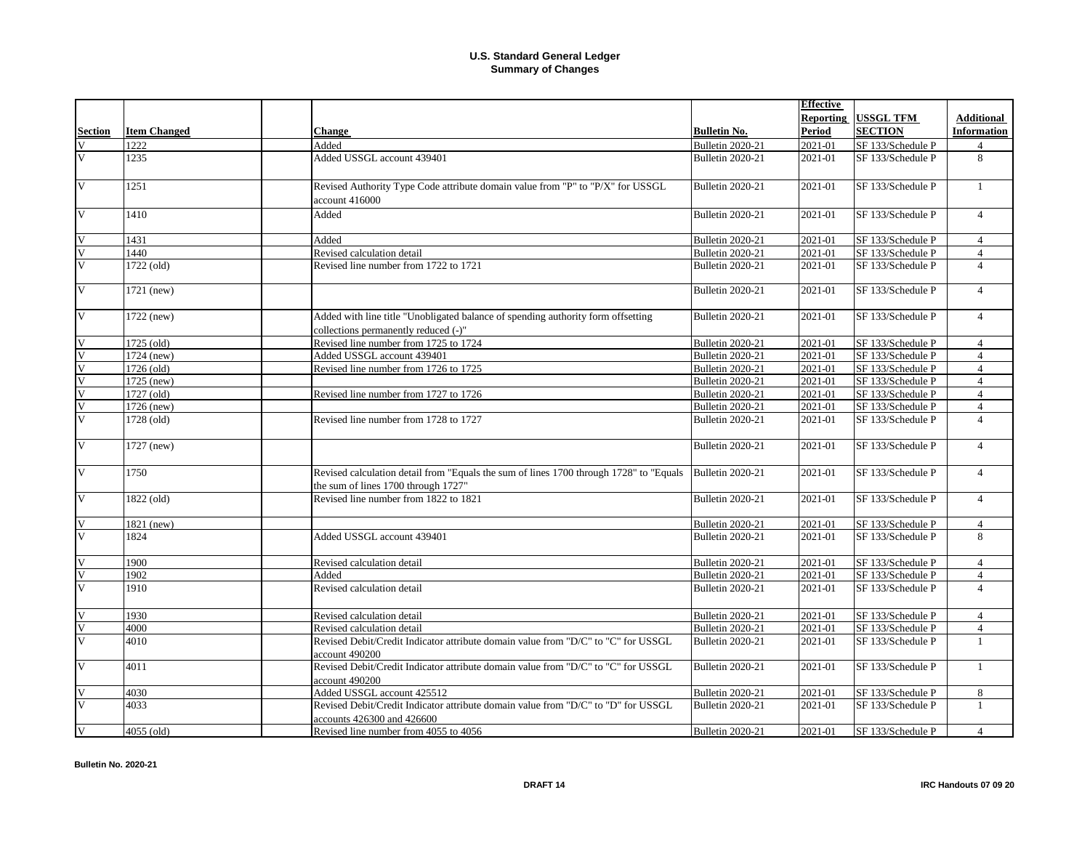|                         |                     |                                                                                        |                         | <b>Effective</b> |                   |                    |
|-------------------------|---------------------|----------------------------------------------------------------------------------------|-------------------------|------------------|-------------------|--------------------|
|                         |                     |                                                                                        |                         | <b>Reporting</b> | USSGL TFM         | <b>Additional</b>  |
| <b>Section</b>          | <b>Item Changed</b> | <b>Change</b>                                                                          | <b>Bulletin No.</b>     | <b>Period</b>    | <b>SECTION</b>    | <b>Information</b> |
| $\overline{\mathbf{V}}$ | 1222                | Added                                                                                  | <b>Bulletin 2020-21</b> | 2021-01          | SF 133/Schedule P | $\overline{4}$     |
| $\overline{V}$          | 1235                | Added USSGL account 439401                                                             | <b>Bulletin 2020-21</b> | 2021-01          | SF 133/Schedule P | 8                  |
|                         |                     |                                                                                        |                         |                  |                   |                    |
| V                       | 1251                | Revised Authority Type Code attribute domain value from "P" to "P/X" for USSGL         | <b>Bulletin 2020-21</b> | 2021-01          | SF 133/Schedule P | $\mathbf{1}$       |
|                         |                     | account 416000                                                                         |                         |                  |                   |                    |
|                         |                     |                                                                                        |                         |                  |                   |                    |
| $\overline{\mathsf{v}}$ | 1410                | Added                                                                                  | <b>Bulletin 2020-21</b> | 2021-01          | SF 133/Schedule P | $\overline{4}$     |
| $\overline{\mathsf{V}}$ | 1431                | Added                                                                                  | Bulletin 2020-21        | 2021-01          | SF 133/Schedule P | $\overline{4}$     |
| $\overline{\mathbf{V}}$ | 1440                | Revised calculation detail                                                             | Bulletin 2020-21        | 2021-01          | SF 133/Schedule P | $\overline{4}$     |
| $\overline{\mathsf{V}}$ | 1722 (old)          | Revised line number from 1722 to 1721                                                  | <b>Bulletin 2020-21</b> | 2021-01          | SF 133/Schedule P | $\overline{4}$     |
|                         |                     |                                                                                        |                         |                  |                   |                    |
| $\overline{\mathsf{V}}$ | 1721 (new)          |                                                                                        | <b>Bulletin 2020-21</b> | 2021-01          | SF 133/Schedule P | $\overline{4}$     |
|                         |                     |                                                                                        |                         |                  |                   |                    |
| $\overline{V}$          | 1722 (new)          | Added with line title "Unobligated balance of spending authority form offsetting       | <b>Bulletin 2020-21</b> | 2021-01          | SF 133/Schedule P | $\overline{4}$     |
|                         |                     | collections permanently reduced (-)"                                                   |                         |                  |                   |                    |
| $\overline{\mathbf{V}}$ | $1725$ (old)        | Revised line number from 1725 to 1724                                                  | <b>Bulletin 2020-21</b> | 2021-01          | SF 133/Schedule P | $\overline{4}$     |
|                         | 1724 (new)          | Added USSGL account 439401                                                             | Bulletin 2020-21        | 2021-01          | SF 133/Schedule P | $\overline{4}$     |
|                         | 1726 (old)          | Revised line number from 1726 to 1725                                                  | Bulletin 2020-21        | 2021-01          | SF 133/Schedule P | $\overline{4}$     |
| $\overline{V}$          | 1725 (new)          |                                                                                        | <b>Bulletin 2020-21</b> | 2021-01          | SF 133/Schedule P | $\overline{4}$     |
| $\overline{V}$          | 1727 (old)          | Revised line number from 1727 to 1726                                                  | <b>Bulletin 2020-21</b> | 2021-01          | SF 133/Schedule P | $\overline{4}$     |
| $\overline{V}$          | 1726 (new)          |                                                                                        | Bulletin 2020-21        | 2021-01          | SF 133/Schedule P | $\overline{4}$     |
| $\overline{\mathsf{V}}$ | 1728 (old)          | Revised line number from 1728 to 1727                                                  | <b>Bulletin 2020-21</b> | 2021-01          | SF 133/Schedule P | $\overline{4}$     |
|                         |                     |                                                                                        |                         |                  |                   |                    |
| V                       | 1727 (new)          |                                                                                        | <b>Bulletin 2020-21</b> | 2021-01          | SF 133/Schedule P | $\overline{4}$     |
|                         |                     |                                                                                        |                         |                  |                   |                    |
| V                       | 1750                | Revised calculation detail from "Equals the sum of lines 1700 through 1728" to "Equals | <b>Bulletin 2020-21</b> | 2021-01          | SF 133/Schedule P | $\overline{4}$     |
|                         |                     | the sum of lines 1700 through 1727"                                                    |                         |                  |                   |                    |
| $\overline{\mathsf{V}}$ | 1822 (old)          | Revised line number from 1822 to 1821                                                  | Bulletin 2020-21        | 2021-01          | SF 133/Schedule P | $\overline{4}$     |
|                         |                     |                                                                                        |                         |                  |                   |                    |
| $\overline{V}$          | 1821 (new)          |                                                                                        | Bulletin 2020-21        | 2021-01          | SF 133/Schedule P | $\overline{4}$     |
| $\overline{\mathbf{V}}$ | 1824                | Added USSGL account 439401                                                             | Bulletin 2020-21        | 2021-01          | SF 133/Schedule P | 8                  |
|                         |                     |                                                                                        |                         |                  |                   |                    |
| $\overline{\mathbf{V}}$ | 1900                | Revised calculation detail                                                             | Bulletin 2020-21        | 2021-01          | SF 133/Schedule P | $\overline{4}$     |
| $\overline{V}$          | 1902                | Added                                                                                  | <b>Bulletin 2020-21</b> | 2021-01          | SF 133/Schedule P | $\overline{4}$     |
| $\overline{\mathbf{V}}$ | 1910                | Revised calculation detail                                                             | Bulletin 2020-21        | 2021-01          | SF 133/Schedule P | $\overline{4}$     |
|                         |                     |                                                                                        |                         |                  |                   |                    |
| $\overline{\mathbf{V}}$ | 1930                | Revised calculation detail                                                             | <b>Bulletin 2020-21</b> | 2021-01          | SF 133/Schedule P | $\overline{4}$     |
| $\overline{V}$          | 4000                | Revised calculation detail                                                             | <b>Bulletin 2020-21</b> | 2021-01          | SF 133/Schedule P | $\overline{4}$     |
| $\overline{\mathsf{V}}$ | 4010                | Revised Debit/Credit Indicator attribute domain value from "D/C" to "C" for USSGL      | <b>Bulletin 2020-21</b> | 2021-01          | SF 133/Schedule P | $\mathbf{1}$       |
|                         |                     | account 490200                                                                         |                         |                  |                   |                    |
| $\overline{\mathbf{V}}$ | 4011                | Revised Debit/Credit Indicator attribute domain value from "D/C" to "C" for USSGL      | <b>Bulletin 2020-21</b> | 2021-01          | SF 133/Schedule P | $\mathbf{1}$       |
|                         |                     | account 490200                                                                         |                         |                  |                   |                    |
| $\overline{V}$          | 4030                | Added USSGL account 425512                                                             | <b>Bulletin 2020-21</b> | 2021-01          | SF 133/Schedule P | 8                  |
| $\overline{\mathbf{V}}$ | 4033                | Revised Debit/Credit Indicator attribute domain value from "D/C" to "D" for USSGL      | Bulletin 2020-21        | 2021-01          | SF 133/Schedule P | $\mathbf{1}$       |
|                         |                     | accounts 426300 and 426600                                                             |                         |                  |                   |                    |
|                         | 4055 (old)          | Revised line number from 4055 to 4056                                                  | <b>Bulletin 2020-21</b> | 2021-01          | SF 133/Schedule P | $\overline{4}$     |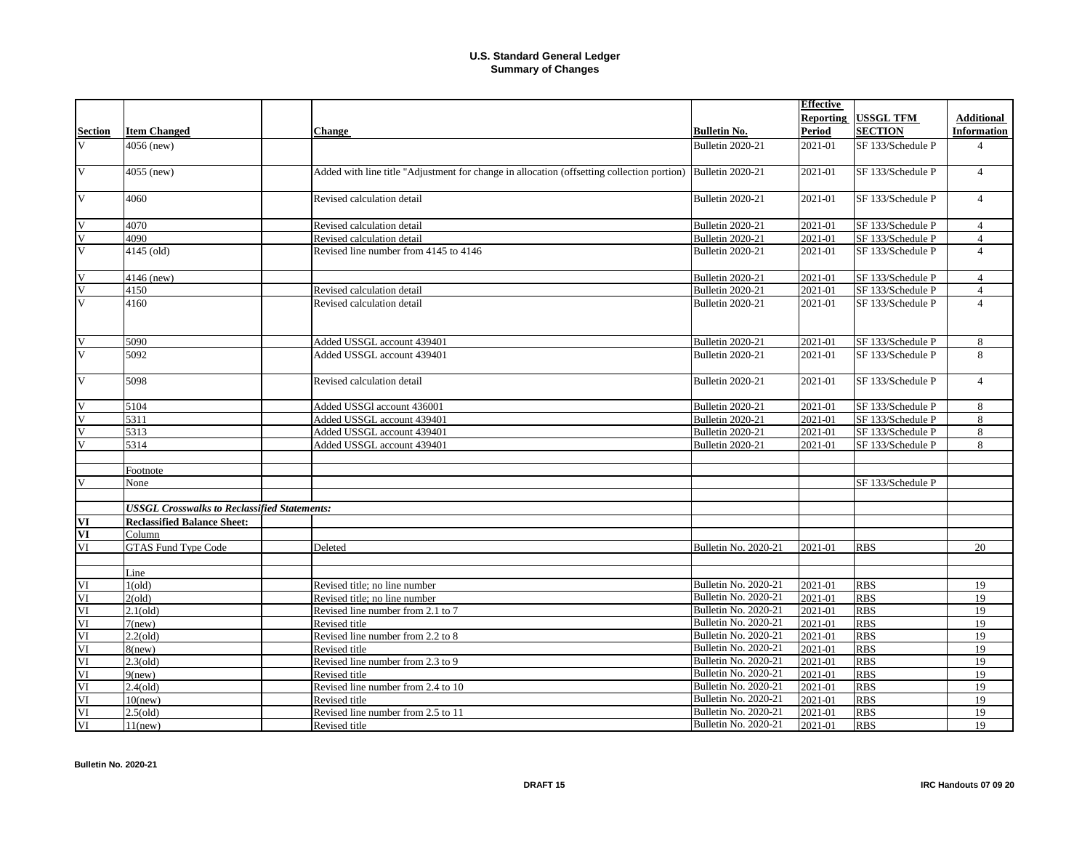|                          |                                                     |                                                                                            |                             | <b>Effective</b> |                   |                    |
|--------------------------|-----------------------------------------------------|--------------------------------------------------------------------------------------------|-----------------------------|------------------|-------------------|--------------------|
|                          |                                                     |                                                                                            |                             | Reporting        | <b>USSGL TFM</b>  | <b>Additional</b>  |
| <b>Section</b>           | <b>Item Changed</b>                                 | <b>Change</b>                                                                              | <b>Bulletin No.</b>         | Period           | <b>SECTION</b>    | <b>Information</b> |
| V                        | 4056 (new)                                          |                                                                                            | <b>Bulletin 2020-21</b>     | 2021-01          | SF 133/Schedule P | $\overline{4}$     |
|                          |                                                     |                                                                                            |                             |                  |                   |                    |
| $\overline{\mathsf{V}}$  | 4055 (new)                                          | Added with line title "Adjustment for change in allocation (offsetting collection portion) | <b>Bulletin 2020-21</b>     | 2021-01          | SF 133/Schedule P | $\overline{4}$     |
|                          |                                                     |                                                                                            |                             |                  |                   |                    |
| $\overline{\mathbf{V}}$  | 4060                                                | Revised calculation detail                                                                 | <b>Bulletin 2020-21</b>     | 2021-01          | SF 133/Schedule P | $\overline{4}$     |
|                          |                                                     |                                                                                            |                             |                  |                   |                    |
| V                        | 4070                                                | Revised calculation detail                                                                 | Bulletin 2020-21            | 2021-01          | SF 133/Schedule P | $\overline{4}$     |
| V                        | 4090                                                | Revised calculation detail                                                                 | Bulletin 2020-21            | 2021-01          | SF 133/Schedule P | $\overline{4}$     |
| $\overline{\mathsf{V}}$  | 4145 (old)                                          | Revised line number from 4145 to 4146                                                      | <b>Bulletin 2020-21</b>     | 2021-01          | SF 133/Schedule P | $\overline{4}$     |
|                          |                                                     |                                                                                            |                             |                  |                   |                    |
| V                        | 4146 (new)                                          |                                                                                            | Bulletin 2020-21            | 2021-01          | SF 133/Schedule P | $\overline{4}$     |
| V                        | 4150                                                | Revised calculation detail                                                                 | Bulletin 2020-21            | 2021-01          | SF 133/Schedule P | $\overline{4}$     |
| $\overline{\mathbf{V}}$  | 4160                                                | Revised calculation detail                                                                 | <b>Bulletin 2020-21</b>     | 2021-01          | SF 133/Schedule P | $\overline{4}$     |
|                          |                                                     |                                                                                            |                             |                  |                   |                    |
|                          |                                                     |                                                                                            |                             |                  |                   |                    |
| V                        | 5090                                                | Added USSGL account 439401                                                                 | Bulletin 2020-21            | 2021-01          | SF 133/Schedule P | 8                  |
| V                        | 5092                                                | Added USSGL account 439401                                                                 | <b>Bulletin 2020-21</b>     | 2021-01          | SF 133/Schedule P | 8                  |
|                          |                                                     |                                                                                            |                             |                  |                   |                    |
| V                        | 5098                                                | Revised calculation detail                                                                 | <b>Bulletin 2020-21</b>     | 2021-01          | SF 133/Schedule P | $\overline{4}$     |
|                          |                                                     |                                                                                            |                             |                  |                   |                    |
| V                        | 5104                                                | Added USSGI account 436001                                                                 | <b>Bulletin 2020-21</b>     | 2021-01          | SF 133/Schedule P | 8                  |
| V                        | 5311                                                | Added USSGL account 439401                                                                 | Bulletin 2020-21            | 2021-01          | SF 133/Schedule P | 8                  |
| $\overline{\mathbf{V}}$  | 5313                                                | Added USSGL account 439401                                                                 | Bulletin 2020-21            | 2021-01          | SF 133/Schedule P | 8                  |
|                          | 5314                                                | Added USSGL account 439401                                                                 | Bulletin 2020-21            | 2021-01          | SF 133/Schedule P | $\,8\,$            |
|                          |                                                     |                                                                                            |                             |                  |                   |                    |
|                          | Footnote                                            |                                                                                            |                             |                  |                   |                    |
| V                        | None                                                |                                                                                            |                             |                  | SF 133/Schedule P |                    |
|                          |                                                     |                                                                                            |                             |                  |                   |                    |
|                          | <b>USSGL Crosswalks to Reclassified Statements:</b> |                                                                                            |                             |                  |                   |                    |
| VI                       | <b>Reclassified Balance Sheet:</b>                  |                                                                                            |                             |                  |                   |                    |
| VI                       | Column                                              |                                                                                            |                             |                  |                   |                    |
| VI                       | <b>GTAS Fund Type Code</b>                          | Deleted                                                                                    | Bulletin No. 2020-21        | 2021-01          | <b>RBS</b>        | 20                 |
|                          |                                                     |                                                                                            |                             |                  |                   |                    |
|                          | Line                                                |                                                                                            |                             |                  |                   |                    |
| VI                       | 1(old)                                              | Revised title; no line number                                                              | Bulletin No. 2020-21        | 2021-01          | <b>RBS</b>        | 19                 |
| VI                       | 2(old)                                              | Revised title; no line number                                                              | Bulletin No. 2020-21        | 2021-01          | <b>RBS</b>        | 19                 |
| $\overline{\text{VI}}$   | $2.1\text{ (old)}$                                  | Revised line number from 2.1 to 7                                                          | Bulletin No. 2020-21        | 2021-01          | <b>RBS</b>        | 19                 |
| VI                       | $7$ (new)                                           | Revised title                                                                              | Bulletin No. 2020-21        | 2021-01          | <b>RBS</b>        | 19                 |
| VI                       | $2.2\text{(old)}$                                   | Revised line number from 2.2 to 8                                                          | Bulletin No. 2020-21        | 2021-01          | <b>RBS</b>        | 19                 |
| VI                       | $8$ (new)                                           | Revised title                                                                              | Bulletin No. 2020-21        | 2021-01          | <b>RBS</b>        | 19                 |
| VI                       | $2.3\text{ (old)}$                                  | Revised line number from 2.3 to 9                                                          | Bulletin No. 2020-21        | 2021-01          | <b>RBS</b>        | 19                 |
| VI                       | $9$ (new)                                           | Revised title                                                                              | Bulletin No. 2020-21        | 2021-01          | <b>RBS</b>        | 19                 |
| $\overline{\mathbf{VI}}$ | $2.4\text{ (old)}$                                  | Revised line number from 2.4 to 10                                                         | <b>Bulletin No. 2020-21</b> | 2021-01          | <b>RBS</b>        | 19                 |
| VI                       | $10$ (new)                                          | Revised title                                                                              | Bulletin No. 2020-21        | 2021-01          | <b>RBS</b>        | 19                 |
| VI                       | $2.5\text{(old)}$                                   | Revised line number from 2.5 to 11                                                         | <b>Bulletin No. 2020-21</b> | 2021-01          | RBS               | 19                 |
| VI                       | $11$ (new)                                          | Revised title                                                                              | Bulletin No. 2020-21        | 2021-01          | <b>RBS</b>        | 19                 |
|                          |                                                     |                                                                                            |                             |                  |                   |                    |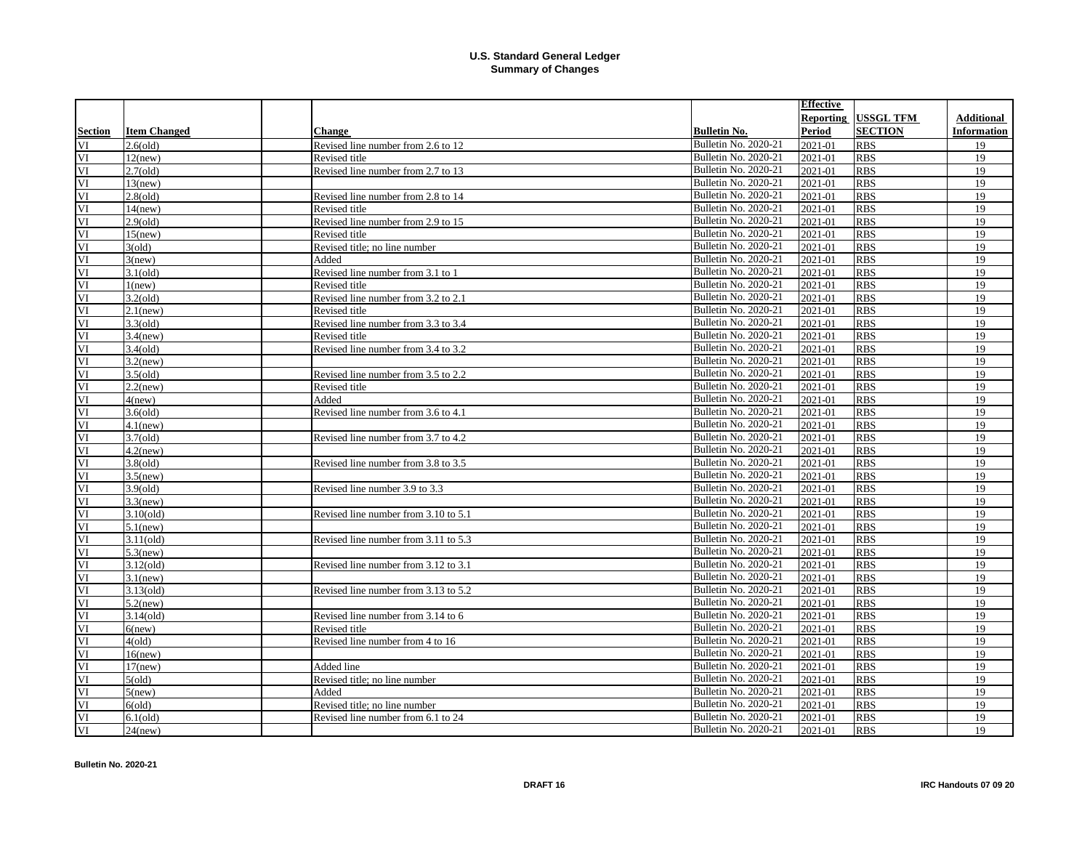|                          |                     |                                      |                             | <b>Effective</b> |                  |             |
|--------------------------|---------------------|--------------------------------------|-----------------------------|------------------|------------------|-------------|
|                          |                     |                                      |                             | <b>Reporting</b> | <b>USSGL TFM</b> | Additional  |
| <b>Section</b>           | <b>Item Changed</b> | <b>Change</b>                        | <b>Bulletin No.</b>         | <b>Period</b>    | <b>SECTION</b>   | Information |
| VI                       | $2.6\text{ (old)}$  | Revised line number from 2.6 to 12   | Bulletin No. 2020-21        | 2021-01          | <b>RBS</b>       | 19          |
| VI                       | $12$ (new)          | Revised title                        | Bulletin No. 2020-21        | 2021-01          | <b>RBS</b>       | 19          |
| $\overline{\mathbf{VI}}$ | $2.7\text{ (old)}$  | Revised line number from 2.7 to 13   | Bulletin No. 2020-21        | 2021-01          | <b>RBS</b>       | 19          |
| VI                       | $13$ (new)          |                                      | Bulletin No. 2020-21        | 2021-01          | <b>RBS</b>       | 19          |
| VI                       | $2.8\text{ (old)}$  | Revised line number from 2.8 to 14   | Bulletin No. 2020-21        | 2021-01          | <b>RBS</b>       | 19          |
| VI                       | $14$ (new)          | Revised title                        | Bulletin No. 2020-21        | 2021-01          | <b>RBS</b>       | 19          |
| VI                       | $2.9$ (old)         | Revised line number from 2.9 to 15   | Bulletin No. 2020-21        | 2021-01          | <b>RBS</b>       | 19          |
| VI                       | $15$ (new)          | Revised title                        | Bulletin No. 2020-21        | 2021-01          | <b>RBS</b>       | 19          |
| VI                       | $3\text{ (old)}$    | Revised title; no line number        | Bulletin No. 2020-21        | 2021-01          | <b>RBS</b>       | 19          |
| VI                       | 3(new)              | Added                                | Bulletin No. 2020-21        | 2021-01          | <b>RBS</b>       | 19          |
| VI                       | $3.1$ (old)         | Revised line number from 3.1 to 1    | Bulletin No. 2020-21        | 2021-01          | <b>RBS</b>       | 19          |
| VI                       | 1(new)              | Revised title                        | Bulletin No. 2020-21        | 2021-01          | <b>RBS</b>       | 19          |
| VI                       | $3.2\text{(old)}$   | Revised line number from 3.2 to 2.1  | Bulletin No. 2020-21        | 2021-01          | <b>RBS</b>       | 19          |
| VI                       | $2.1$ (new)         | Revised title                        | Bulletin No. 2020-21        | 2021-01          | <b>RBS</b>       | 19          |
| VI                       | $3.3\text{ (old)}$  | Revised line number from 3.3 to 3.4  | Bulletin No. 2020-21        | 2021-01          | <b>RBS</b>       | 19          |
| VI                       | $3.4$ (new)         | Revised title                        | Bulletin No. 2020-21        | 2021-01          | <b>RBS</b>       | 19          |
| VI                       | $3.4\text{ (old)}$  | Revised line number from 3.4 to 3.2  | Bulletin No. 2020-21        | 2021-01          | <b>RBS</b>       | 19          |
| VI                       | $3.2$ (new)         |                                      | Bulletin No. 2020-21        | 2021-01          | <b>RBS</b>       | 19          |
| VI                       | $3.5\text{(old)}$   | Revised line number from 3.5 to 2.2  | Bulletin No. 2020-21        | 2021-01          | <b>RBS</b>       | 19          |
| VI                       | $2.2$ (new)         | Revised title                        | Bulletin No. 2020-21        | 2021-01          | <b>RBS</b>       | 19          |
| $\overline{\rm VI}$      | 4(new)              | Added                                | Bulletin No. 2020-21        | 2021-01          | <b>RBS</b>       | 19          |
| VI                       | $3.6\text{(old)}$   | Revised line number from 3.6 to 4.1  | Bulletin No. 2020-21        | 2021-01          | <b>RBS</b>       | 19          |
| VI                       | $4.1$ (new)         |                                      | Bulletin No. 2020-21        | 2021-01          | <b>RBS</b>       | 19          |
| VI                       | $3.7\text{(old)}$   | Revised line number from 3.7 to 4.2  | Bulletin No. 2020-21        | 2021-01          | <b>RBS</b>       | 19          |
| VI                       | $4.2$ (new)         |                                      | Bulletin No. 2020-21        | 2021-01          | <b>RBS</b>       | 19          |
| VI                       | $3.8\text{ (old)}$  | Revised line number from 3.8 to 3.5  | Bulletin No. 2020-21        | 2021-01          | <b>RBS</b>       | 19          |
| VI                       | $3.5$ (new)         |                                      | Bulletin No. 2020-21        | 2021-01          | <b>RBS</b>       | 19          |
| VI                       | $3.9\text{(old)}$   | Revised line number 3.9 to 3.3       | Bulletin No. 2020-21        | 2021-01          | <b>RBS</b>       | 19          |
| VI                       | $3.3$ (new)         |                                      | Bulletin No. 2020-21        | 2021-01          | <b>RBS</b>       | 19          |
| VI                       | $3.10\text{ (old)}$ | Revised line number from 3.10 to 5.1 | Bulletin No. 2020-21        | 2021-01          | <b>RBS</b>       | 19          |
| $\overline{\text{VI}}$   | $5.1$ (new)         |                                      | Bulletin No. 2020-21        | 2021-01          | <b>RBS</b>       | 19          |
| VI                       | $3.11\text{(old)}$  | Revised line number from 3.11 to 5.3 | Bulletin No. 2020-21        | 2021-01          | <b>RBS</b>       | 19          |
| VI                       | $5.3$ (new)         |                                      | Bulletin No. 2020-21        | 2021-01          | <b>RBS</b>       | 19          |
| VI                       | $3.12$ (old)        | Revised line number from 3.12 to 3.1 | Bulletin No. 2020-21        | 2021-01          | <b>RBS</b>       | 19          |
| VI                       | $3.1$ (new)         |                                      | Bulletin No. 2020-21        | 2021-01          | <b>RBS</b>       | 19          |
| VI                       | $3.13\text{ (old)}$ | Revised line number from 3.13 to 5.2 | Bulletin No. 2020-21        | 2021-01          | <b>RBS</b>       | 19          |
| VI                       | $5.2$ (new)         |                                      | Bulletin No. 2020-21        | 2021-01          | <b>RBS</b>       | 19          |
| $\overline{\text{VI}}$   | $3.14\text{ (old)}$ | Revised line number from 3.14 to 6   | Bulletin No. 2020-21        | 2021-01          | <b>RBS</b>       | 19          |
| VI                       | $6$ (new)           | Revised title                        | Bulletin No. 2020-21        | 2021-01          | <b>RBS</b>       | 19          |
| VI                       | 4(old)              | Revised line number from 4 to 16     | Bulletin No. 2020-21        | 2021-01          | <b>RBS</b>       | 19          |
| VI                       | $16$ (new)          |                                      | Bulletin No. 2020-21        | 2021-01          | <b>RBS</b>       | 19          |
| VI                       | $17$ (new)          | Added line                           | Bulletin No. 2020-21        | 2021-01          | <b>RBS</b>       | 19          |
| VI                       | 5(old)              | Revised title; no line number        | Bulletin No. 2020-21        | 2021-01          | <b>RBS</b>       | 19          |
| VI                       | $5$ (new)           | Added                                | Bulletin No. 2020-21        | 2021-01          | <b>RBS</b>       | 19          |
| VI                       | 6(old)              | Revised title; no line number        | Bulletin No. 2020-21        | 2021-01          | <b>RBS</b>       | 19          |
| VI                       | $6.1\text{(old)}$   | Revised line number from 6.1 to 24   | Bulletin No. 2020-21        | 2021-01          | <b>RBS</b>       | 19          |
| VI                       | $24$ (new)          |                                      | <b>Bulletin No. 2020-21</b> | 2021-01          | <b>RBS</b>       | 19          |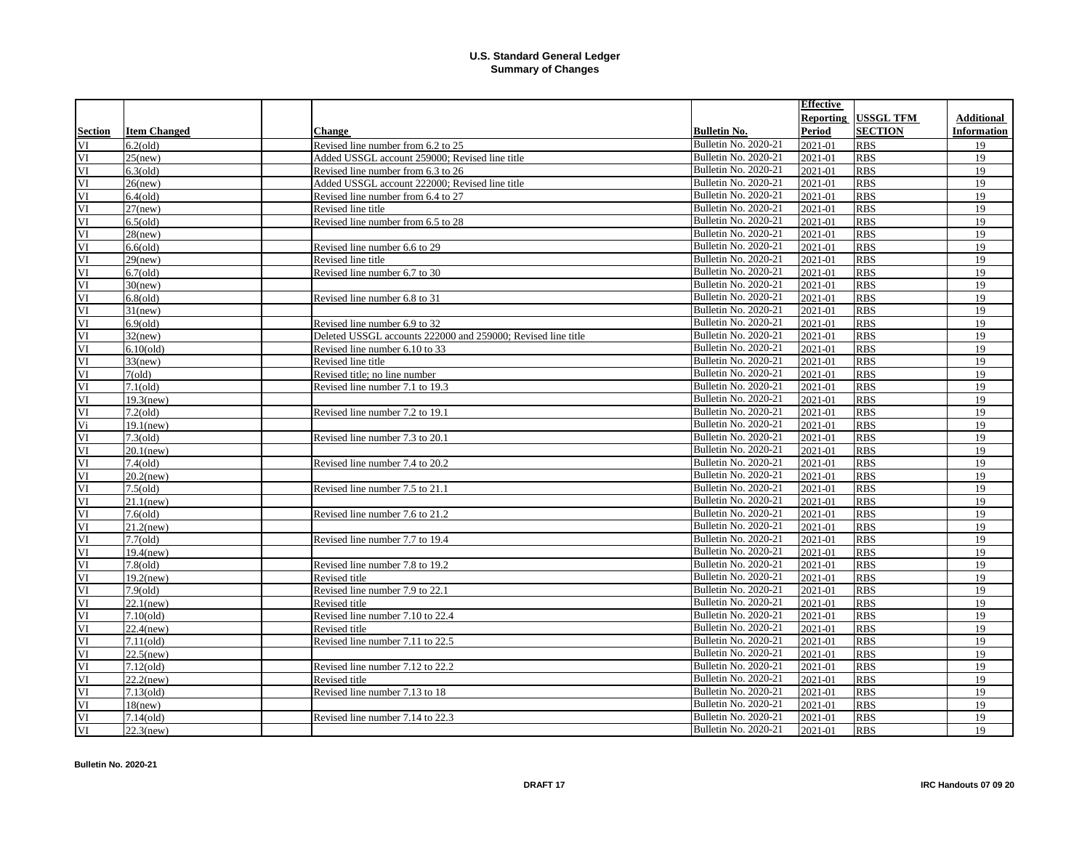|                        |                     |                                                              |                             | <b>Effective</b> |                  |                   |
|------------------------|---------------------|--------------------------------------------------------------|-----------------------------|------------------|------------------|-------------------|
|                        |                     |                                                              |                             | Reporting        | <b>USSGL TFM</b> | <b>Additional</b> |
| Section                | <b>Item Changed</b> | <b>Change</b>                                                | <b>Bulletin No.</b>         | <b>Period</b>    | <b>SECTION</b>   | Information       |
| VI                     | $6.2\text{(old)}$   | Revised line number from 6.2 to 25                           | Bulletin No. 2020-21        | 2021-01          | <b>RBS</b>       | 19                |
| VI                     | $25$ (new)          | Added USSGL account 259000; Revised line title               | Bulletin No. 2020-21        | 2021-01          | <b>RBS</b>       | 19                |
| VI                     | $6.3\text{(old)}$   | Revised line number from 6.3 to 26                           | Bulletin No. 2020-21        | 2021-01          | <b>RBS</b>       | 19                |
| VI                     | $26$ (new)          | Added USSGL account 222000; Revised line title               | Bulletin No. 2020-21        | 2021-01          | <b>RBS</b>       | 19                |
| VI                     | $6.4$ (old)         | Revised line number from 6.4 to 27                           | Bulletin No. 2020-21        | 2021-01          | <b>RBS</b>       | 19                |
| VI                     | $27$ (new)          | Revised line title                                           | Bulletin No. 2020-21        | 2021-01          | <b>RBS</b>       | 19                |
| VI                     | $6.5\text{(old)}$   | Revised line number from 6.5 to 28                           | Bulletin No. 2020-21        | 2021-01          | <b>RBS</b>       | 19                |
| VI                     | $28$ (new)          |                                                              | Bulletin No. 2020-21        | 2021-01          | <b>RBS</b>       | 19                |
| VI                     | $6.6\text{(old)}$   | Revised line number 6.6 to 29                                | Bulletin No. 2020-21        | 2021-01          | <b>RBS</b>       | 19                |
| VI                     | $29$ (new)          | Revised line title                                           | Bulletin No. 2020-21        | 2021-01          | <b>RBS</b>       | 19                |
| VI                     | $6.7$ (old)         | Revised line number 6.7 to 30                                | Bulletin No. 2020-21        | 2021-01          | <b>RBS</b>       | 19                |
| VI                     | $30$ (new)          |                                                              | Bulletin No. 2020-21        | 2021-01          | <b>RBS</b>       | 19                |
| VI                     | $6.8$ (old)         | Revised line number 6.8 to 31                                | Bulletin No. 2020-21        | 2021-01          | <b>RBS</b>       | 19                |
| VI                     | $31$ (new)          |                                                              | Bulletin No. 2020-21        | 2021-01          | <b>RBS</b>       | 19                |
| VI                     | $6.9\text{(old)}$   | Revised line number 6.9 to 32                                | Bulletin No. 2020-21        | 2021-01          | <b>RBS</b>       | 19                |
| VI                     | $32$ (new)          | Deleted USSGL accounts 222000 and 259000; Revised line title | Bulletin No. 2020-21        | 2021-01          | <b>RBS</b>       | 19                |
| VI                     | $6.10\text{(old)}$  | Revised line number 6.10 to 33                               | Bulletin No. 2020-21        | 2021-01          | <b>RBS</b>       | 19                |
| VI                     | $33$ (new)          | Revised line title                                           | Bulletin No. 2020-21        | 2021-01          | <b>RBS</b>       | 19                |
| VI                     | 7(old)              | Revised title; no line number                                | Bulletin No. 2020-21        | 2021-01          | <b>RBS</b>       | 19                |
| VI                     | $7.1\text{ (old)}$  | Revised line number 7.1 to 19.3                              | Bulletin No. 2020-21        | 2021-01          | <b>RBS</b>       | 19                |
| $\overline{\rm VI}$    | $19.3$ (new)        |                                                              | Bulletin No. 2020-21        | 2021-01          | <b>RBS</b>       | 19                |
| VI                     | $7.2\text{(old)}$   | Revised line number 7.2 to 19.1                              | Bulletin No. 2020-21        | 2021-01          | <b>RBS</b>       | 19                |
| Vi                     | $19.1$ (new)        |                                                              | Bulletin No. 2020-21        | 2021-01          | <b>RBS</b>       | 19                |
| VI                     | $7.3\text{ (old)}$  | Revised line number 7.3 to 20.1                              | Bulletin No. 2020-21        | 2021-01          | <b>RBS</b>       | 19                |
| VI                     | $20.1$ (new)        |                                                              | Bulletin No. 2020-21        | 2021-01          | <b>RBS</b>       | 19                |
| VI                     | $7.4\text{ (old)}$  | Revised line number 7.4 to 20.2                              | Bulletin No. 2020-21        | 2021-01          | <b>RBS</b>       | 19                |
| VI                     | $20.2$ (new)        |                                                              | Bulletin No. 2020-21        | 2021-01          | <b>RBS</b>       | 19                |
| VI                     | $7.5\text{ (old)}$  | Revised line number 7.5 to 21.1                              | Bulletin No. 2020-21        | 2021-01          | <b>RBS</b>       | 19                |
| $\overline{\text{VI}}$ | $21.1$ (new)        |                                                              | Bulletin No. 2020-21        | 2021-01          | <b>RBS</b>       | 19                |
| VI                     | $7.6\text{ (old)}$  | Revised line number 7.6 to 21.2                              | Bulletin No. 2020-21        | 2021-01          | <b>RBS</b>       | 19                |
| VI                     | $21.2$ (new)        |                                                              | Bulletin No. 2020-21        | 2021-01          | <b>RBS</b>       | 19                |
| VI                     | $7.7\text{(old)}$   | Revised line number 7.7 to 19.4                              | Bulletin No. 2020-21        | 2021-01          | <b>RBS</b>       | 19                |
| VI                     | $19.4$ (new)        |                                                              | Bulletin No. 2020-21        | 2021-01          | <b>RBS</b>       | 19                |
| VI                     | $7.8\text{ (old)}$  | Revised line number 7.8 to 19.2                              | Bulletin No. 2020-21        | 2021-01          | <b>RBS</b>       | 19                |
| VI                     | $19.2$ (new)        | Revised title                                                | Bulletin No. 2020-21        | 2021-01          | <b>RBS</b>       | 19                |
| VI                     | $7.9\text{ (old)}$  | Revised line number 7.9 to 22.1                              | Bulletin No. 2020-21        | 2021-01          | <b>RBS</b>       | 19                |
| VI                     | $22.1$ (new)        | Revised title                                                | Bulletin No. 2020-21        | 2021-01          | <b>RBS</b>       | 19                |
| $\overline{\text{VI}}$ | $7.10\text{ (old)}$ | Revised line number 7.10 to 22.4                             | Bulletin No. 2020-21        | 2021-01          | <b>RBS</b>       | 19                |
| VI                     | $22.4$ (new)        | Revised title                                                | Bulletin No. 2020-21        | 2021-01          | <b>RBS</b>       | 19                |
| VI                     | 7.11(old)           | Revised line number 7.11 to 22.5                             | Bulletin No. 2020-21        | 2021-01          | <b>RBS</b>       | 19                |
| VI                     | $22.5$ (new)        |                                                              | Bulletin No. 2020-21        | 2021-01          | <b>RBS</b>       | 19                |
| VI                     | $7.12\text{(old)}$  | Revised line number 7.12 to 22.2                             | Bulletin No. 2020-21        | 2021-01          | <b>RBS</b>       | 19                |
| VI                     | $22.2$ (new)        | Revised title                                                | Bulletin No. 2020-21        | 2021-01          | <b>RBS</b>       | 19                |
| VI                     | $7.13\text{ (old)}$ | Revised line number 7.13 to 18                               | Bulletin No. 2020-21        | 2021-01          | <b>RBS</b>       | 19                |
| VI                     | $18$ (new)          |                                                              | Bulletin No. 2020-21        | 2021-01          | <b>RBS</b>       | 19                |
| VI                     | $7.14\text{ (old)}$ | Revised line number 7.14 to 22.3                             | <b>Bulletin No. 2020-21</b> | 2021-01          | <b>RBS</b>       | 19                |
| VI                     | $22.3$ (new)        |                                                              | <b>Bulletin No. 2020-21</b> | 2021-01          | <b>RBS</b>       | 19                |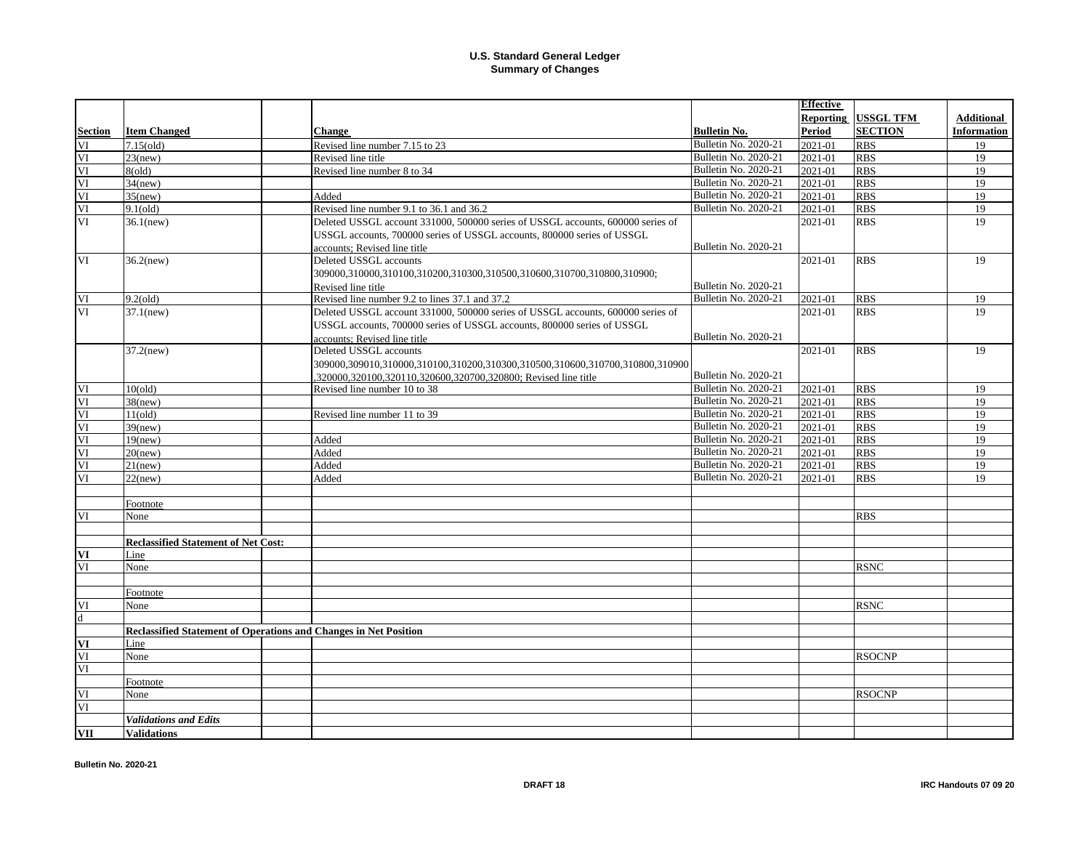|         |                                                                         |                                                                                 |                             | <b>Effective</b> |                  |                    |
|---------|-------------------------------------------------------------------------|---------------------------------------------------------------------------------|-----------------------------|------------------|------------------|--------------------|
|         |                                                                         |                                                                                 |                             | Reporting        | <b>USSGL TFM</b> | <b>Additional</b>  |
| Section | <b>Item Changed</b>                                                     | <b>Change</b>                                                                   | <b>Bulletin No.</b>         | Period           | <b>SECTION</b>   | <b>Information</b> |
| VI      | $7.15\text{(old)}$                                                      | Revised line number 7.15 to 23                                                  | <b>Bulletin No. 2020-21</b> | 2021-01          | <b>RBS</b>       | 19                 |
| VI      | $23$ (new)                                                              | Revised line title                                                              | <b>Bulletin No. 2020-21</b> | 2021-01          | <b>RBS</b>       | 19                 |
| VI      | 8(old)                                                                  | Revised line number 8 to 34                                                     | <b>Bulletin No. 2020-21</b> | 2021-01          | <b>RBS</b>       | 19                 |
| VI      | $34$ (new)                                                              |                                                                                 | <b>Bulletin No. 2020-21</b> | 2021-01          | <b>RBS</b>       | 19                 |
| VI      | $35$ (new)                                                              | Added                                                                           | <b>Bulletin No. 2020-21</b> | 2021-01          | <b>RBS</b>       | 19                 |
| VI      | $9.1\text{(old)}$                                                       | Revised line number 9.1 to 36.1 and 36.2                                        | Bulletin No. 2020-21        | 2021-01          | <b>RBS</b>       | 19                 |
| VI      | $36.1$ (new)                                                            | Deleted USSGL account 331000, 500000 series of USSGL accounts, 600000 series of |                             | 2021-01          | <b>RBS</b>       | 19                 |
|         |                                                                         | USSGL accounts, 700000 series of USSGL accounts, 800000 series of USSGL         |                             |                  |                  |                    |
|         |                                                                         | accounts; Revised line title                                                    | Bulletin No. 2020-21        |                  |                  |                    |
| VI      | $36.2$ (new)                                                            | Deleted USSGL accounts                                                          |                             | 2021-01          | <b>RBS</b>       | 19                 |
|         |                                                                         | 309000,310000,310100,310200,310300,310500,310600,310700,310800,310900;          |                             |                  |                  |                    |
|         |                                                                         | Revised line title                                                              | Bulletin No. 2020-21        |                  |                  |                    |
| VI      | $9.2$ (old)                                                             | Revised line number 9.2 to lines 37.1 and 37.2                                  | <b>Bulletin No. 2020-21</b> | 2021-01          | <b>RBS</b>       | 19                 |
| VI      | $37.1$ (new)                                                            | Deleted USSGL account 331000, 500000 series of USSGL accounts, 600000 series of |                             | 2021-01          | <b>RBS</b>       | 19                 |
|         |                                                                         | USSGL accounts, 700000 series of USSGL accounts, 800000 series of USSGL         |                             |                  |                  |                    |
|         |                                                                         | accounts: Revised line title                                                    | <b>Bulletin No. 2020-21</b> |                  |                  |                    |
|         | $37.2$ (new)                                                            | Deleted USSGL accounts                                                          |                             | 2021-01          | <b>RBS</b>       | 19                 |
|         |                                                                         | 309000,309010,310000,310100,310200,310300,310500,310600,310700,310800,310900    |                             |                  |                  |                    |
|         |                                                                         | ,320000,320100,320110,320600,320700,320800; Revised line title                  | Bulletin No. 2020-21        |                  |                  |                    |
| VI      | 10(old)                                                                 | Revised line number 10 to 38                                                    | Bulletin No. 2020-21        | 2021-01          | <b>RBS</b>       | 19                 |
| VI      | $38$ (new)                                                              |                                                                                 | <b>Bulletin No. 2020-21</b> | 2021-01          | <b>RBS</b>       | 19                 |
| VI      | 11(old)                                                                 | Revised line number 11 to 39                                                    | Bulletin No. 2020-21        | 2021-01          | <b>RBS</b>       | 19                 |
| VI      | $39$ (new)                                                              |                                                                                 | Bulletin No. 2020-21        | 2021-01          | <b>RBS</b>       | 19                 |
| VI      | $19$ (new)                                                              | Added                                                                           | Bulletin No. 2020-21        | 2021-01          | <b>RBS</b>       | 19                 |
| VI      | $20$ (new)                                                              | Added                                                                           | Bulletin No. 2020-21        | 2021-01          | <b>RBS</b>       | 19                 |
| VI      | $21$ (new)                                                              | Added                                                                           | Bulletin No. 2020-21        | 2021-01          | <b>RBS</b>       | 19                 |
| VI      | $22$ (new)                                                              | Added                                                                           | <b>Bulletin No. 2020-21</b> | 2021-01          | <b>RBS</b>       | 19                 |
|         |                                                                         |                                                                                 |                             |                  |                  |                    |
|         | Footnote                                                                |                                                                                 |                             |                  |                  |                    |
| VI      | None                                                                    |                                                                                 |                             |                  | <b>RBS</b>       |                    |
|         |                                                                         |                                                                                 |                             |                  |                  |                    |
|         | <b>Reclassified Statement of Net Cost:</b>                              |                                                                                 |                             |                  |                  |                    |
| VI      | Line                                                                    |                                                                                 |                             |                  |                  |                    |
| VI      | None                                                                    |                                                                                 |                             |                  | <b>RSNC</b>      |                    |
|         |                                                                         |                                                                                 |                             |                  |                  |                    |
|         | Footnote                                                                |                                                                                 |                             |                  |                  |                    |
| VI      | None                                                                    |                                                                                 |                             |                  | <b>RSNC</b>      |                    |
| d       |                                                                         |                                                                                 |                             |                  |                  |                    |
|         | <b>Reclassified Statement of Operations and Changes in Net Position</b> |                                                                                 |                             |                  |                  |                    |
| VI      | Line                                                                    |                                                                                 |                             |                  |                  |                    |
| VI      | None                                                                    |                                                                                 |                             |                  | <b>RSOCNP</b>    |                    |
| VI      |                                                                         |                                                                                 |                             |                  |                  |                    |
|         | Footnote                                                                |                                                                                 |                             |                  |                  |                    |
| VI      | None                                                                    |                                                                                 |                             |                  | <b>RSOCNP</b>    |                    |
| VI      |                                                                         |                                                                                 |                             |                  |                  |                    |
|         | <b>Validations and Edits</b>                                            |                                                                                 |                             |                  |                  |                    |
| VII     | <b>Validations</b>                                                      |                                                                                 |                             |                  |                  |                    |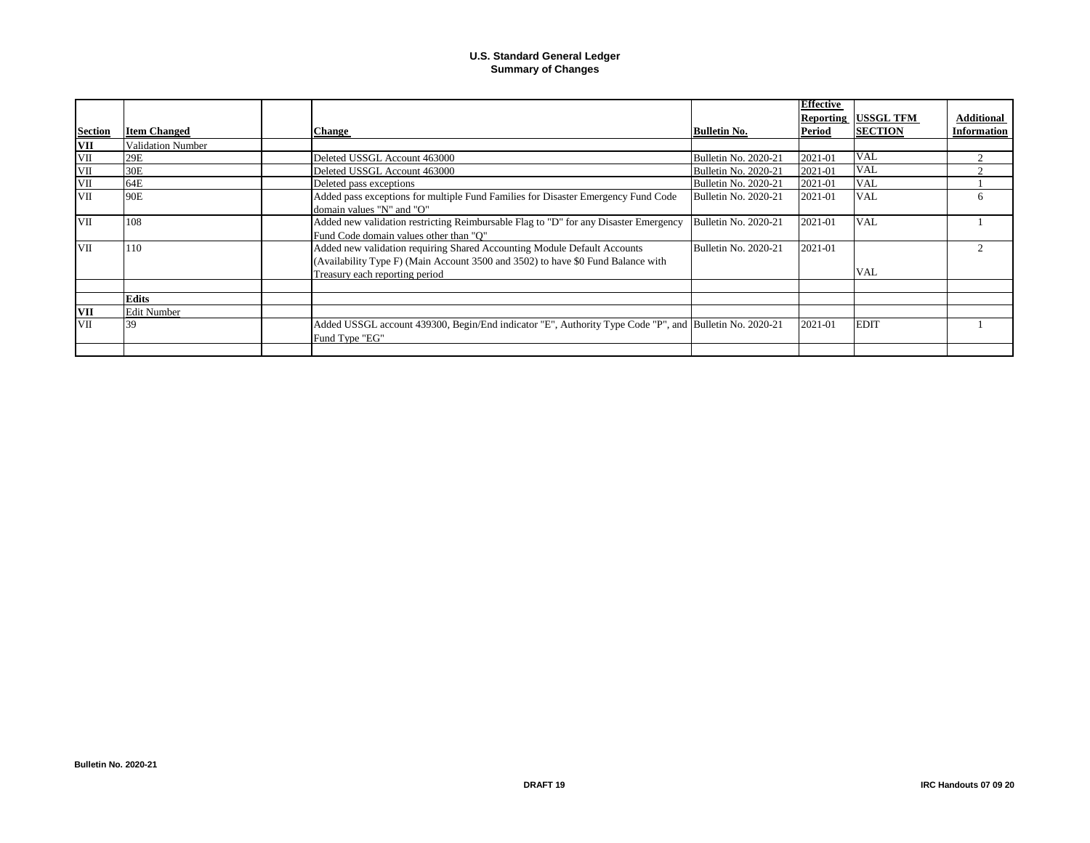|                   |                     |                                                                                                        |                             | <b>Effective</b> |                  |                    |
|-------------------|---------------------|--------------------------------------------------------------------------------------------------------|-----------------------------|------------------|------------------|--------------------|
|                   |                     |                                                                                                        |                             | <b>Reporting</b> | <b>USSGL TFM</b> | <b>Additional</b>  |
| <b>Section</b>    | <b>Item Changed</b> | <b>Change</b>                                                                                          | <b>Bulletin No.</b>         | Period           | <b>SECTION</b>   | <b>Information</b> |
| VII               | Validation Number   |                                                                                                        |                             |                  |                  |                    |
|                   | 29E                 | Deleted USSGL Account 463000                                                                           | <b>Bulletin No. 2020-21</b> | 2021-01          | <b>VAL</b>       |                    |
| $\frac{VII}{VII}$ | 30E                 | Deleted USSGL Account 463000                                                                           | Bulletin No. 2020-21        | 2021-01          | <b>VAL</b>       |                    |
| VII               | 64E                 | Deleted pass exceptions                                                                                | <b>Bulletin No. 2020-21</b> | 2021-01          | <b>VAL</b>       |                    |
| VII               | 90E                 | Added pass exceptions for multiple Fund Families for Disaster Emergency Fund Code                      | Bulletin No. 2020-21        | 2021-01          | <b>VAL</b>       | h                  |
|                   |                     | domain values "N" and "O"                                                                              |                             |                  |                  |                    |
| <b>VII</b>        | 108                 | Added new validation restricting Reimbursable Flag to "D" for any Disaster Emergency                   | Bulletin No. 2020-21        | 2021-01          | <b>VAL</b>       |                    |
|                   |                     | Fund Code domain values other than "O"                                                                 |                             |                  |                  |                    |
| <b>VII</b>        | 110                 | Added new validation requiring Shared Accounting Module Default Accounts                               | Bulletin No. 2020-21        | 2021-01          |                  |                    |
|                   |                     | (Availability Type F) (Main Account 3500 and 3502) to have \$0 Fund Balance with                       |                             |                  |                  |                    |
|                   |                     | Treasury each reporting period                                                                         |                             |                  | <b>VAL</b>       |                    |
|                   |                     |                                                                                                        |                             |                  |                  |                    |
|                   | <b>Edits</b>        |                                                                                                        |                             |                  |                  |                    |
| <b>VII</b>        | <b>Edit Number</b>  |                                                                                                        |                             |                  |                  |                    |
| <b>VII</b>        | 39                  | Added USSGL account 439300, Begin/End indicator "E", Authority Type Code "P", and Bulletin No. 2020-21 |                             | 2021-01          | <b>EDIT</b>      |                    |
|                   |                     | Fund Type "EG"                                                                                         |                             |                  |                  |                    |
|                   |                     |                                                                                                        |                             |                  |                  |                    |